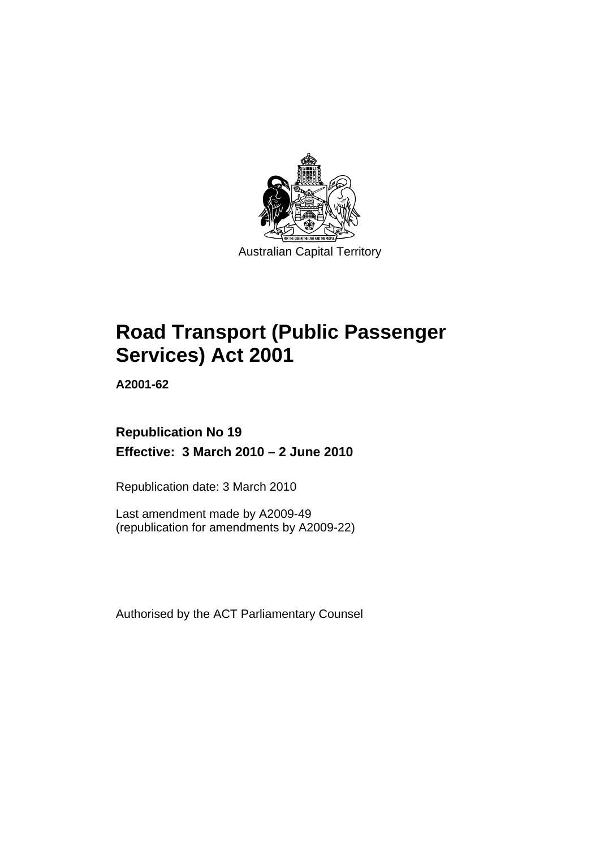

Australian Capital Territory

# **[Road Transport \(Public Passenger](#page-10-0)  [Services\) Act 2001](#page-10-0)**

**A2001-62** 

# **Republication No 19 Effective: 3 March 2010 – 2 June 2010**

Republication date: 3 March 2010

Last amendment made by A2009-49 (republication for amendments by A2009-22)

Authorised by the ACT Parliamentary Counsel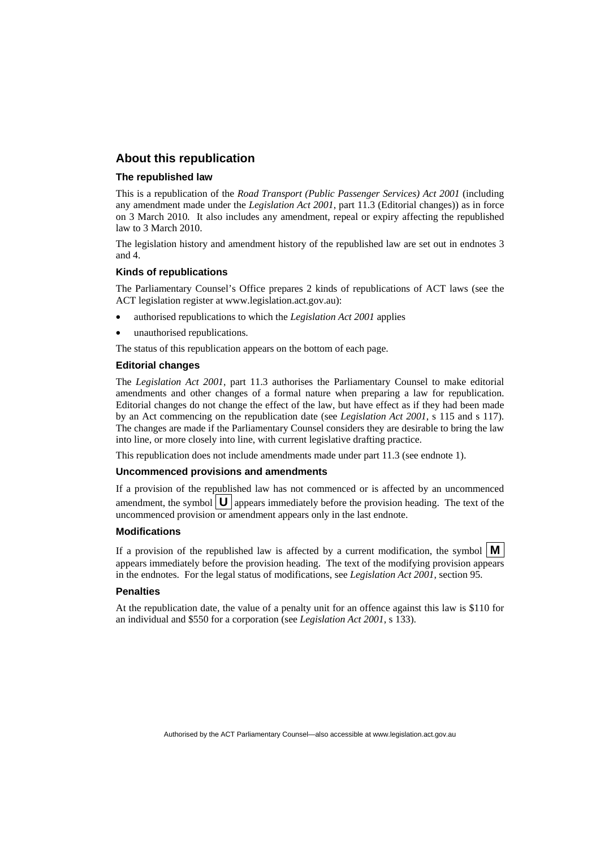#### **About this republication**

#### **The republished law**

This is a republication of the *Road Transport (Public Passenger Services) Act 2001* (including any amendment made under the *Legislation Act 2001*, part 11.3 (Editorial changes)) as in force on 3 March 2010*.* It also includes any amendment, repeal or expiry affecting the republished law to 3 March 2010.

The legislation history and amendment history of the republished law are set out in endnotes 3 and 4.

#### **Kinds of republications**

The Parliamentary Counsel's Office prepares 2 kinds of republications of ACT laws (see the ACT legislation register at www.legislation.act.gov.au):

- authorised republications to which the *Legislation Act 2001* applies
- unauthorised republications.

The status of this republication appears on the bottom of each page.

#### **Editorial changes**

The *Legislation Act 2001*, part 11.3 authorises the Parliamentary Counsel to make editorial amendments and other changes of a formal nature when preparing a law for republication. Editorial changes do not change the effect of the law, but have effect as if they had been made by an Act commencing on the republication date (see *Legislation Act 2001*, s 115 and s 117). The changes are made if the Parliamentary Counsel considers they are desirable to bring the law into line, or more closely into line, with current legislative drafting practice.

This republication does not include amendments made under part 11.3 (see endnote 1).

#### **Uncommenced provisions and amendments**

If a provision of the republished law has not commenced or is affected by an uncommenced amendment, the symbol  $\mathbf{U}$  appears immediately before the provision heading. The text of the uncommenced provision  $\overline{or}$  amendment appears only in the last endnote.

#### **Modifications**

If a provision of the republished law is affected by a current modification, the symbol  $\mathbf{M}$ appears immediately before the provision heading. The text of the modifying provision appears in the endnotes. For the legal status of modifications, see *Legislation Act 2001*, section 95.

#### **Penalties**

At the republication date, the value of a penalty unit for an offence against this law is \$110 for an individual and \$550 for a corporation (see *Legislation Act 2001*, s 133).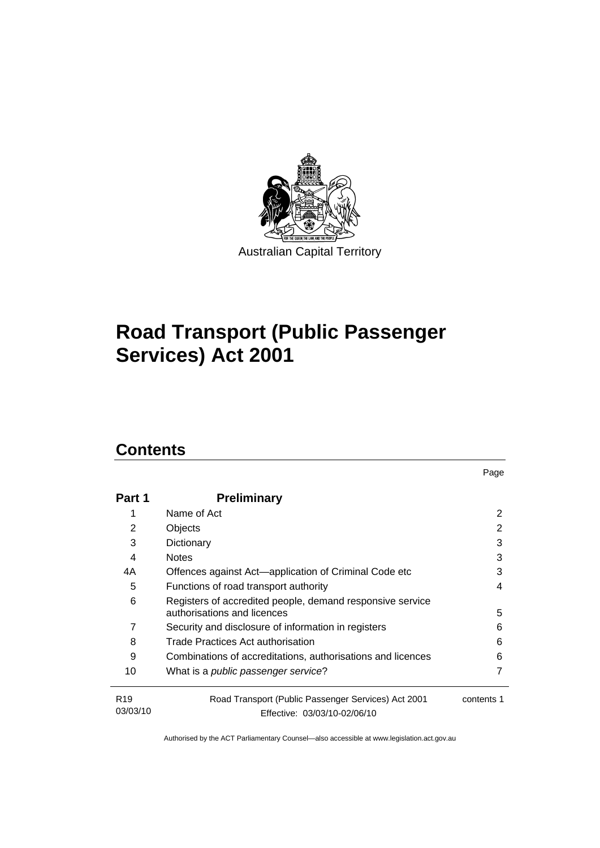

# **[Road Transport \(Public Passenger](#page-10-0)  [Services\) Act 2001](#page-10-0)**

# **Contents**

| Part 1                      | <b>Preliminary</b>                                                                       |            |
|-----------------------------|------------------------------------------------------------------------------------------|------------|
|                             | Name of Act                                                                              | 2          |
| 2                           | Objects                                                                                  | 2          |
| 3                           | Dictionary                                                                               | 3          |
| 4                           | <b>Notes</b>                                                                             | 3          |
| 4A                          | Offences against Act-application of Criminal Code etc                                    | 3          |
| 5                           | Functions of road transport authority                                                    | 4          |
| 6                           | Registers of accredited people, demand responsive service<br>authorisations and licences | 5          |
| 7                           | Security and disclosure of information in registers                                      | 6          |
| 8                           | Trade Practices Act authorisation                                                        | 6          |
| 9                           | Combinations of accreditations, authorisations and licences                              | 6          |
| 10                          | What is a public passenger service?                                                      | 7          |
| R <sub>19</sub><br>03/03/10 | Road Transport (Public Passenger Services) Act 2001<br>Effective: 03/03/10-02/06/10      | contents 1 |

Page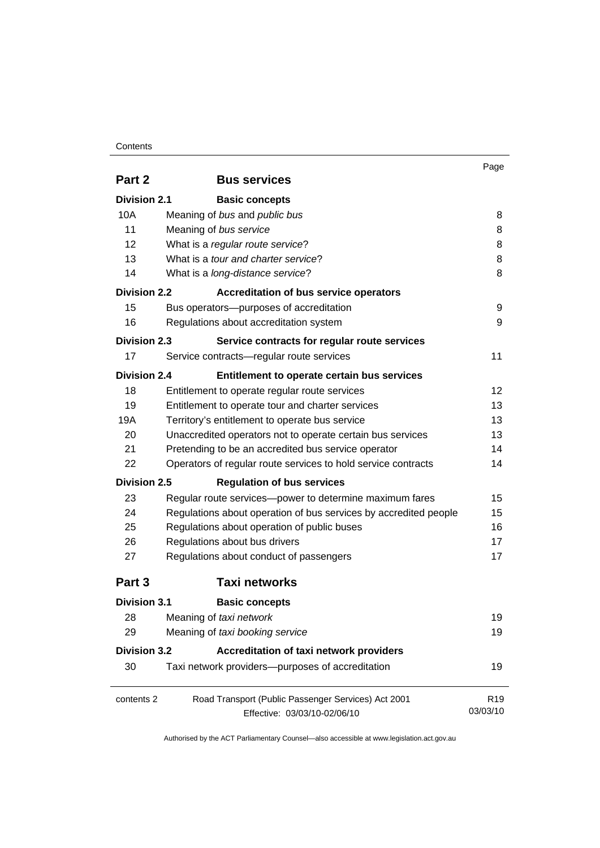#### **Contents**

|                     |                                                                  | Page            |
|---------------------|------------------------------------------------------------------|-----------------|
| Part 2              | <b>Bus services</b>                                              |                 |
| <b>Division 2.1</b> | <b>Basic concepts</b>                                            |                 |
| 10A                 | Meaning of bus and public bus                                    | 8               |
| 11                  | Meaning of bus service                                           | 8               |
| 12                  | What is a regular route service?                                 | 8               |
| 13                  | What is a tour and charter service?                              | 8               |
| 14                  | What is a <i>long-distance service</i> ?                         | 8               |
| Division 2.2        | <b>Accreditation of bus service operators</b>                    |                 |
| 15                  | Bus operators-purposes of accreditation                          | 9               |
| 16                  | Regulations about accreditation system                           | 9               |
| <b>Division 2.3</b> | Service contracts for regular route services                     |                 |
| 17                  | Service contracts-regular route services                         | 11              |
| <b>Division 2.4</b> | Entitlement to operate certain bus services                      |                 |
| 18                  | Entitlement to operate regular route services                    | 12              |
| 19                  | Entitlement to operate tour and charter services                 | 13              |
| 19A                 | Territory's entitlement to operate bus service                   | 13              |
| 20                  | Unaccredited operators not to operate certain bus services       | 13              |
| 21                  | Pretending to be an accredited bus service operator              | 14              |
| 22                  | Operators of regular route services to hold service contracts    | 14              |
| <b>Division 2.5</b> | <b>Regulation of bus services</b>                                |                 |
| 23                  | Regular route services-power to determine maximum fares          | 15              |
| 24                  | Regulations about operation of bus services by accredited people | 15              |
| 25                  | Regulations about operation of public buses                      | 16              |
| 26                  | Regulations about bus drivers                                    | 17              |
| 27                  | Regulations about conduct of passengers                          | 17              |
| Part 3              | <b>Taxi networks</b>                                             |                 |
| <b>Division 3.1</b> | <b>Basic concepts</b>                                            |                 |
| 28                  | Meaning of taxi network                                          | 19              |
| 29                  | Meaning of taxi booking service                                  | 19              |
| <b>Division 3.2</b> | Accreditation of taxi network providers                          |                 |
| 30                  | Taxi network providers-purposes of accreditation                 | 19              |
| contents 2          | Road Transport (Public Passenger Services) Act 2001              | R <sub>19</sub> |
|                     | Effective: 03/03/10-02/06/10                                     | 03/03/10        |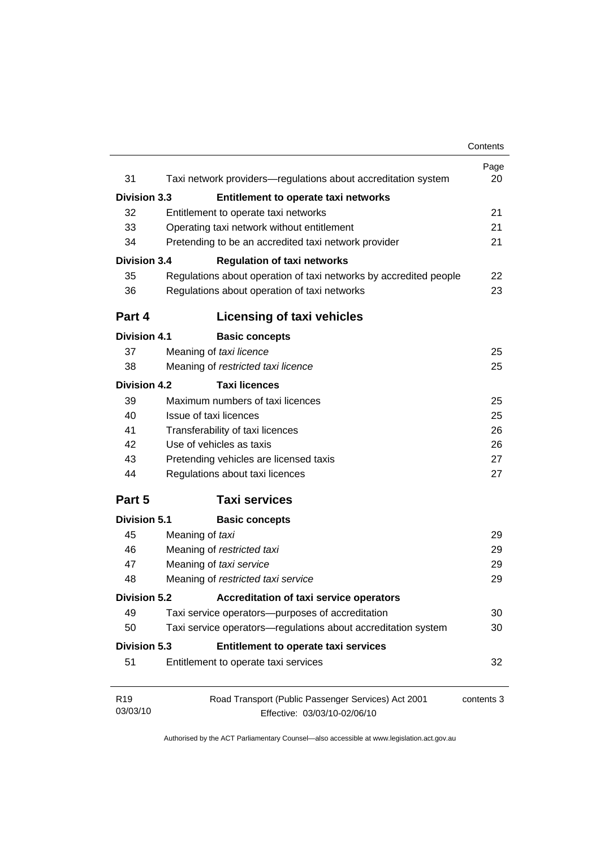|                             |                                                                   | Contents   |
|-----------------------------|-------------------------------------------------------------------|------------|
| 31                          | Taxi network providers-regulations about accreditation system     | Page<br>20 |
|                             |                                                                   |            |
| <b>Division 3.3</b>         | Entitlement to operate taxi networks                              |            |
| 32                          | Entitlement to operate taxi networks                              | 21         |
| 33                          | Operating taxi network without entitlement                        | 21         |
| 34                          | Pretending to be an accredited taxi network provider              | 21         |
| Division 3.4                | <b>Regulation of taxi networks</b>                                |            |
| 35                          | Regulations about operation of taxi networks by accredited people | 22         |
| 36                          | Regulations about operation of taxi networks                      | 23         |
| Part 4                      | <b>Licensing of taxi vehicles</b>                                 |            |
| <b>Division 4.1</b>         | <b>Basic concepts</b>                                             |            |
| 37                          | Meaning of taxi licence                                           | 25         |
| 38                          | Meaning of restricted taxi licence                                | 25         |
| <b>Division 4.2</b>         | <b>Taxi licences</b>                                              |            |
| 39                          | Maximum numbers of taxi licences                                  | 25         |
| 40                          | Issue of taxi licences                                            | 25         |
| 41                          | Transferability of taxi licences                                  | 26         |
| 42                          | Use of vehicles as taxis                                          | 26         |
| 43                          | Pretending vehicles are licensed taxis                            | 27         |
| 44                          | Regulations about taxi licences                                   | 27         |
| Part 5                      | <b>Taxi services</b>                                              |            |
| <b>Division 5.1</b>         | <b>Basic concepts</b>                                             |            |
| 45                          | Meaning of taxi                                                   | 29         |
| 46                          | Meaning of restricted taxi                                        | 29         |
| 47                          | Meaning of taxi service                                           | 29         |
| 48                          | Meaning of restricted taxi service                                | 29         |
| <b>Division 5.2</b>         | <b>Accreditation of taxi service operators</b>                    |            |
| 49                          | Taxi service operators--purposes of accreditation                 | 30         |
| 50                          | Taxi service operators-regulations about accreditation system     | 30         |
| <b>Division 5.3</b>         | Entitlement to operate taxi services                              |            |
| 51                          | Entitlement to operate taxi services                              | 32         |
| R <sub>19</sub><br>03/03/10 | Road Transport (Public Passenger Services) Act 2001               | contents 3 |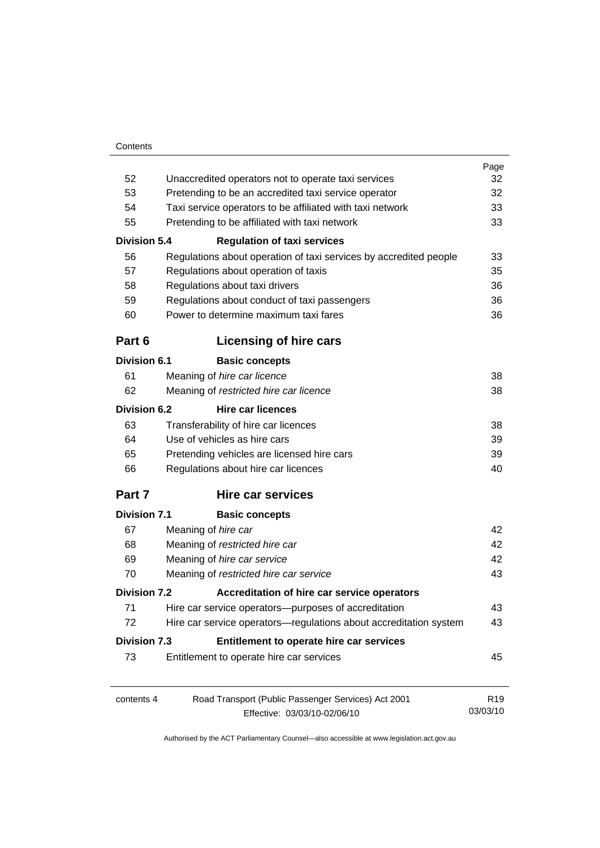|                     |                                                                   | Page            |
|---------------------|-------------------------------------------------------------------|-----------------|
| 52                  | Unaccredited operators not to operate taxi services               | 32              |
| 53                  | Pretending to be an accredited taxi service operator              | 32              |
| 54                  | Taxi service operators to be affiliated with taxi network         |                 |
| 55                  | Pretending to be affiliated with taxi network                     | 33              |
| <b>Division 5.4</b> | <b>Regulation of taxi services</b>                                |                 |
| 56                  | Regulations about operation of taxi services by accredited people | 33              |
| 57                  | Regulations about operation of taxis                              | 35              |
| 58                  | Regulations about taxi drivers                                    | 36              |
| 59                  | Regulations about conduct of taxi passengers                      | 36              |
| 60                  | Power to determine maximum taxi fares                             | 36              |
| Part 6              | Licensing of hire cars                                            |                 |
| Division 6.1        | <b>Basic concepts</b>                                             |                 |
| 61                  | Meaning of hire car licence                                       | 38              |
| 62                  | Meaning of restricted hire car licence                            | 38              |
| Division 6.2        | <b>Hire car licences</b>                                          |                 |
| 63                  | Transferability of hire car licences                              | 38              |
| 64                  | Use of vehicles as hire cars                                      | 39              |
| 65                  | Pretending vehicles are licensed hire cars                        | 39              |
| 66                  | Regulations about hire car licences                               | 40              |
| Part 7              | <b>Hire car services</b>                                          |                 |
| <b>Division 7.1</b> | <b>Basic concepts</b>                                             |                 |
| 67                  | Meaning of hire car                                               | 42              |
| 68                  | Meaning of restricted hire car                                    | 42              |
| 69                  | Meaning of hire car service                                       | 42              |
| 70                  | Meaning of restricted hire car service                            | 43              |
| <b>Division 7.2</b> | Accreditation of hire car service operators                       |                 |
| 71                  | Hire car service operators-purposes of accreditation              | 43              |
| 72                  | Hire car service operators—regulations about accreditation system | 43              |
| <b>Division 7.3</b> | Entitlement to operate hire car services                          |                 |
| 73                  | Entitlement to operate hire car services                          | 45              |
| contents 4          | Road Transport (Public Passenger Services) Act 2001               | R <sub>19</sub> |
|                     | Effective: 03/03/10-02/06/10                                      | 03/03/10        |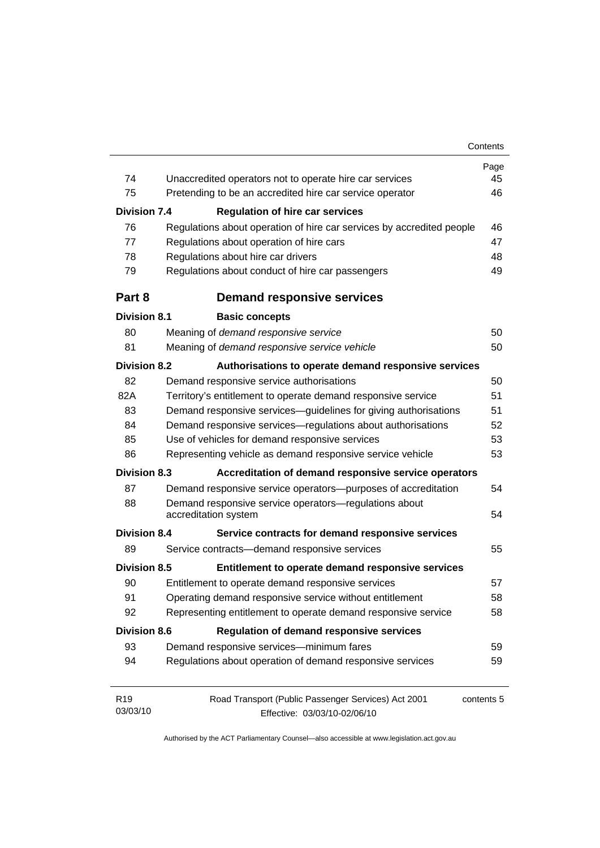|                     |                                                                               | Page       |
|---------------------|-------------------------------------------------------------------------------|------------|
| 74                  | Unaccredited operators not to operate hire car services                       | 45         |
| 75                  | Pretending to be an accredited hire car service operator                      | 46         |
| <b>Division 7.4</b> | <b>Regulation of hire car services</b>                                        |            |
| 76                  | Regulations about operation of hire car services by accredited people         | 46         |
| 77                  | Regulations about operation of hire cars                                      | 47         |
| 78                  | Regulations about hire car drivers                                            | 48         |
| 79                  | Regulations about conduct of hire car passengers                              | 49         |
| Part 8              | <b>Demand responsive services</b>                                             |            |
| <b>Division 8.1</b> | <b>Basic concepts</b>                                                         |            |
| 80                  | Meaning of demand responsive service                                          | 50         |
| 81                  | Meaning of demand responsive service vehicle                                  | 50         |
| <b>Division 8.2</b> | Authorisations to operate demand responsive services                          |            |
| 82                  | Demand responsive service authorisations                                      | 50         |
| 82A                 | Territory's entitlement to operate demand responsive service                  | 51         |
| 83                  | Demand responsive services-guidelines for giving authorisations               | 51         |
| 84                  | Demand responsive services-regulations about authorisations                   | 52         |
| 85                  | Use of vehicles for demand responsive services                                | 53         |
| 86                  | Representing vehicle as demand responsive service vehicle                     | 53         |
| <b>Division 8.3</b> | Accreditation of demand responsive service operators                          |            |
| 87                  | Demand responsive service operators-purposes of accreditation                 | 54         |
| 88                  | Demand responsive service operators-regulations about<br>accreditation system |            |
| <b>Division 8.4</b> | Service contracts for demand responsive services                              |            |
| 89                  | Service contracts-demand responsive services                                  | 55         |
| <b>Division 8.5</b> | Entitlement to operate demand responsive services                             |            |
| 90                  | Entitlement to operate demand responsive services                             | 57         |
| 91                  | Operating demand responsive service without entitlement                       | 58         |
| 92                  | Representing entitlement to operate demand responsive service                 | 58         |
| <b>Division 8.6</b> | <b>Regulation of demand responsive services</b>                               |            |
| 93                  | Demand responsive services-minimum fares                                      | 59         |
| 94                  | Regulations about operation of demand responsive services                     | 59         |
| R <sub>19</sub>     | Road Transport (Public Passenger Services) Act 2001                           | contents 5 |
| 03/03/10            | Effective: 03/03/10-02/06/10                                                  |            |
|                     |                                                                               |            |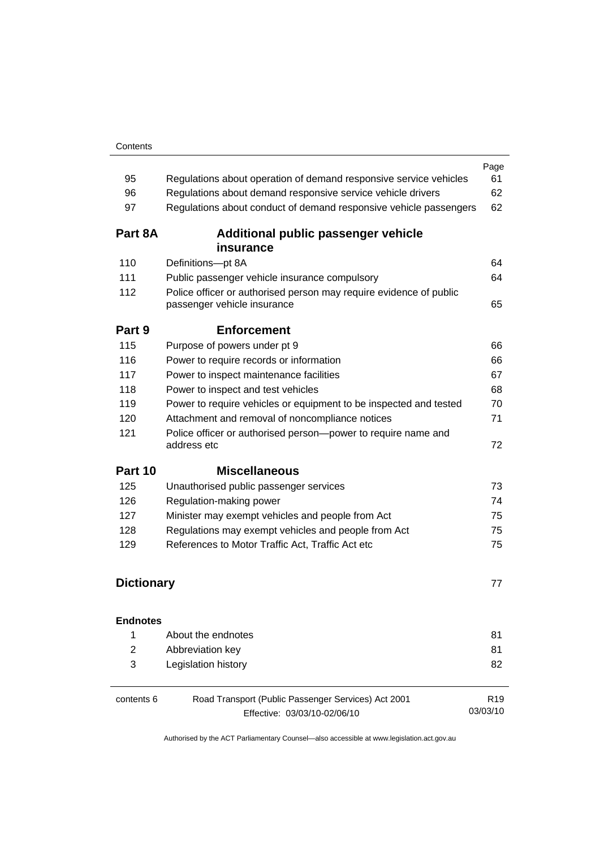| 95                | Regulations about operation of demand responsive service vehicles                                 | Page<br>61                  |
|-------------------|---------------------------------------------------------------------------------------------------|-----------------------------|
| 96                | Regulations about demand responsive service vehicle drivers                                       | 62                          |
| 97                | Regulations about conduct of demand responsive vehicle passengers                                 | 62                          |
|                   |                                                                                                   |                             |
| Part 8A           | Additional public passenger vehicle<br>insurance                                                  |                             |
| 110               | Definitions-pt 8A                                                                                 | 64                          |
| 111               | Public passenger vehicle insurance compulsory                                                     | 64                          |
| 112               | Police officer or authorised person may require evidence of public<br>passenger vehicle insurance | 65                          |
| Part 9            | <b>Enforcement</b>                                                                                |                             |
| 115               | Purpose of powers under pt 9                                                                      | 66                          |
| 116               | Power to require records or information                                                           | 66                          |
| 117               | Power to inspect maintenance facilities                                                           | 67                          |
| 118               | Power to inspect and test vehicles                                                                | 68                          |
| 119               | Power to require vehicles or equipment to be inspected and tested                                 | 70                          |
| 120               | Attachment and removal of noncompliance notices                                                   | 71                          |
| 121               | Police officer or authorised person-power to require name and<br>address etc                      | 72                          |
| Part 10           | <b>Miscellaneous</b>                                                                              |                             |
| 125               | Unauthorised public passenger services                                                            | 73                          |
| 126               | Regulation-making power                                                                           | 74                          |
| 127               | Minister may exempt vehicles and people from Act                                                  | 75                          |
| 128               | Regulations may exempt vehicles and people from Act                                               | 75                          |
| 129               | References to Motor Traffic Act, Traffic Act etc                                                  | 75                          |
| <b>Dictionary</b> |                                                                                                   | 77                          |
| <b>Endnotes</b>   |                                                                                                   |                             |
| 1                 | About the endnotes                                                                                | 81                          |
| $\overline{2}$    | Abbreviation key                                                                                  | 81                          |
| 3                 | Legislation history                                                                               | 82                          |
| contents 6        | Road Transport (Public Passenger Services) Act 2001<br>Effective: 03/03/10-02/06/10               | R <sub>19</sub><br>03/03/10 |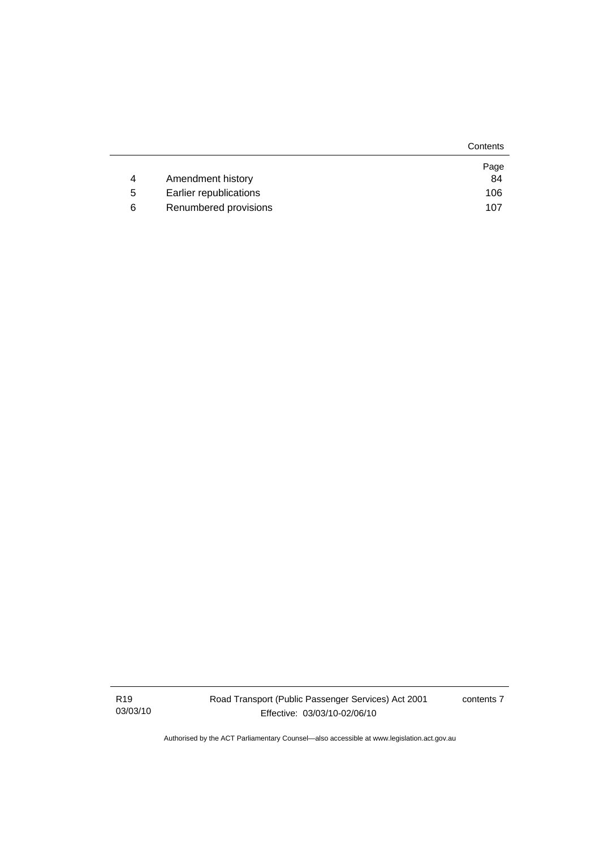|   |                        | Contents |
|---|------------------------|----------|
|   |                        | Page     |
| 4 | Amendment history      | 84       |
| 5 | Earlier republications | 106      |
| 6 | Renumbered provisions  | 107      |

R19 03/03/10 contents 7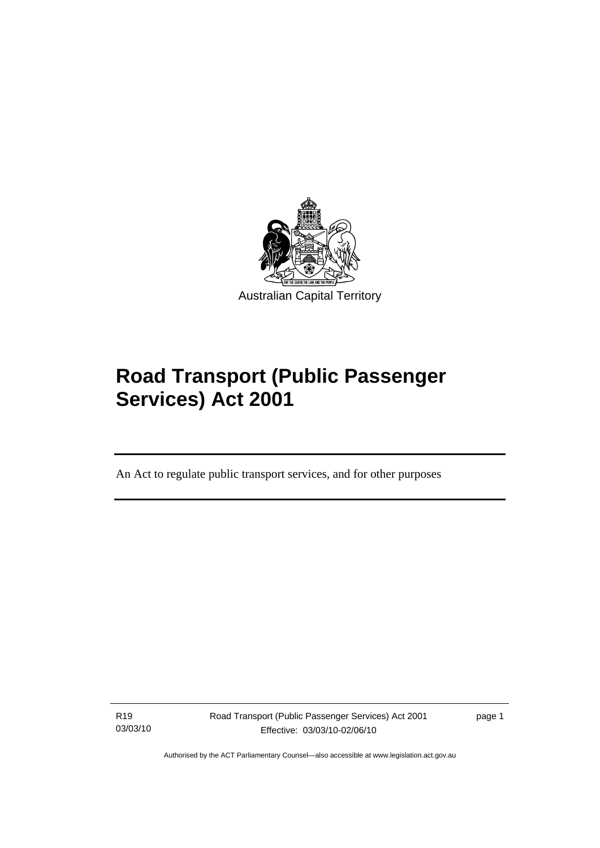<span id="page-10-0"></span>

# **Road Transport (Public Passenger Services) Act 2001**

An Act to regulate public transport services, and for other purposes

R19 03/03/10

l

Road Transport (Public Passenger Services) Act 2001 Effective: 03/03/10-02/06/10

page 1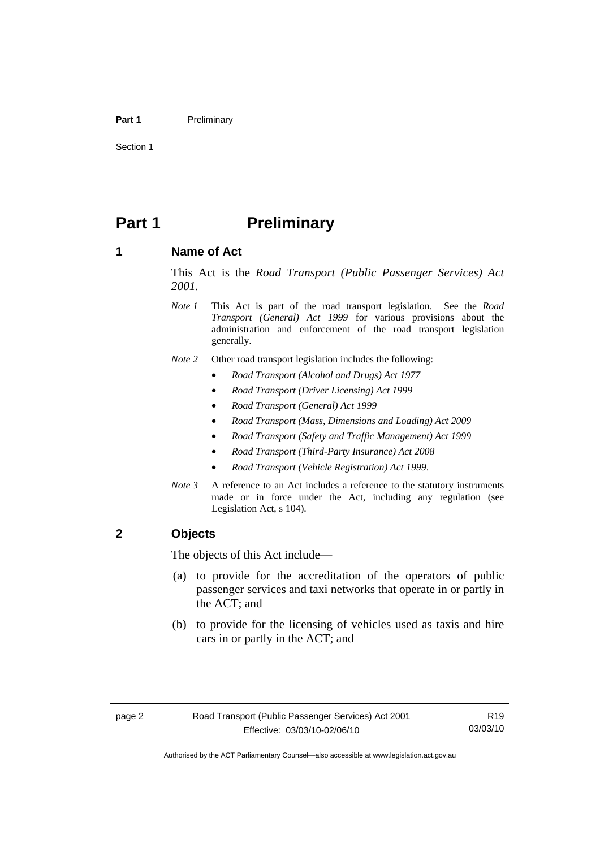#### <span id="page-11-0"></span>Part 1 **Preliminary**

Section 1

# **Part 1** Preliminary

#### **1 Name of Act**

This Act is the *Road Transport (Public Passenger Services) Act 2001.* 

- *Note 1* This Act is part of the road transport legislation. See the *Road Transport (General) Act 1999* for various provisions about the administration and enforcement of the road transport legislation generally.
- *Note 2* Other road transport legislation includes the following:
	- *Road Transport (Alcohol and Drugs) Act 1977*
	- *Road Transport (Driver Licensing) Act 1999*
	- *Road Transport (General) Act 1999*
	- *Road Transport (Mass, Dimensions and Loading) Act 2009*
	- *Road Transport (Safety and Traffic Management) Act 1999*
	- *Road Transport (Third-Party Insurance) Act 2008*
	- *Road Transport (Vehicle Registration) Act 1999*.
- *Note 3* A reference to an Act includes a reference to the statutory instruments made or in force under the Act, including any regulation (see Legislation Act, s 104).

#### **2 Objects**

The objects of this Act include—

- (a) to provide for the accreditation of the operators of public passenger services and taxi networks that operate in or partly in the ACT; and
- (b) to provide for the licensing of vehicles used as taxis and hire cars in or partly in the ACT; and

R19 03/03/10

Authorised by the ACT Parliamentary Counsel—also accessible at www.legislation.act.gov.au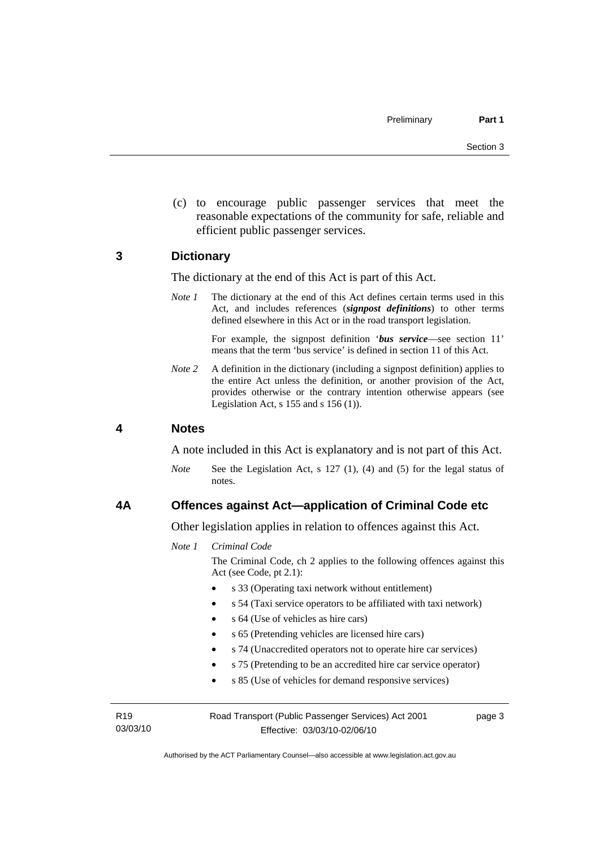<span id="page-12-0"></span> (c) to encourage public passenger services that meet the reasonable expectations of the community for safe, reliable and efficient public passenger services.

#### **3 Dictionary**

The dictionary at the end of this Act is part of this Act.

*Note 1* The dictionary at the end of this Act defines certain terms used in this Act, and includes references (*signpost definitions*) to other terms defined elsewhere in this Act or in the road transport legislation.

> For example, the signpost definition '*bus service*—see section 11' means that the term 'bus service' is defined in section 11 of this Act.

*Note* 2 A definition in the dictionary (including a signpost definition) applies to the entire Act unless the definition, or another provision of the Act, provides otherwise or the contrary intention otherwise appears (see Legislation Act, s  $155$  and s  $156$  (1)).

#### **4 Notes**

A note included in this Act is explanatory and is not part of this Act.

*Note* See the Legislation Act, s 127 (1), (4) and (5) for the legal status of notes.

#### **4A Offences against Act—application of Criminal Code etc**

Other legislation applies in relation to offences against this Act.

*Note 1 Criminal Code*

The Criminal Code, ch 2 applies to the following offences against this Act (see Code, pt 2.1):

- s 33 (Operating taxi network without entitlement)
- s 54 (Taxi service operators to be affiliated with taxi network)
- s 64 (Use of vehicles as hire cars)
- s 65 (Pretending vehicles are licensed hire cars)
- s 74 (Unaccredited operators not to operate hire car services)
- s 75 (Pretending to be an accredited hire car service operator)
- s 85 (Use of vehicles for demand responsive services)

| R <sub>19</sub> | Road Transport (Public Passenger Services) Act 2001 | page 3 |
|-----------------|-----------------------------------------------------|--------|
| 03/03/10        | Effective: 03/03/10-02/06/10                        |        |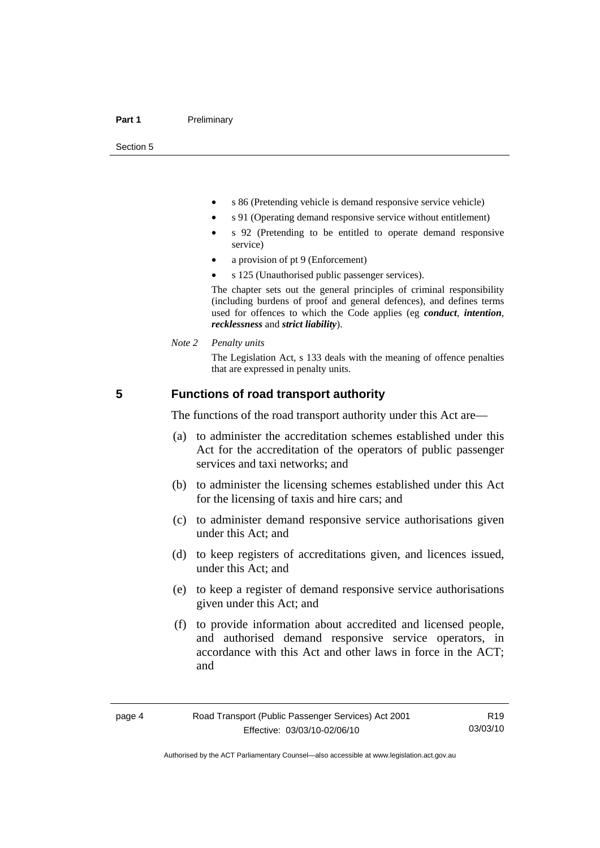<span id="page-13-0"></span>Section 5

- s 86 (Pretending vehicle is demand responsive service vehicle)
- s 91 (Operating demand responsive service without entitlement)
- s 92 (Pretending to be entitled to operate demand responsive service)
- a provision of pt 9 (Enforcement)
- s 125 (Unauthorised public passenger services).

The chapter sets out the general principles of criminal responsibility (including burdens of proof and general defences), and defines terms used for offences to which the Code applies (eg *conduct*, *intention*, *recklessness* and *strict liability*).

*Note 2 Penalty units* 

The Legislation Act, s 133 deals with the meaning of offence penalties that are expressed in penalty units.

#### **5 Functions of road transport authority**

The functions of the road transport authority under this Act are—

- (a) to administer the accreditation schemes established under this Act for the accreditation of the operators of public passenger services and taxi networks; and
- (b) to administer the licensing schemes established under this Act for the licensing of taxis and hire cars; and
- (c) to administer demand responsive service authorisations given under this Act; and
- (d) to keep registers of accreditations given, and licences issued, under this Act; and
- (e) to keep a register of demand responsive service authorisations given under this Act; and
- (f) to provide information about accredited and licensed people, and authorised demand responsive service operators, in accordance with this Act and other laws in force in the ACT; and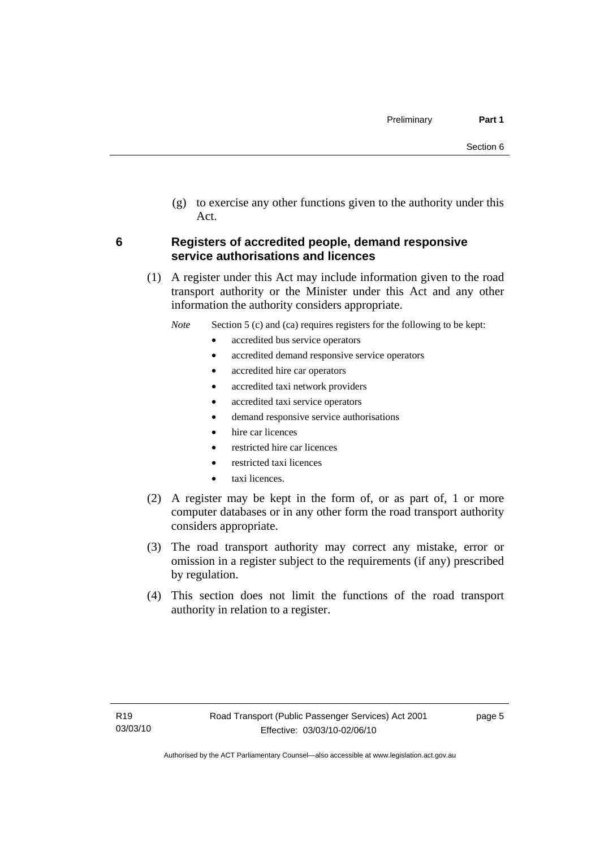<span id="page-14-0"></span> (g) to exercise any other functions given to the authority under this Act.

#### **6 Registers of accredited people, demand responsive service authorisations and licences**

 (1) A register under this Act may include information given to the road transport authority or the Minister under this Act and any other information the authority considers appropriate.

*Note* Section 5 (c) and (ca) requires registers for the following to be kept:

- accredited bus service operators
- accredited demand responsive service operators
- accredited hire car operators
- accredited taxi network providers
- accredited taxi service operators
- demand responsive service authorisations
- hire car licences
- restricted hire car licences
- restricted taxi licences
- taxi licences.
- (2) A register may be kept in the form of, or as part of, 1 or more computer databases or in any other form the road transport authority considers appropriate.
- (3) The road transport authority may correct any mistake, error or omission in a register subject to the requirements (if any) prescribed by regulation.
- (4) This section does not limit the functions of the road transport authority in relation to a register.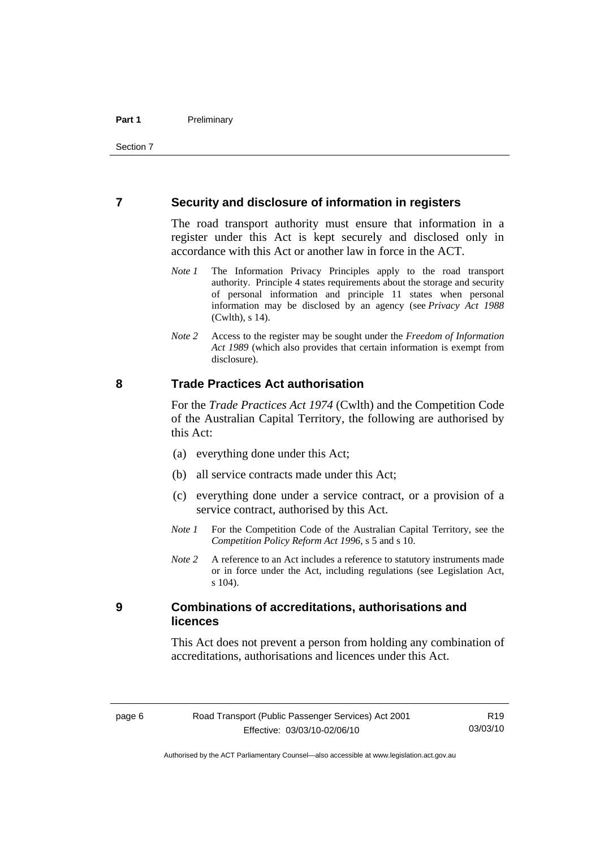#### <span id="page-15-0"></span>**7 Security and disclosure of information in registers**

The road transport authority must ensure that information in a register under this Act is kept securely and disclosed only in accordance with this Act or another law in force in the ACT.

- *Note 1* The Information Privacy Principles apply to the road transport authority. Principle 4 states requirements about the storage and security of personal information and principle 11 states when personal information may be disclosed by an agency (see *Privacy Act 1988* (Cwlth), s 14).
- *Note 2* Access to the register may be sought under the *Freedom of Information Act 1989* (which also provides that certain information is exempt from disclosure).

#### **8 Trade Practices Act authorisation**

For the *Trade Practices Act 1974* (Cwlth) and the Competition Code of the Australian Capital Territory, the following are authorised by this Act:

- (a) everything done under this Act;
- (b) all service contracts made under this Act;
- (c) everything done under a service contract, or a provision of a service contract, authorised by this Act.
- *Note 1* For the Competition Code of the Australian Capital Territory, see the *Competition Policy Reform Act 1996*, s 5 and s 10.
- *Note 2* A reference to an Act includes a reference to statutory instruments made or in force under the Act, including regulations (see Legislation Act, s 104).

#### **9 Combinations of accreditations, authorisations and licences**

This Act does not prevent a person from holding any combination of accreditations, authorisations and licences under this Act.

Authorised by the ACT Parliamentary Counsel—also accessible at www.legislation.act.gov.au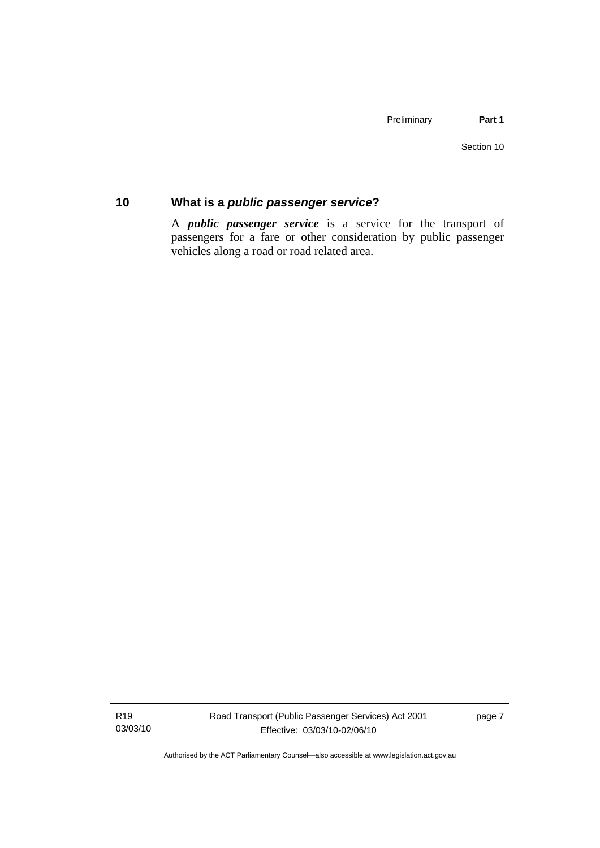### <span id="page-16-0"></span>**10 What is a** *public passenger service***?**

A *public passenger service* is a service for the transport of passengers for a fare or other consideration by public passenger vehicles along a road or road related area.

R19 03/03/10 Road Transport (Public Passenger Services) Act 2001 Effective: 03/03/10-02/06/10

page 7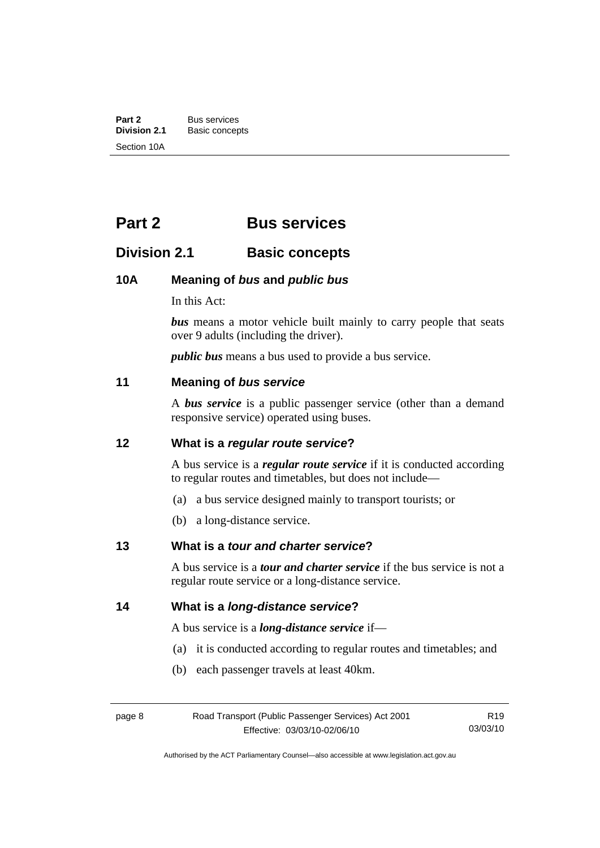<span id="page-17-0"></span>**Part 2** Bus services<br> **Division 2.1** Basic concer **Division 2.1** Basic concepts Section 10A

# **Part 2 Bus services**

# **Division 2.1 Basic concepts**

#### **10A Meaning of** *bus* **and** *public bus*

In this Act:

*bus* means a motor vehicle built mainly to carry people that seats over 9 adults (including the driver).

*public bus* means a bus used to provide a bus service.

#### **11 Meaning of** *bus service*

A *bus service* is a public passenger service (other than a demand responsive service) operated using buses.

#### **12 What is a** *regular route service***?**

A bus service is a *regular route service* if it is conducted according to regular routes and timetables, but does not include—

- (a) a bus service designed mainly to transport tourists; or
- (b) a long-distance service.

#### **13 What is a** *tour and charter service***?**

A bus service is a *tour and charter service* if the bus service is not a regular route service or a long-distance service.

#### **14 What is a** *long-distance service***?**

A bus service is a *long-distance service* if—

(a) it is conducted according to regular routes and timetables; and

(b) each passenger travels at least 40km.

| page 8 | Road Transport (Public Passenger Services) Act 2001 | R <sub>19</sub> |
|--------|-----------------------------------------------------|-----------------|
|        | Effective: 03/03/10-02/06/10                        | 03/03/10        |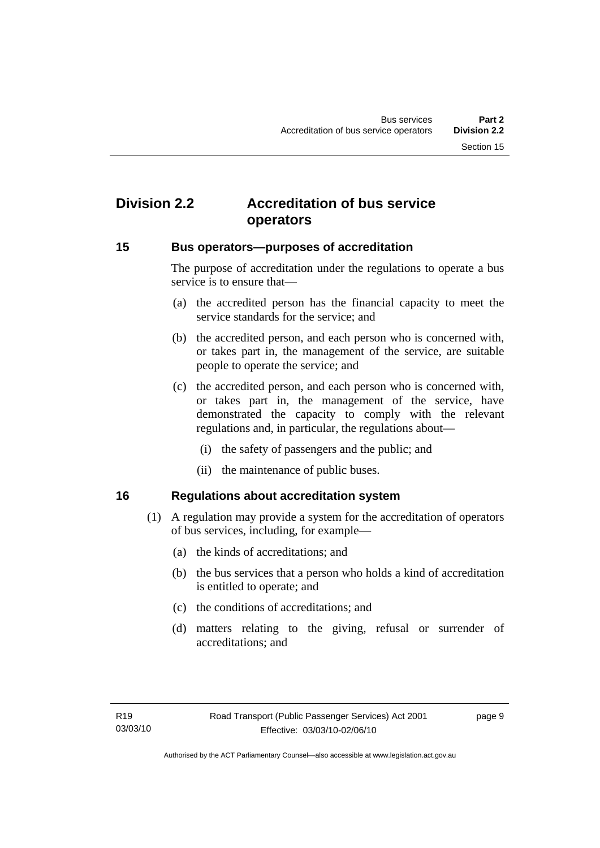# <span id="page-18-0"></span>**Division 2.2 Accreditation of bus service operators**

#### **15 Bus operators—purposes of accreditation**

The purpose of accreditation under the regulations to operate a bus service is to ensure that—

- (a) the accredited person has the financial capacity to meet the service standards for the service; and
- (b) the accredited person, and each person who is concerned with, or takes part in, the management of the service, are suitable people to operate the service; and
- (c) the accredited person, and each person who is concerned with, or takes part in, the management of the service, have demonstrated the capacity to comply with the relevant regulations and, in particular, the regulations about—
	- (i) the safety of passengers and the public; and
	- (ii) the maintenance of public buses.

#### **16 Regulations about accreditation system**

- (1) A regulation may provide a system for the accreditation of operators of bus services, including, for example—
	- (a) the kinds of accreditations; and
	- (b) the bus services that a person who holds a kind of accreditation is entitled to operate; and
	- (c) the conditions of accreditations; and
	- (d) matters relating to the giving, refusal or surrender of accreditations; and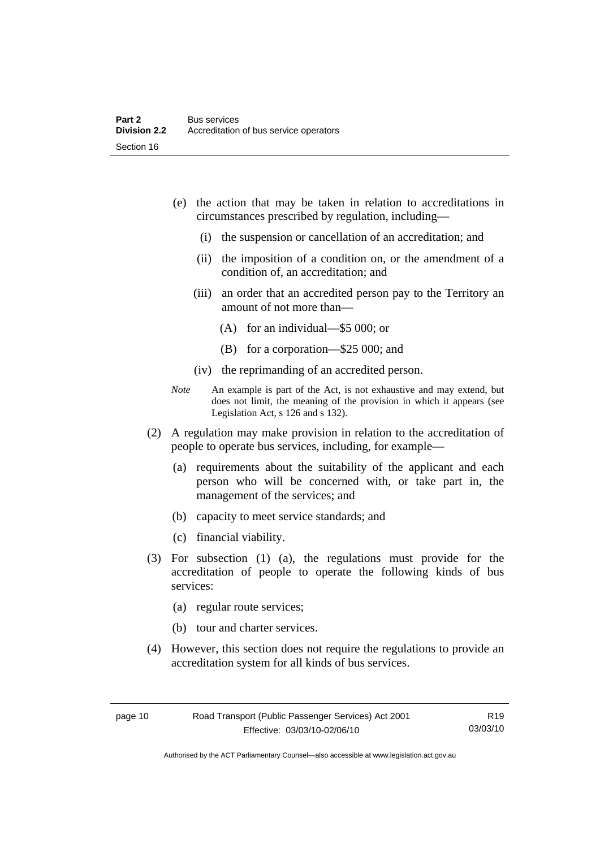- (e) the action that may be taken in relation to accreditations in circumstances prescribed by regulation, including—
	- (i) the suspension or cancellation of an accreditation; and
	- (ii) the imposition of a condition on, or the amendment of a condition of, an accreditation; and
	- (iii) an order that an accredited person pay to the Territory an amount of not more than—
		- (A) for an individual—\$5 000; or
		- (B) for a corporation—\$25 000; and
	- (iv) the reprimanding of an accredited person.
- *Note* An example is part of the Act, is not exhaustive and may extend, but does not limit, the meaning of the provision in which it appears (see Legislation Act, s 126 and s 132).
- (2) A regulation may make provision in relation to the accreditation of people to operate bus services, including, for example—
	- (a) requirements about the suitability of the applicant and each person who will be concerned with, or take part in, the management of the services; and
	- (b) capacity to meet service standards; and
	- (c) financial viability.
- (3) For subsection (1) (a), the regulations must provide for the accreditation of people to operate the following kinds of bus services:
	- (a) regular route services;
	- (b) tour and charter services.
- (4) However, this section does not require the regulations to provide an accreditation system for all kinds of bus services.

R19 03/03/10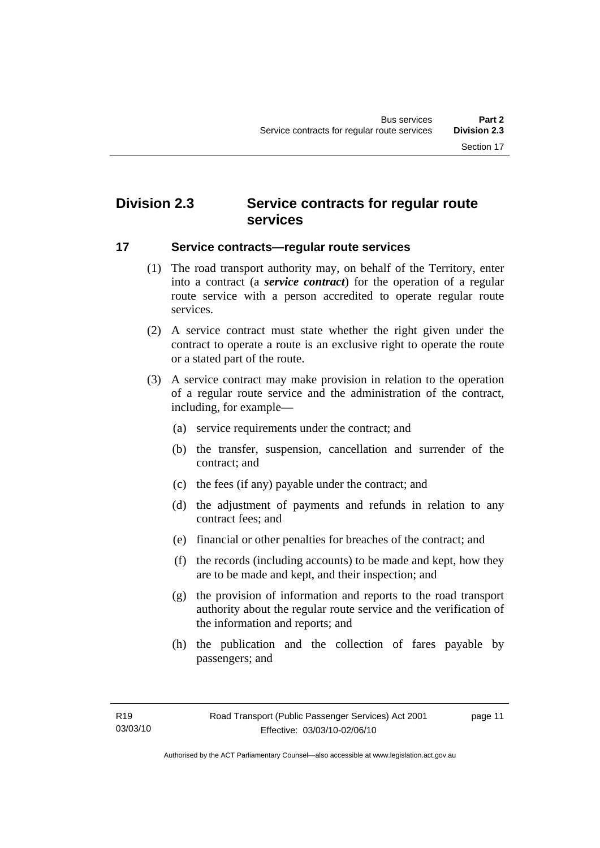# <span id="page-20-0"></span>**Division 2.3 Service contracts for regular route services**

#### **17 Service contracts—regular route services**

- (1) The road transport authority may, on behalf of the Territory, enter into a contract (a *service contract*) for the operation of a regular route service with a person accredited to operate regular route services.
- (2) A service contract must state whether the right given under the contract to operate a route is an exclusive right to operate the route or a stated part of the route.
- (3) A service contract may make provision in relation to the operation of a regular route service and the administration of the contract, including, for example—
	- (a) service requirements under the contract; and
	- (b) the transfer, suspension, cancellation and surrender of the contract; and
	- (c) the fees (if any) payable under the contract; and
	- (d) the adjustment of payments and refunds in relation to any contract fees; and
	- (e) financial or other penalties for breaches of the contract; and
	- (f) the records (including accounts) to be made and kept, how they are to be made and kept, and their inspection; and
	- (g) the provision of information and reports to the road transport authority about the regular route service and the verification of the information and reports; and
	- (h) the publication and the collection of fares payable by passengers; and

page 11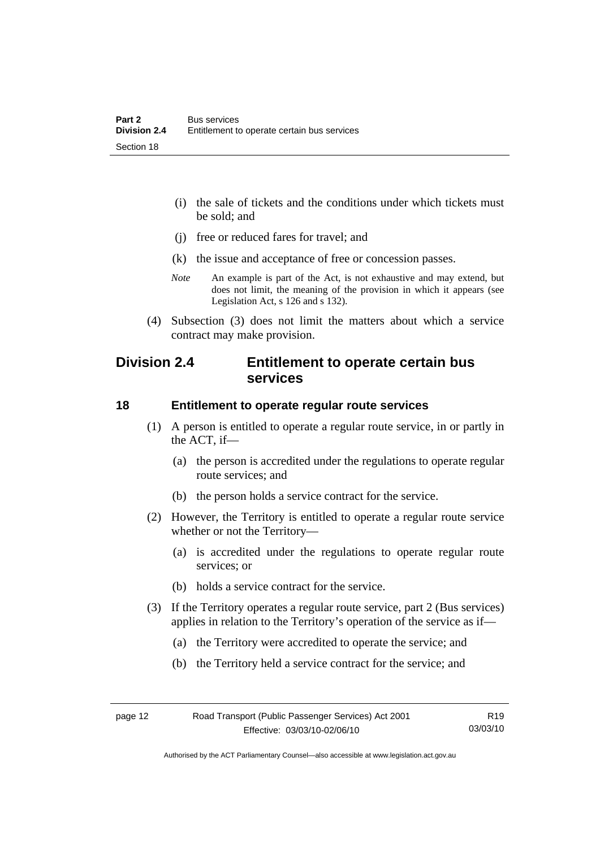- <span id="page-21-0"></span> (i) the sale of tickets and the conditions under which tickets must be sold; and
- (j) free or reduced fares for travel; and
- (k) the issue and acceptance of free or concession passes.
- *Note* An example is part of the Act, is not exhaustive and may extend, but does not limit, the meaning of the provision in which it appears (see Legislation Act, s 126 and s 132).
- (4) Subsection (3) does not limit the matters about which a service contract may make provision.

## **Division 2.4 Entitlement to operate certain bus services**

#### **18 Entitlement to operate regular route services**

- (1) A person is entitled to operate a regular route service, in or partly in the ACT, if—
	- (a) the person is accredited under the regulations to operate regular route services; and
	- (b) the person holds a service contract for the service.
- (2) However, the Territory is entitled to operate a regular route service whether or not the Territory—
	- (a) is accredited under the regulations to operate regular route services; or
	- (b) holds a service contract for the service.
- (3) If the Territory operates a regular route service, part 2 (Bus services) applies in relation to the Territory's operation of the service as if—
	- (a) the Territory were accredited to operate the service; and
	- (b) the Territory held a service contract for the service; and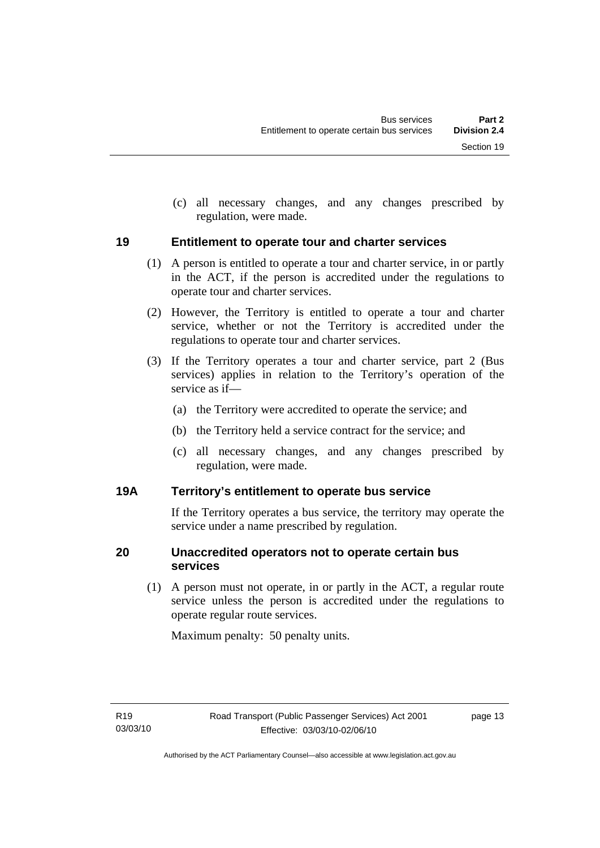<span id="page-22-0"></span> (c) all necessary changes, and any changes prescribed by regulation, were made.

#### **19 Entitlement to operate tour and charter services**

- (1) A person is entitled to operate a tour and charter service, in or partly in the ACT, if the person is accredited under the regulations to operate tour and charter services.
- (2) However, the Territory is entitled to operate a tour and charter service, whether or not the Territory is accredited under the regulations to operate tour and charter services.
- (3) If the Territory operates a tour and charter service, part 2 (Bus services) applies in relation to the Territory's operation of the service as if—
	- (a) the Territory were accredited to operate the service; and
	- (b) the Territory held a service contract for the service; and
	- (c) all necessary changes, and any changes prescribed by regulation, were made.

#### **19A Territory's entitlement to operate bus service**

If the Territory operates a bus service, the territory may operate the service under a name prescribed by regulation.

#### **20 Unaccredited operators not to operate certain bus services**

 (1) A person must not operate, in or partly in the ACT, a regular route service unless the person is accredited under the regulations to operate regular route services.

Maximum penalty: 50 penalty units.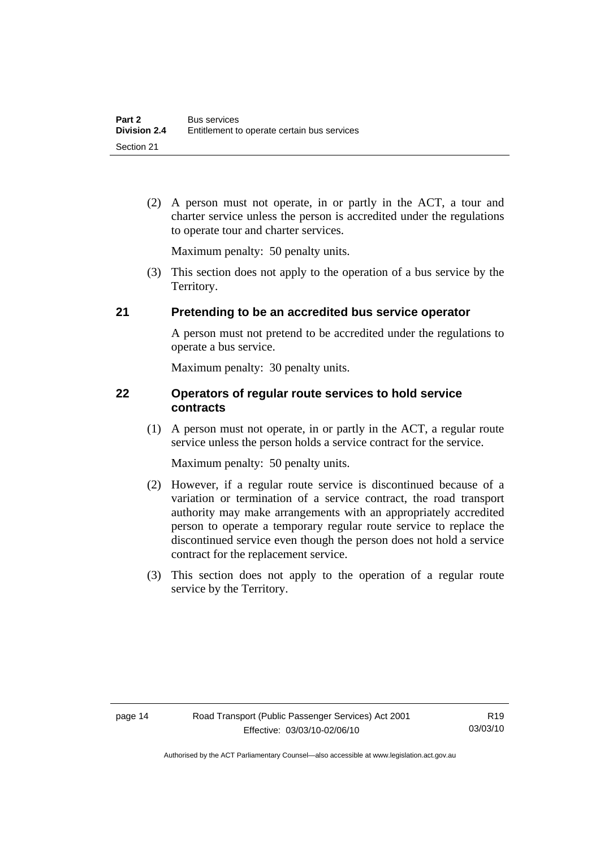<span id="page-23-0"></span> (2) A person must not operate, in or partly in the ACT, a tour and charter service unless the person is accredited under the regulations to operate tour and charter services.

Maximum penalty: 50 penalty units.

 (3) This section does not apply to the operation of a bus service by the Territory.

#### **21 Pretending to be an accredited bus service operator**

A person must not pretend to be accredited under the regulations to operate a bus service.

Maximum penalty: 30 penalty units.

#### **22 Operators of regular route services to hold service contracts**

 (1) A person must not operate, in or partly in the ACT, a regular route service unless the person holds a service contract for the service.

Maximum penalty: 50 penalty units.

- (2) However, if a regular route service is discontinued because of a variation or termination of a service contract, the road transport authority may make arrangements with an appropriately accredited person to operate a temporary regular route service to replace the discontinued service even though the person does not hold a service contract for the replacement service.
- (3) This section does not apply to the operation of a regular route service by the Territory.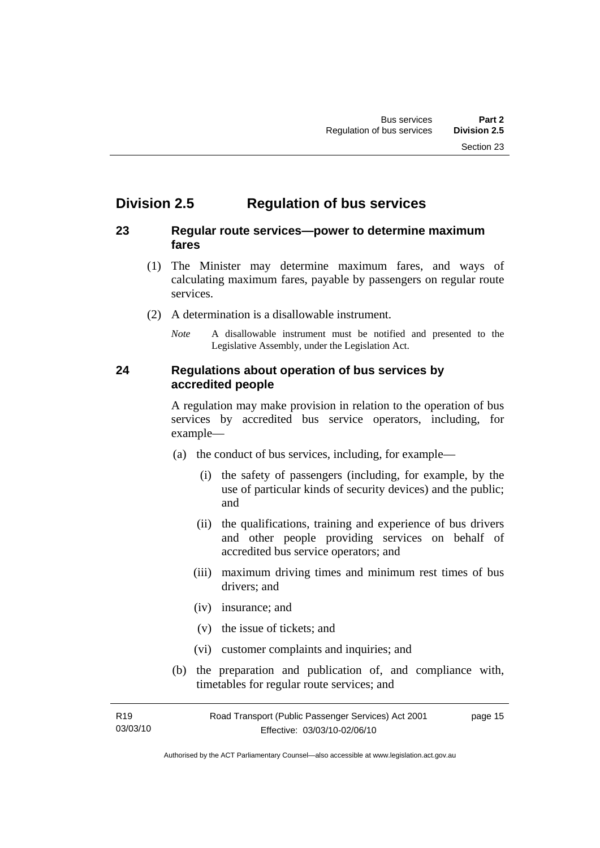# <span id="page-24-0"></span>**Division 2.5 Regulation of bus services**

#### **23 Regular route services—power to determine maximum fares**

- (1) The Minister may determine maximum fares, and ways of calculating maximum fares, payable by passengers on regular route services.
- (2) A determination is a disallowable instrument.
	- *Note* A disallowable instrument must be notified and presented to the Legislative Assembly, under the Legislation Act.

#### **24 Regulations about operation of bus services by accredited people**

A regulation may make provision in relation to the operation of bus services by accredited bus service operators, including, for example—

- (a) the conduct of bus services, including, for example—
	- (i) the safety of passengers (including, for example, by the use of particular kinds of security devices) and the public; and
	- (ii) the qualifications, training and experience of bus drivers and other people providing services on behalf of accredited bus service operators; and
	- (iii) maximum driving times and minimum rest times of bus drivers; and
	- (iv) insurance; and
	- (v) the issue of tickets; and
	- (vi) customer complaints and inquiries; and
- (b) the preparation and publication of, and compliance with, timetables for regular route services; and

| R19      | Road Transport (Public Passenger Services) Act 2001 | page 15 |
|----------|-----------------------------------------------------|---------|
| 03/03/10 | Effective: 03/03/10-02/06/10                        |         |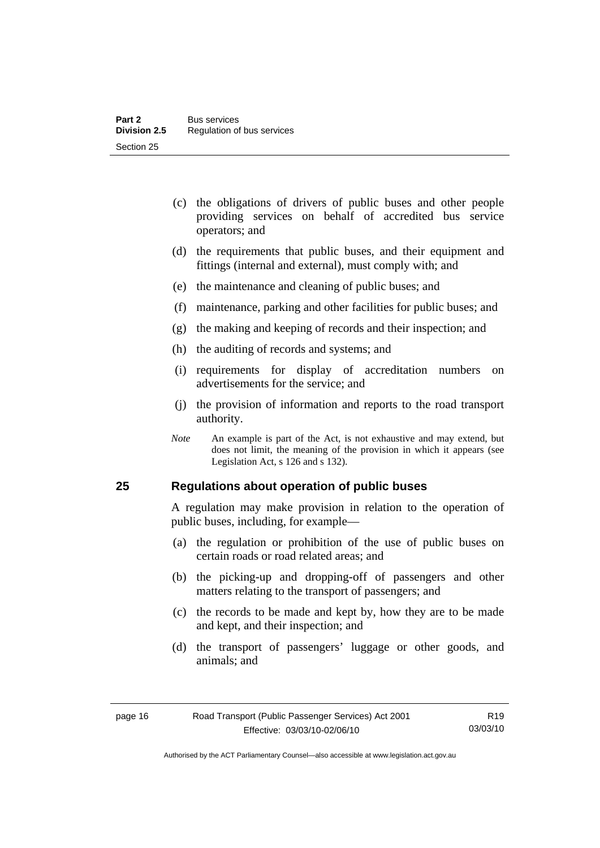- <span id="page-25-0"></span> (c) the obligations of drivers of public buses and other people providing services on behalf of accredited bus service operators; and
- (d) the requirements that public buses, and their equipment and fittings (internal and external), must comply with; and
- (e) the maintenance and cleaning of public buses; and
- (f) maintenance, parking and other facilities for public buses; and
- (g) the making and keeping of records and their inspection; and
- (h) the auditing of records and systems; and
- (i) requirements for display of accreditation numbers on advertisements for the service; and
- (j) the provision of information and reports to the road transport authority.
- *Note* An example is part of the Act, is not exhaustive and may extend, but does not limit, the meaning of the provision in which it appears (see Legislation Act, s 126 and s 132).

#### **25 Regulations about operation of public buses**

A regulation may make provision in relation to the operation of public buses, including, for example—

- (a) the regulation or prohibition of the use of public buses on certain roads or road related areas; and
- (b) the picking-up and dropping-off of passengers and other matters relating to the transport of passengers; and
- (c) the records to be made and kept by, how they are to be made and kept, and their inspection; and
- (d) the transport of passengers' luggage or other goods, and animals; and

Authorised by the ACT Parliamentary Counsel—also accessible at www.legislation.act.gov.au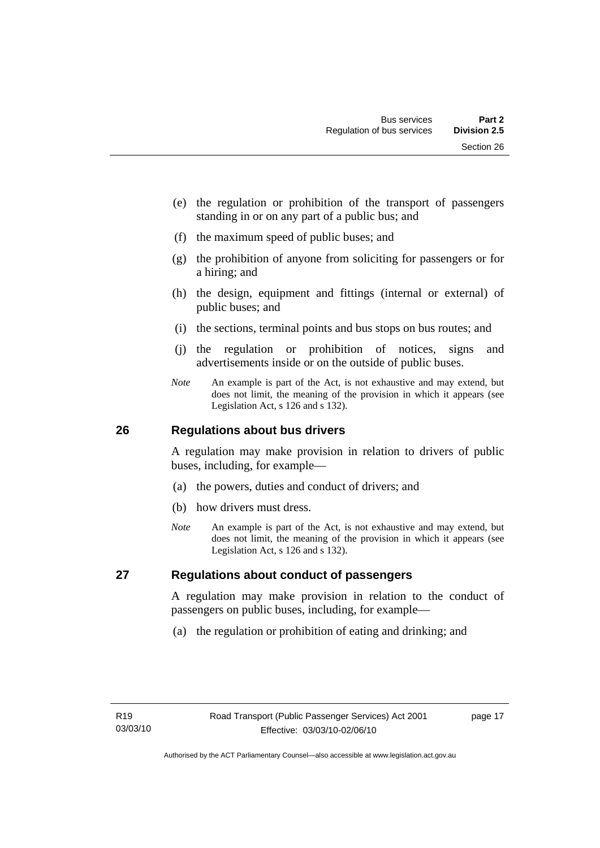- <span id="page-26-0"></span> (e) the regulation or prohibition of the transport of passengers standing in or on any part of a public bus; and
- (f) the maximum speed of public buses; and
- (g) the prohibition of anyone from soliciting for passengers or for a hiring; and
- (h) the design, equipment and fittings (internal or external) of public buses; and
- (i) the sections, terminal points and bus stops on bus routes; and
- (j) the regulation or prohibition of notices, signs and advertisements inside or on the outside of public buses.
- *Note* An example is part of the Act, is not exhaustive and may extend, but does not limit, the meaning of the provision in which it appears (see Legislation Act, s 126 and s 132).

#### **26 Regulations about bus drivers**

A regulation may make provision in relation to drivers of public buses, including, for example—

- (a) the powers, duties and conduct of drivers; and
- (b) how drivers must dress.
- *Note* An example is part of the Act, is not exhaustive and may extend, but does not limit, the meaning of the provision in which it appears (see Legislation Act, s 126 and s 132).

#### **27 Regulations about conduct of passengers**

A regulation may make provision in relation to the conduct of passengers on public buses, including, for example—

(a) the regulation or prohibition of eating and drinking; and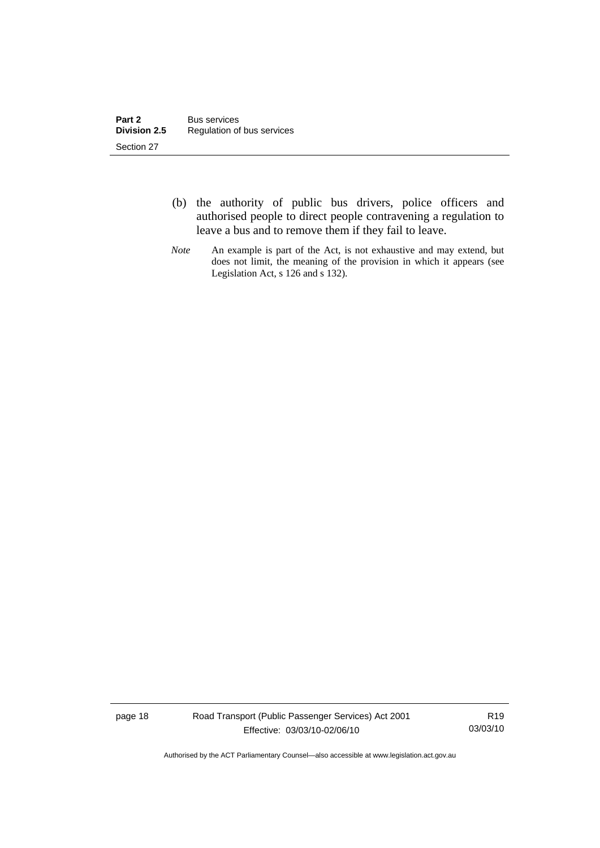- (b) the authority of public bus drivers, police officers and authorised people to direct people contravening a regulation to leave a bus and to remove them if they fail to leave.
- *Note* An example is part of the Act, is not exhaustive and may extend, but does not limit, the meaning of the provision in which it appears (see Legislation Act, s 126 and s 132).

page 18 Road Transport (Public Passenger Services) Act 2001 Effective: 03/03/10-02/06/10

R19 03/03/10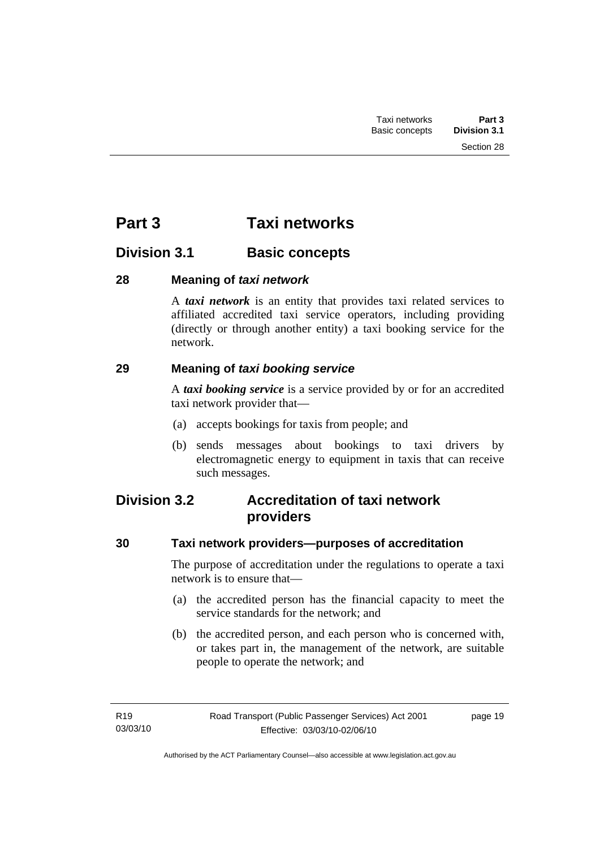Section 28

# <span id="page-28-0"></span>**Division 3.1 Basic concepts**

#### **28 Meaning of** *taxi network*

A *taxi network* is an entity that provides taxi related services to affiliated accredited taxi service operators, including providing (directly or through another entity) a taxi booking service for the network.

#### **29 Meaning of** *taxi booking service*

A *taxi booking service* is a service provided by or for an accredited taxi network provider that—

- (a) accepts bookings for taxis from people; and
- (b) sends messages about bookings to taxi drivers by electromagnetic energy to equipment in taxis that can receive such messages.

# **Division 3.2 Accreditation of taxi network providers**

#### **30 Taxi network providers—purposes of accreditation**

The purpose of accreditation under the regulations to operate a taxi network is to ensure that—

- (a) the accredited person has the financial capacity to meet the service standards for the network; and
- (b) the accredited person, and each person who is concerned with, or takes part in, the management of the network, are suitable people to operate the network; and

page 19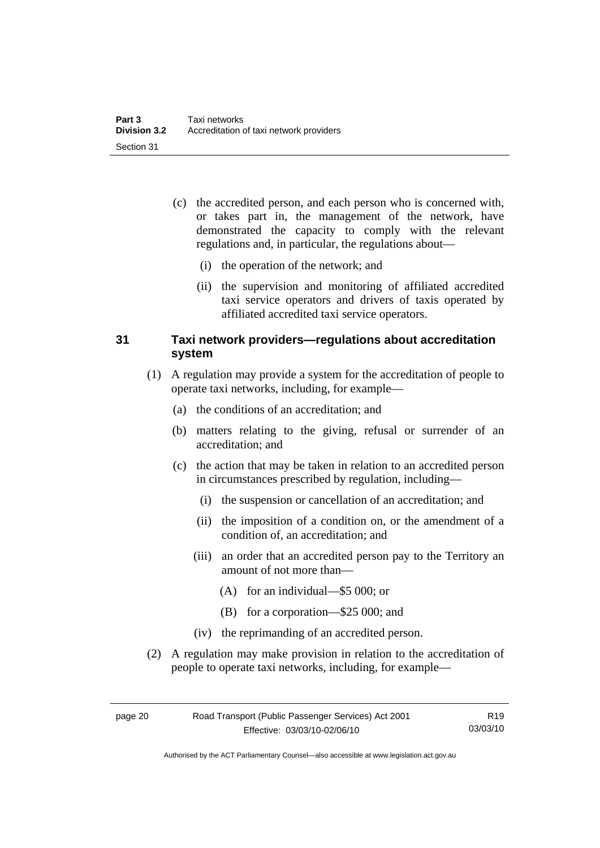- <span id="page-29-0"></span> (c) the accredited person, and each person who is concerned with, or takes part in, the management of the network, have demonstrated the capacity to comply with the relevant regulations and, in particular, the regulations about—
	- (i) the operation of the network; and
	- (ii) the supervision and monitoring of affiliated accredited taxi service operators and drivers of taxis operated by affiliated accredited taxi service operators.

#### **31 Taxi network providers—regulations about accreditation system**

- (1) A regulation may provide a system for the accreditation of people to operate taxi networks, including, for example—
	- (a) the conditions of an accreditation; and
	- (b) matters relating to the giving, refusal or surrender of an accreditation; and
	- (c) the action that may be taken in relation to an accredited person in circumstances prescribed by regulation, including—
		- (i) the suspension or cancellation of an accreditation; and
		- (ii) the imposition of a condition on, or the amendment of a condition of, an accreditation; and
		- (iii) an order that an accredited person pay to the Territory an amount of not more than—
			- (A) for an individual—\$5 000; or
			- (B) for a corporation—\$25 000; and
		- (iv) the reprimanding of an accredited person.
- (2) A regulation may make provision in relation to the accreditation of people to operate taxi networks, including, for example—

Authorised by the ACT Parliamentary Counsel—also accessible at www.legislation.act.gov.au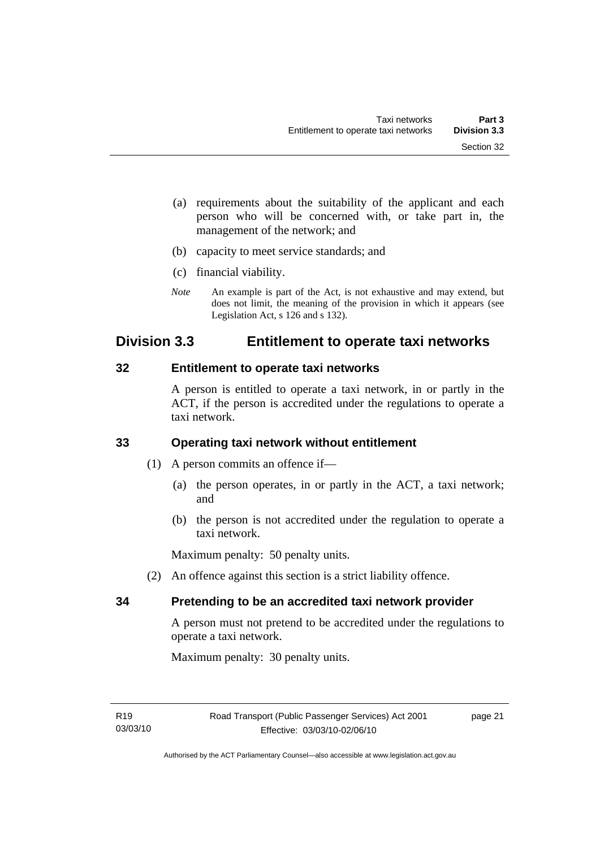- <span id="page-30-0"></span> (a) requirements about the suitability of the applicant and each person who will be concerned with, or take part in, the management of the network; and
- (b) capacity to meet service standards; and
- (c) financial viability.
- *Note* An example is part of the Act, is not exhaustive and may extend, but does not limit, the meaning of the provision in which it appears (see Legislation Act, s 126 and s 132).

# **Division 3.3 Entitlement to operate taxi networks**

#### **32 Entitlement to operate taxi networks**

A person is entitled to operate a taxi network, in or partly in the ACT, if the person is accredited under the regulations to operate a taxi network.

#### **33 Operating taxi network without entitlement**

- (1) A person commits an offence if—
	- (a) the person operates, in or partly in the ACT, a taxi network; and
	- (b) the person is not accredited under the regulation to operate a taxi network.

Maximum penalty: 50 penalty units.

(2) An offence against this section is a strict liability offence.

#### **34 Pretending to be an accredited taxi network provider**

A person must not pretend to be accredited under the regulations to operate a taxi network.

Maximum penalty: 30 penalty units.

page 21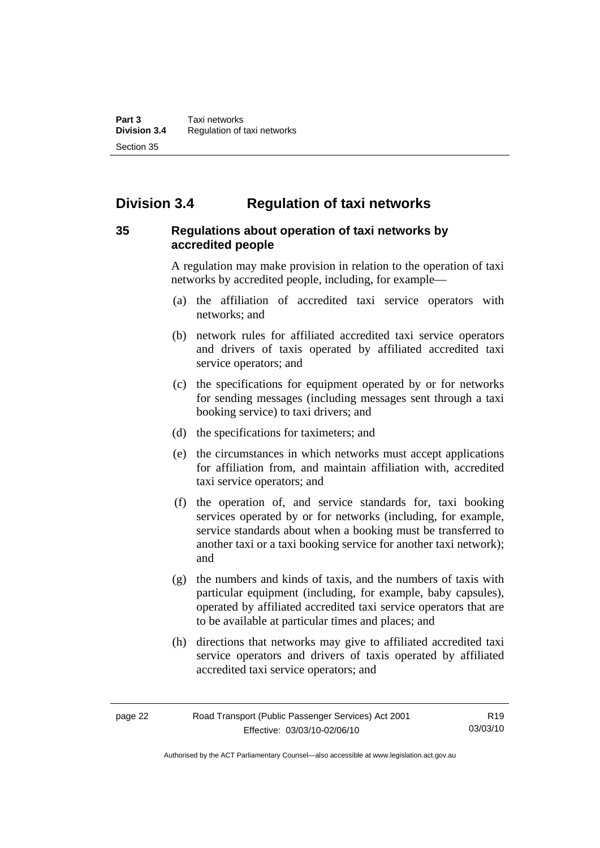# <span id="page-31-0"></span>**Division 3.4 Regulation of taxi networks**

#### **35 Regulations about operation of taxi networks by accredited people**

A regulation may make provision in relation to the operation of taxi networks by accredited people, including, for example—

- (a) the affiliation of accredited taxi service operators with networks; and
- (b) network rules for affiliated accredited taxi service operators and drivers of taxis operated by affiliated accredited taxi service operators; and
- (c) the specifications for equipment operated by or for networks for sending messages (including messages sent through a taxi booking service) to taxi drivers; and
- (d) the specifications for taximeters; and
- (e) the circumstances in which networks must accept applications for affiliation from, and maintain affiliation with, accredited taxi service operators; and
- (f) the operation of, and service standards for, taxi booking services operated by or for networks (including, for example, service standards about when a booking must be transferred to another taxi or a taxi booking service for another taxi network); and
- (g) the numbers and kinds of taxis, and the numbers of taxis with particular equipment (including, for example, baby capsules), operated by affiliated accredited taxi service operators that are to be available at particular times and places; and
- (h) directions that networks may give to affiliated accredited taxi service operators and drivers of taxis operated by affiliated accredited taxi service operators; and

Authorised by the ACT Parliamentary Counsel—also accessible at www.legislation.act.gov.au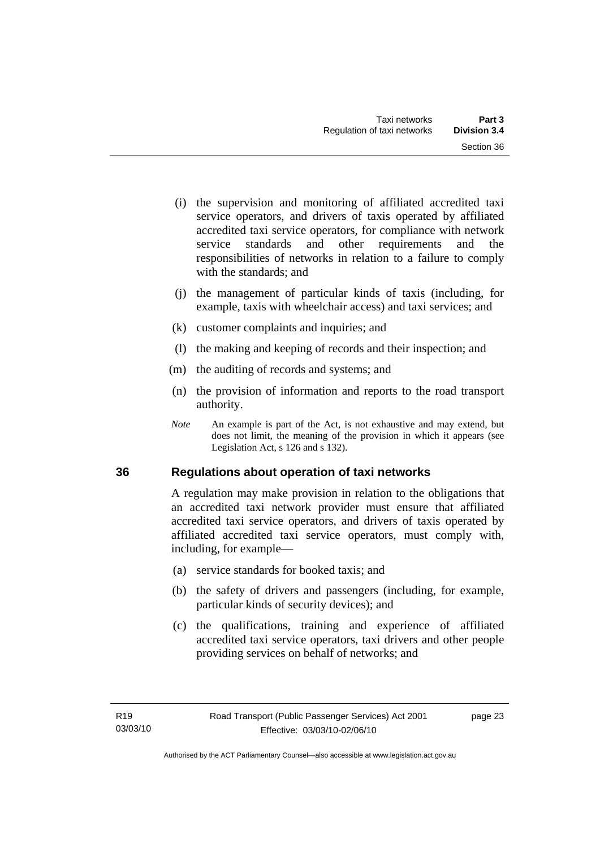- <span id="page-32-0"></span> (i) the supervision and monitoring of affiliated accredited taxi service operators, and drivers of taxis operated by affiliated accredited taxi service operators, for compliance with network service standards and other requirements and the responsibilities of networks in relation to a failure to comply with the standards: and
- (j) the management of particular kinds of taxis (including, for example, taxis with wheelchair access) and taxi services; and
- (k) customer complaints and inquiries; and
- (l) the making and keeping of records and their inspection; and
- (m) the auditing of records and systems; and
- (n) the provision of information and reports to the road transport authority.
- *Note* An example is part of the Act, is not exhaustive and may extend, but does not limit, the meaning of the provision in which it appears (see Legislation Act, s 126 and s 132).

#### **36 Regulations about operation of taxi networks**

A regulation may make provision in relation to the obligations that an accredited taxi network provider must ensure that affiliated accredited taxi service operators, and drivers of taxis operated by affiliated accredited taxi service operators, must comply with, including, for example—

- (a) service standards for booked taxis; and
- (b) the safety of drivers and passengers (including, for example, particular kinds of security devices); and
- (c) the qualifications, training and experience of affiliated accredited taxi service operators, taxi drivers and other people providing services on behalf of networks; and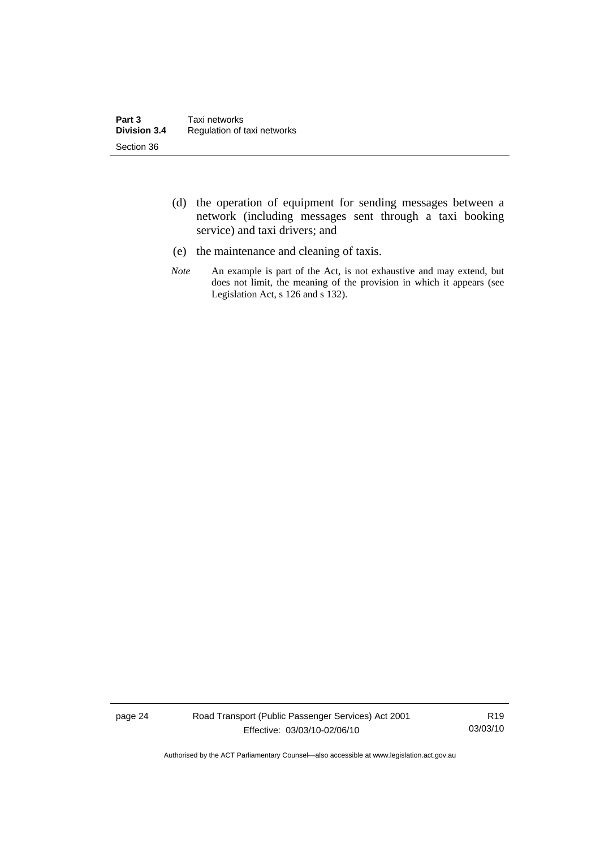- (d) the operation of equipment for sending messages between a network (including messages sent through a taxi booking service) and taxi drivers; and
- (e) the maintenance and cleaning of taxis.
- *Note* An example is part of the Act, is not exhaustive and may extend, but does not limit, the meaning of the provision in which it appears (see Legislation Act, s 126 and s 132).

page 24 Road Transport (Public Passenger Services) Act 2001 Effective: 03/03/10-02/06/10

R19 03/03/10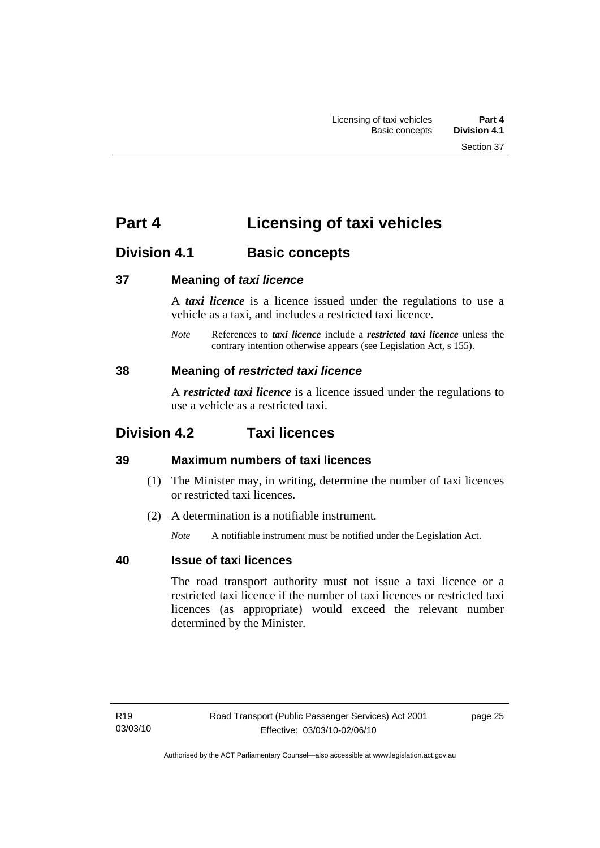# <span id="page-34-0"></span>**Part 4 Licensing of taxi vehicles**

# **Division 4.1 Basic concepts**

#### **37 Meaning of** *taxi licence*

A *taxi licence* is a licence issued under the regulations to use a vehicle as a taxi, and includes a restricted taxi licence.

*Note* References to *taxi licence* include a *restricted taxi licence* unless the contrary intention otherwise appears (see Legislation Act, s 155).

#### **38 Meaning of** *restricted taxi licence*

A *restricted taxi licence* is a licence issued under the regulations to use a vehicle as a restricted taxi.

# **Division 4.2 Taxi licences**

## **39 Maximum numbers of taxi licences**

- (1) The Minister may, in writing, determine the number of taxi licences or restricted taxi licences.
- (2) A determination is a notifiable instrument.

*Note* A notifiable instrument must be notified under the Legislation Act.

## **40 Issue of taxi licences**

The road transport authority must not issue a taxi licence or a restricted taxi licence if the number of taxi licences or restricted taxi licences (as appropriate) would exceed the relevant number determined by the Minister.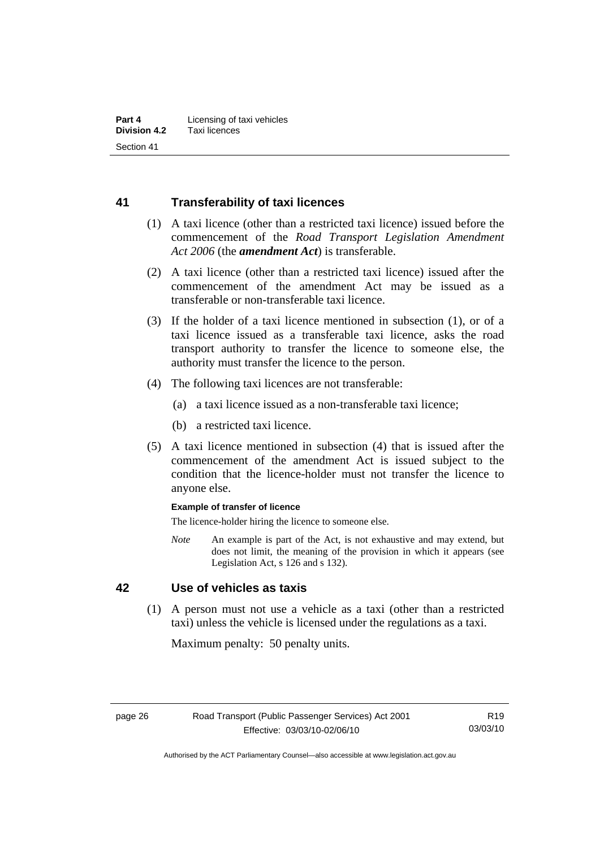#### <span id="page-35-0"></span>**41 Transferability of taxi licences**

- (1) A taxi licence (other than a restricted taxi licence) issued before the commencement of the *Road Transport Legislation Amendment Act 2006* (the *amendment Act*) is transferable.
- (2) A taxi licence (other than a restricted taxi licence) issued after the commencement of the amendment Act may be issued as a transferable or non-transferable taxi licence.
- (3) If the holder of a taxi licence mentioned in subsection (1), or of a taxi licence issued as a transferable taxi licence, asks the road transport authority to transfer the licence to someone else, the authority must transfer the licence to the person.
- (4) The following taxi licences are not transferable:
	- (a) a taxi licence issued as a non-transferable taxi licence;
	- (b) a restricted taxi licence.
- (5) A taxi licence mentioned in subsection (4) that is issued after the commencement of the amendment Act is issued subject to the condition that the licence-holder must not transfer the licence to anyone else.

#### **Example of transfer of licence**

The licence-holder hiring the licence to someone else.

*Note* An example is part of the Act, is not exhaustive and may extend, but does not limit, the meaning of the provision in which it appears (see Legislation Act, s 126 and s 132).

#### **42 Use of vehicles as taxis**

 (1) A person must not use a vehicle as a taxi (other than a restricted taxi) unless the vehicle is licensed under the regulations as a taxi.

Maximum penalty: 50 penalty units.

Authorised by the ACT Parliamentary Counsel—also accessible at www.legislation.act.gov.au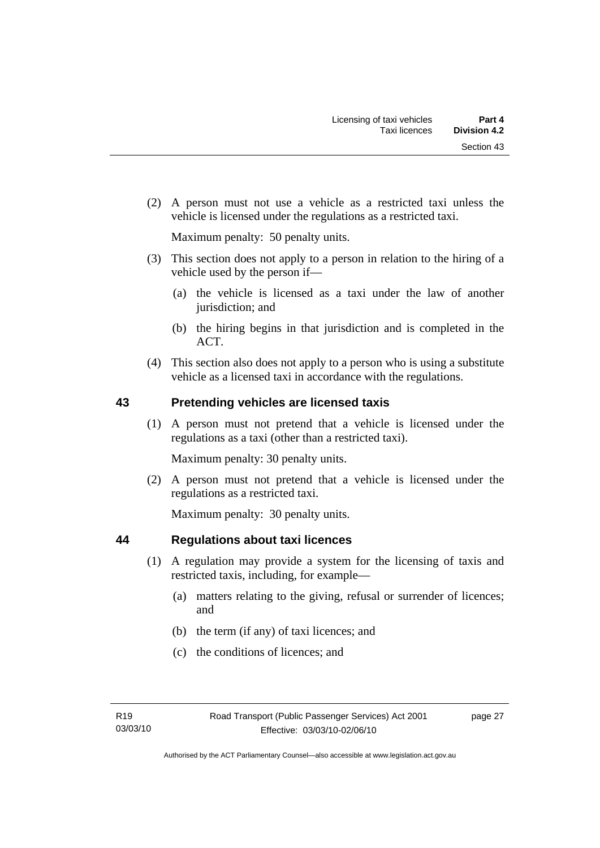(2) A person must not use a vehicle as a restricted taxi unless the vehicle is licensed under the regulations as a restricted taxi.

Maximum penalty: 50 penalty units.

- (3) This section does not apply to a person in relation to the hiring of a vehicle used by the person if—
	- (a) the vehicle is licensed as a taxi under the law of another jurisdiction; and
	- (b) the hiring begins in that jurisdiction and is completed in the ACT.
- (4) This section also does not apply to a person who is using a substitute vehicle as a licensed taxi in accordance with the regulations.

## **43 Pretending vehicles are licensed taxis**

 (1) A person must not pretend that a vehicle is licensed under the regulations as a taxi (other than a restricted taxi).

Maximum penalty: 30 penalty units.

 (2) A person must not pretend that a vehicle is licensed under the regulations as a restricted taxi.

Maximum penalty: 30 penalty units.

## **44 Regulations about taxi licences**

- (1) A regulation may provide a system for the licensing of taxis and restricted taxis, including, for example—
	- (a) matters relating to the giving, refusal or surrender of licences; and
	- (b) the term (if any) of taxi licences; and
	- (c) the conditions of licences; and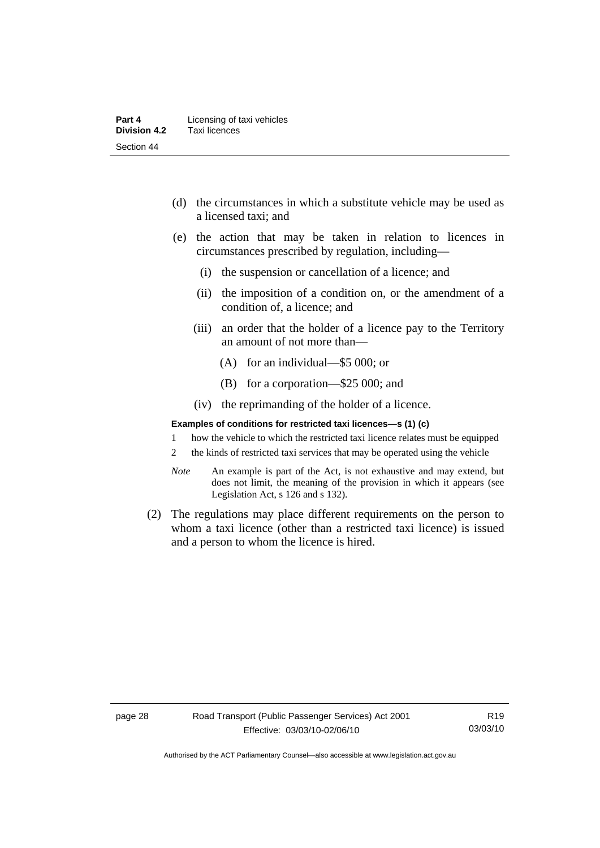- (d) the circumstances in which a substitute vehicle may be used as a licensed taxi; and
- (e) the action that may be taken in relation to licences in circumstances prescribed by regulation, including—
	- (i) the suspension or cancellation of a licence; and
	- (ii) the imposition of a condition on, or the amendment of a condition of, a licence; and
	- (iii) an order that the holder of a licence pay to the Territory an amount of not more than—
		- (A) for an individual—\$5 000; or
		- (B) for a corporation—\$25 000; and
	- (iv) the reprimanding of the holder of a licence.

#### **Examples of conditions for restricted taxi licences—s (1) (c)**

- 1 how the vehicle to which the restricted taxi licence relates must be equipped
- 2 the kinds of restricted taxi services that may be operated using the vehicle
- *Note* An example is part of the Act, is not exhaustive and may extend, but does not limit, the meaning of the provision in which it appears (see Legislation Act, s 126 and s 132).
- (2) The regulations may place different requirements on the person to whom a taxi licence (other than a restricted taxi licence) is issued and a person to whom the licence is hired.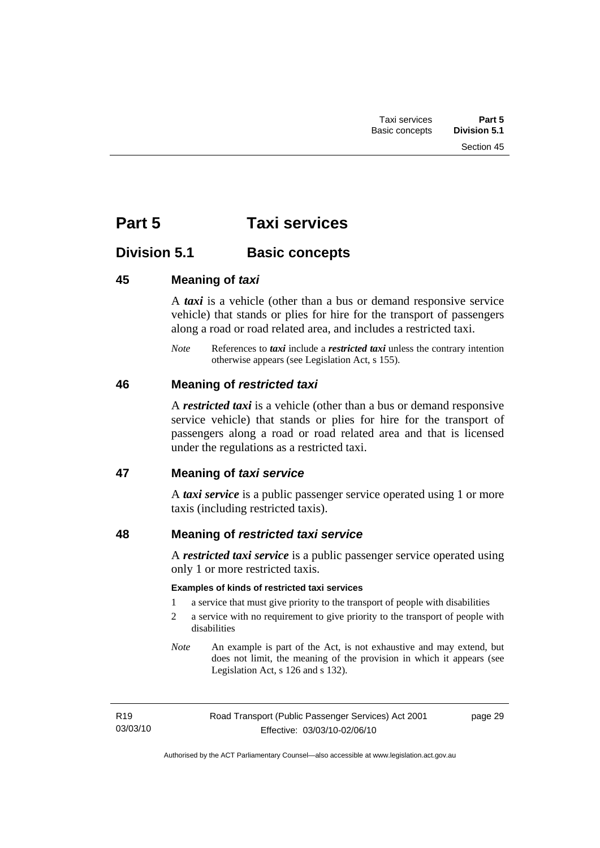Section 45

# **Part 5 Taxi services**

# **Division 5.1 Basic concepts**

# **45 Meaning of** *taxi*

A *taxi* is a vehicle (other than a bus or demand responsive service vehicle) that stands or plies for hire for the transport of passengers along a road or road related area, and includes a restricted taxi.

*Note* References to *taxi* include a *restricted taxi* unless the contrary intention otherwise appears (see Legislation Act, s 155).

## **46 Meaning of** *restricted taxi*

A *restricted taxi* is a vehicle (other than a bus or demand responsive service vehicle) that stands or plies for hire for the transport of passengers along a road or road related area and that is licensed under the regulations as a restricted taxi.

## **47 Meaning of** *taxi service*

A *taxi service* is a public passenger service operated using 1 or more taxis (including restricted taxis).

# **48 Meaning of** *restricted taxi service*

A *restricted taxi service* is a public passenger service operated using only 1 or more restricted taxis.

#### **Examples of kinds of restricted taxi services**

- 1 a service that must give priority to the transport of people with disabilities
- 2 a service with no requirement to give priority to the transport of people with disabilities
- *Note* An example is part of the Act, is not exhaustive and may extend, but does not limit, the meaning of the provision in which it appears (see Legislation Act, s 126 and s 132).

| R <sub>19</sub> | Road Transport (Public Passenger Services) Act 2001 | page 29 |
|-----------------|-----------------------------------------------------|---------|
| 03/03/10        | Effective: 03/03/10-02/06/10                        |         |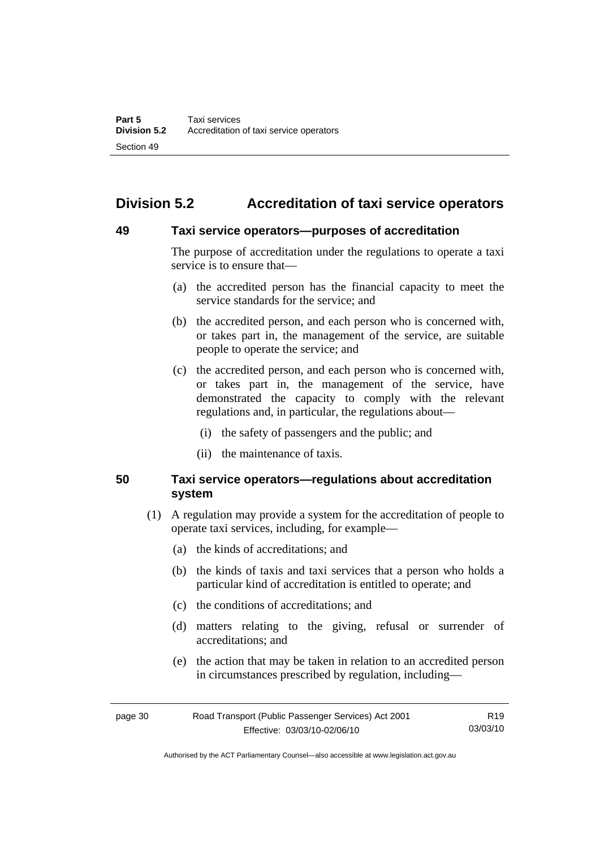# **Division 5.2 Accreditation of taxi service operators**

#### **49 Taxi service operators—purposes of accreditation**

The purpose of accreditation under the regulations to operate a taxi service is to ensure that—

- (a) the accredited person has the financial capacity to meet the service standards for the service; and
- (b) the accredited person, and each person who is concerned with, or takes part in, the management of the service, are suitable people to operate the service; and
- (c) the accredited person, and each person who is concerned with, or takes part in, the management of the service, have demonstrated the capacity to comply with the relevant regulations and, in particular, the regulations about—
	- (i) the safety of passengers and the public; and
	- (ii) the maintenance of taxis.

## **50 Taxi service operators—regulations about accreditation system**

- (1) A regulation may provide a system for the accreditation of people to operate taxi services, including, for example—
	- (a) the kinds of accreditations; and
	- (b) the kinds of taxis and taxi services that a person who holds a particular kind of accreditation is entitled to operate; and
	- (c) the conditions of accreditations; and
	- (d) matters relating to the giving, refusal or surrender of accreditations; and
	- (e) the action that may be taken in relation to an accredited person in circumstances prescribed by regulation, including—

| page 30 | Road Transport (Public Passenger Services) Act 2001 | R19      |
|---------|-----------------------------------------------------|----------|
|         | Effective: 03/03/10-02/06/10                        | 03/03/10 |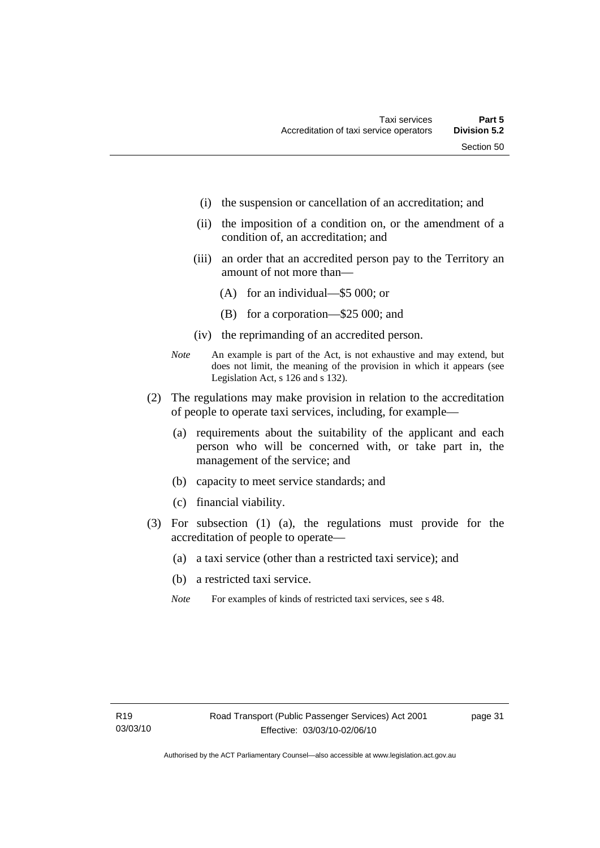- (i) the suspension or cancellation of an accreditation; and
- (ii) the imposition of a condition on, or the amendment of a condition of, an accreditation; and
- (iii) an order that an accredited person pay to the Territory an amount of not more than—
	- (A) for an individual—\$5 000; or
	- (B) for a corporation—\$25 000; and
- (iv) the reprimanding of an accredited person.
- *Note* An example is part of the Act, is not exhaustive and may extend, but does not limit, the meaning of the provision in which it appears (see Legislation Act, s 126 and s 132).
- (2) The regulations may make provision in relation to the accreditation of people to operate taxi services, including, for example—
	- (a) requirements about the suitability of the applicant and each person who will be concerned with, or take part in, the management of the service; and
	- (b) capacity to meet service standards; and
	- (c) financial viability.
- (3) For subsection (1) (a), the regulations must provide for the accreditation of people to operate—
	- (a) a taxi service (other than a restricted taxi service); and
	- (b) a restricted taxi service.
	- *Note* For examples of kinds of restricted taxi services, see s 48.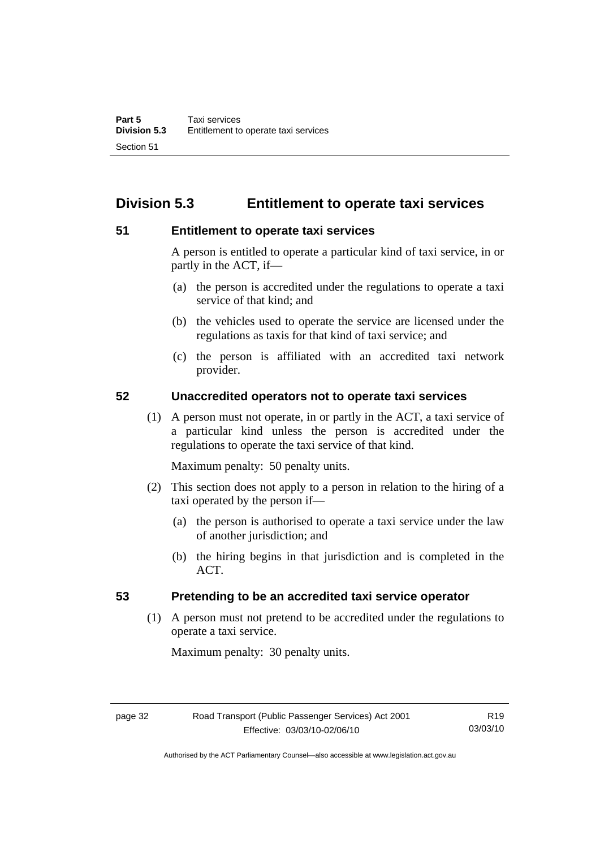# **Division 5.3 Entitlement to operate taxi services**

#### **51 Entitlement to operate taxi services**

A person is entitled to operate a particular kind of taxi service, in or partly in the ACT, if—

- (a) the person is accredited under the regulations to operate a taxi service of that kind; and
- (b) the vehicles used to operate the service are licensed under the regulations as taxis for that kind of taxi service; and
- (c) the person is affiliated with an accredited taxi network provider.

#### **52 Unaccredited operators not to operate taxi services**

 (1) A person must not operate, in or partly in the ACT, a taxi service of a particular kind unless the person is accredited under the regulations to operate the taxi service of that kind.

Maximum penalty: 50 penalty units.

- (2) This section does not apply to a person in relation to the hiring of a taxi operated by the person if—
	- (a) the person is authorised to operate a taxi service under the law of another jurisdiction; and
	- (b) the hiring begins in that jurisdiction and is completed in the ACT.

## **53 Pretending to be an accredited taxi service operator**

 (1) A person must not pretend to be accredited under the regulations to operate a taxi service.

Maximum penalty: 30 penalty units.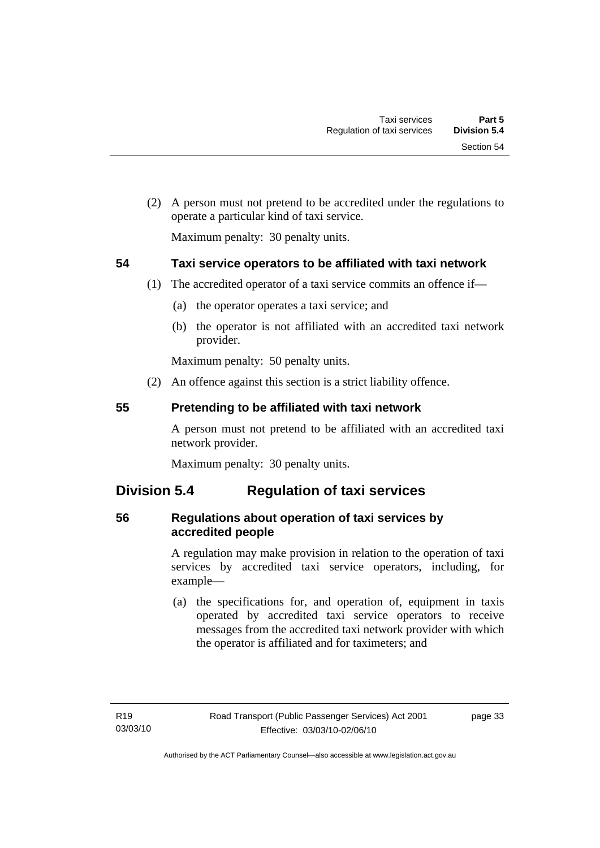(2) A person must not pretend to be accredited under the regulations to operate a particular kind of taxi service.

Maximum penalty: 30 penalty units.

# **54 Taxi service operators to be affiliated with taxi network**

- (1) The accredited operator of a taxi service commits an offence if—
	- (a) the operator operates a taxi service; and
	- (b) the operator is not affiliated with an accredited taxi network provider.

Maximum penalty: 50 penalty units.

(2) An offence against this section is a strict liability offence.

## **55 Pretending to be affiliated with taxi network**

A person must not pretend to be affiliated with an accredited taxi network provider.

Maximum penalty: 30 penalty units.

# **Division 5.4 Regulation of taxi services**

# **56 Regulations about operation of taxi services by accredited people**

A regulation may make provision in relation to the operation of taxi services by accredited taxi service operators, including, for example—

 (a) the specifications for, and operation of, equipment in taxis operated by accredited taxi service operators to receive messages from the accredited taxi network provider with which the operator is affiliated and for taximeters; and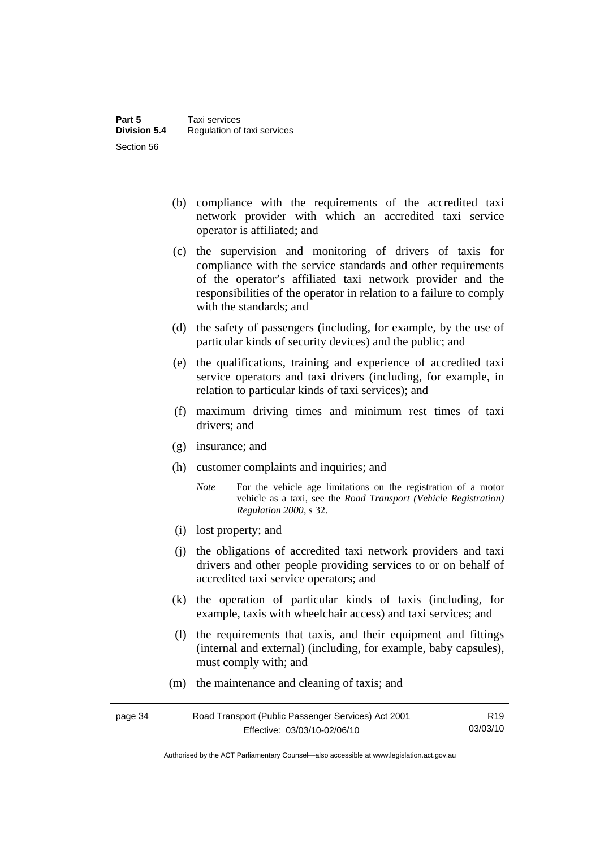- (b) compliance with the requirements of the accredited taxi network provider with which an accredited taxi service operator is affiliated; and
- (c) the supervision and monitoring of drivers of taxis for compliance with the service standards and other requirements of the operator's affiliated taxi network provider and the responsibilities of the operator in relation to a failure to comply with the standards; and
- (d) the safety of passengers (including, for example, by the use of particular kinds of security devices) and the public; and
- (e) the qualifications, training and experience of accredited taxi service operators and taxi drivers (including, for example, in relation to particular kinds of taxi services); and
- (f) maximum driving times and minimum rest times of taxi drivers; and
- (g) insurance; and
- (h) customer complaints and inquiries; and
	- *Note* For the vehicle age limitations on the registration of a motor vehicle as a taxi, see the *Road Transport (Vehicle Registration) Regulation 2000*, s 32.
- (i) lost property; and
- (j) the obligations of accredited taxi network providers and taxi drivers and other people providing services to or on behalf of accredited taxi service operators; and
- (k) the operation of particular kinds of taxis (including, for example, taxis with wheelchair access) and taxi services; and
- (l) the requirements that taxis, and their equipment and fittings (internal and external) (including, for example, baby capsules), must comply with; and
- (m) the maintenance and cleaning of taxis; and

| page 34 | Road Transport (Public Passenger Services) Act 2001 | R <sub>19</sub> |
|---------|-----------------------------------------------------|-----------------|
|         | Effective: 03/03/10-02/06/10                        | 03/03/10        |

Authorised by the ACT Parliamentary Counsel—also accessible at www.legislation.act.gov.au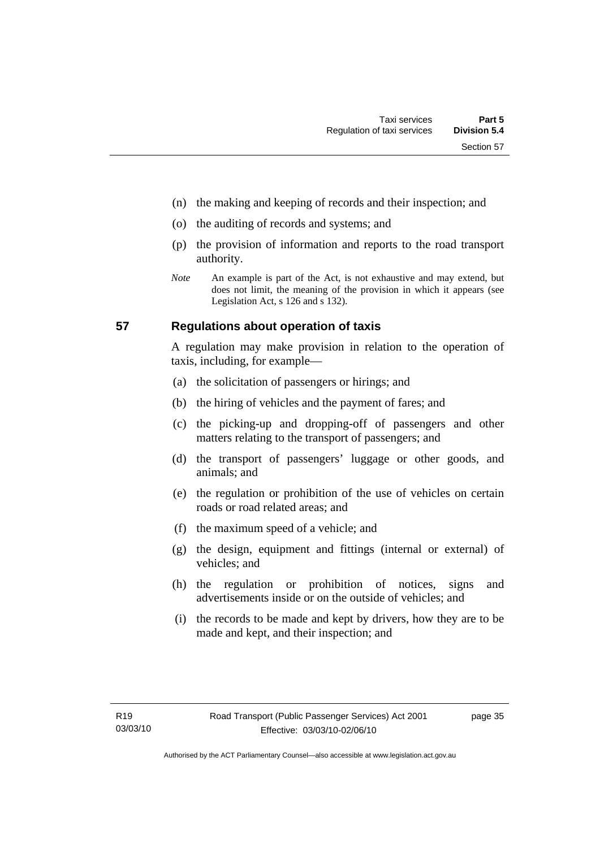- (n) the making and keeping of records and their inspection; and
- (o) the auditing of records and systems; and
- (p) the provision of information and reports to the road transport authority.
- *Note* An example is part of the Act, is not exhaustive and may extend, but does not limit, the meaning of the provision in which it appears (see Legislation Act, s 126 and s 132).

#### **57 Regulations about operation of taxis**

A regulation may make provision in relation to the operation of taxis, including, for example—

- (a) the solicitation of passengers or hirings; and
- (b) the hiring of vehicles and the payment of fares; and
- (c) the picking-up and dropping-off of passengers and other matters relating to the transport of passengers; and
- (d) the transport of passengers' luggage or other goods, and animals; and
- (e) the regulation or prohibition of the use of vehicles on certain roads or road related areas; and
- (f) the maximum speed of a vehicle; and
- (g) the design, equipment and fittings (internal or external) of vehicles; and
- (h) the regulation or prohibition of notices, signs and advertisements inside or on the outside of vehicles; and
- (i) the records to be made and kept by drivers, how they are to be made and kept, and their inspection; and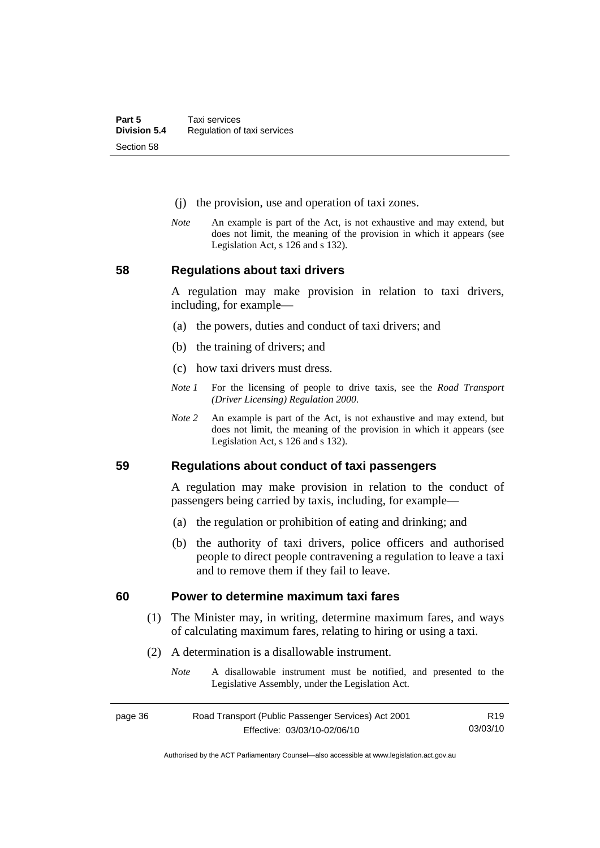- (j) the provision, use and operation of taxi zones.
- *Note* An example is part of the Act, is not exhaustive and may extend, but does not limit, the meaning of the provision in which it appears (see Legislation Act, s 126 and s 132).

**58 Regulations about taxi drivers** 

A regulation may make provision in relation to taxi drivers, including, for example—

- (a) the powers, duties and conduct of taxi drivers; and
- (b) the training of drivers; and
- (c) how taxi drivers must dress.
- *Note 1* For the licensing of people to drive taxis, see the *Road Transport (Driver Licensing) Regulation 2000*.
- *Note 2* An example is part of the Act, is not exhaustive and may extend, but does not limit, the meaning of the provision in which it appears (see Legislation Act, s 126 and s 132).

**59 Regulations about conduct of taxi passengers** 

A regulation may make provision in relation to the conduct of passengers being carried by taxis, including, for example—

- (a) the regulation or prohibition of eating and drinking; and
- (b) the authority of taxi drivers, police officers and authorised people to direct people contravening a regulation to leave a taxi and to remove them if they fail to leave.

#### **60 Power to determine maximum taxi fares**

- (1) The Minister may, in writing, determine maximum fares, and ways of calculating maximum fares, relating to hiring or using a taxi.
- (2) A determination is a disallowable instrument.
	- *Note* A disallowable instrument must be notified, and presented to the Legislative Assembly, under the Legislation Act.

| page 36 | Road Transport (Public Passenger Services) Act 2001 | R19      |
|---------|-----------------------------------------------------|----------|
|         | Effective: 03/03/10-02/06/10                        | 03/03/10 |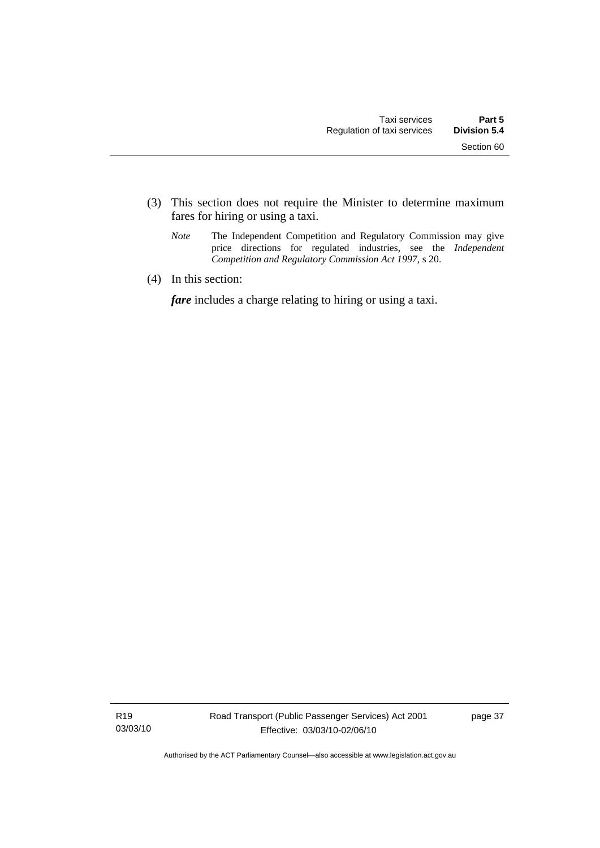- (3) This section does not require the Minister to determine maximum fares for hiring or using a taxi.
	- *Note* The Independent Competition and Regulatory Commission may give price directions for regulated industries, see the *Independent Competition and Regulatory Commission Act 1997*, s 20.
- (4) In this section:

*fare* includes a charge relating to hiring or using a taxi.

R19 03/03/10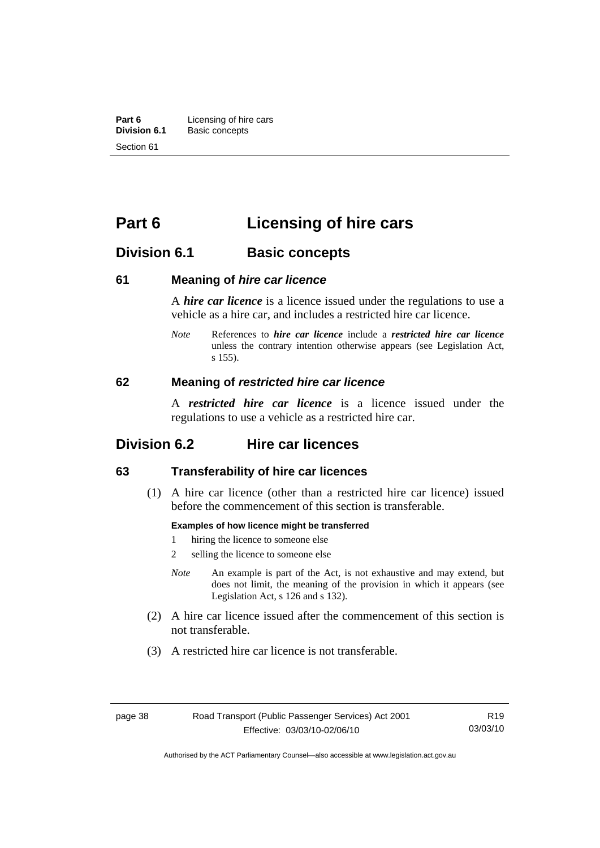**Part 6 Licensing of hire cars**<br>**Division 6.1 Basic concepts Division 6.1** Basic concepts Section 61

# **Part 6 Licensing of hire cars**

# **Division 6.1 Basic concepts**

#### **61 Meaning of** *hire car licence*

A *hire car licence* is a licence issued under the regulations to use a vehicle as a hire car, and includes a restricted hire car licence.

*Note* References to *hire car licence* include a *restricted hire car licence* unless the contrary intention otherwise appears (see Legislation Act, s 155).

#### **62 Meaning of** *restricted hire car licence*

A *restricted hire car licence* is a licence issued under the regulations to use a vehicle as a restricted hire car.

# **Division 6.2 Hire car licences**

#### **63 Transferability of hire car licences**

 (1) A hire car licence (other than a restricted hire car licence) issued before the commencement of this section is transferable.

#### **Examples of how licence might be transferred**

- 1 hiring the licence to someone else
- 2 selling the licence to someone else
- *Note* An example is part of the Act, is not exhaustive and may extend, but does not limit, the meaning of the provision in which it appears (see Legislation Act, s 126 and s 132).
- (2) A hire car licence issued after the commencement of this section is not transferable.
- (3) A restricted hire car licence is not transferable.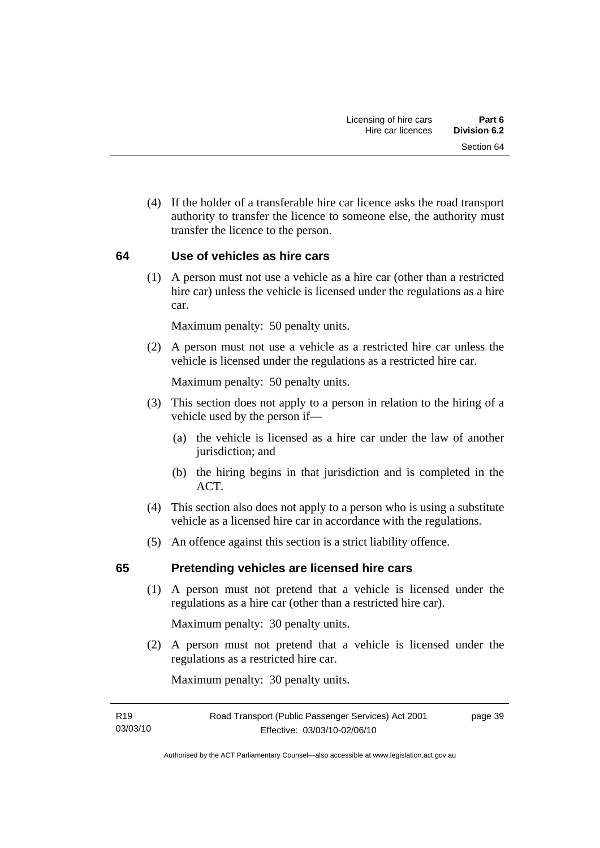(4) If the holder of a transferable hire car licence asks the road transport authority to transfer the licence to someone else, the authority must transfer the licence to the person.

## **64 Use of vehicles as hire cars**

 (1) A person must not use a vehicle as a hire car (other than a restricted hire car) unless the vehicle is licensed under the regulations as a hire car.

Maximum penalty: 50 penalty units.

 (2) A person must not use a vehicle as a restricted hire car unless the vehicle is licensed under the regulations as a restricted hire car.

Maximum penalty: 50 penalty units.

- (3) This section does not apply to a person in relation to the hiring of a vehicle used by the person if—
	- (a) the vehicle is licensed as a hire car under the law of another jurisdiction; and
	- (b) the hiring begins in that jurisdiction and is completed in the ACT.
- (4) This section also does not apply to a person who is using a substitute vehicle as a licensed hire car in accordance with the regulations.
- (5) An offence against this section is a strict liability offence.

## **65 Pretending vehicles are licensed hire cars**

 (1) A person must not pretend that a vehicle is licensed under the regulations as a hire car (other than a restricted hire car).

Maximum penalty: 30 penalty units.

 (2) A person must not pretend that a vehicle is licensed under the regulations as a restricted hire car.

Maximum penalty: 30 penalty units.

page 39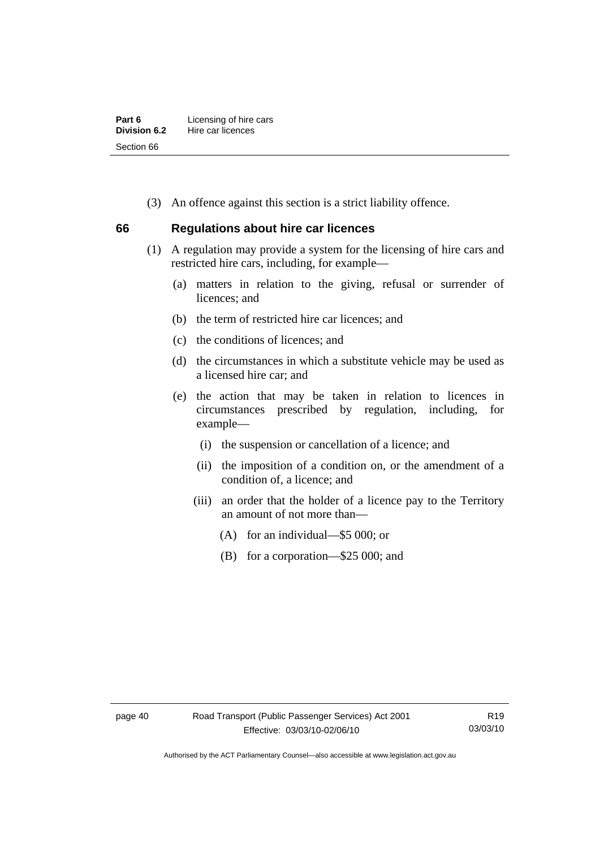| Part 6       | Licensing of hire cars |
|--------------|------------------------|
| Division 6.2 | Hire car licences      |
| Section 66   |                        |

(3) An offence against this section is a strict liability offence.

#### **66 Regulations about hire car licences**

- (1) A regulation may provide a system for the licensing of hire cars and restricted hire cars, including, for example—
	- (a) matters in relation to the giving, refusal or surrender of licences; and
	- (b) the term of restricted hire car licences; and
	- (c) the conditions of licences; and
	- (d) the circumstances in which a substitute vehicle may be used as a licensed hire car; and
	- (e) the action that may be taken in relation to licences in circumstances prescribed by regulation, including, for example—
		- (i) the suspension or cancellation of a licence; and
		- (ii) the imposition of a condition on, or the amendment of a condition of, a licence; and
		- (iii) an order that the holder of a licence pay to the Territory an amount of not more than—
			- (A) for an individual—\$5 000; or
			- (B) for a corporation—\$25 000; and

Authorised by the ACT Parliamentary Counsel—also accessible at www.legislation.act.gov.au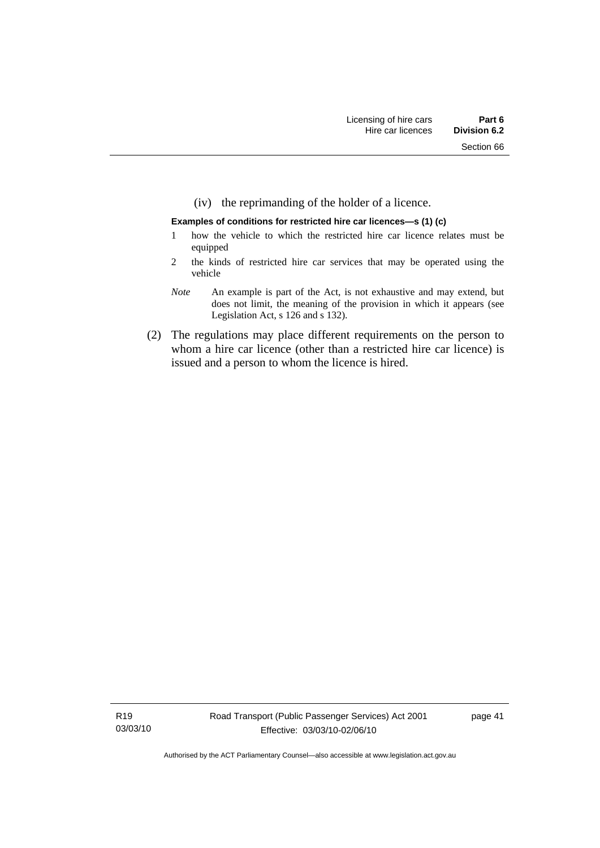(iv) the reprimanding of the holder of a licence.

#### **Examples of conditions for restricted hire car licences—s (1) (c)**

- 1 how the vehicle to which the restricted hire car licence relates must be equipped
- 2 the kinds of restricted hire car services that may be operated using the vehicle
- *Note* An example is part of the Act, is not exhaustive and may extend, but does not limit, the meaning of the provision in which it appears (see Legislation Act, s 126 and s 132).
- (2) The regulations may place different requirements on the person to whom a hire car licence (other than a restricted hire car licence) is issued and a person to whom the licence is hired.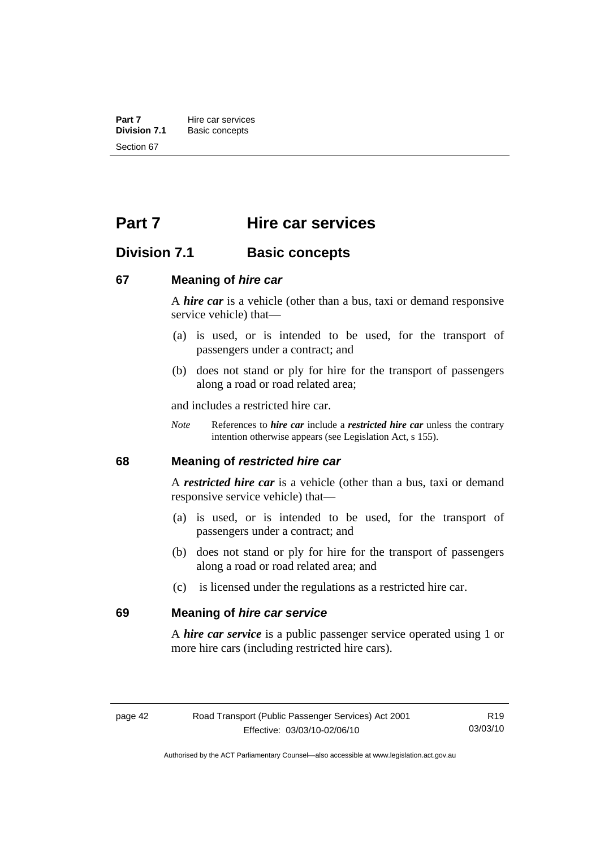**Part 7 Hire car services**<br>**Division 7.1 Basic concepts Division 7.1** Basic concepts Section 67

# **Part 7 Hire car services**

# **Division 7.1 Basic concepts**

#### **67 Meaning of** *hire car*

A *hire car* is a vehicle (other than a bus, taxi or demand responsive service vehicle) that—

- (a) is used, or is intended to be used, for the transport of passengers under a contract; and
- (b) does not stand or ply for hire for the transport of passengers along a road or road related area;

and includes a restricted hire car.

*Note* References to *hire car* include a *restricted hire car* unless the contrary intention otherwise appears (see Legislation Act, s 155).

#### **68 Meaning of** *restricted hire car*

A *restricted hire car* is a vehicle (other than a bus, taxi or demand responsive service vehicle) that—

- (a) is used, or is intended to be used, for the transport of passengers under a contract; and
- (b) does not stand or ply for hire for the transport of passengers along a road or road related area; and
- (c) is licensed under the regulations as a restricted hire car.

## **69 Meaning of** *hire car service*

A *hire car service* is a public passenger service operated using 1 or more hire cars (including restricted hire cars).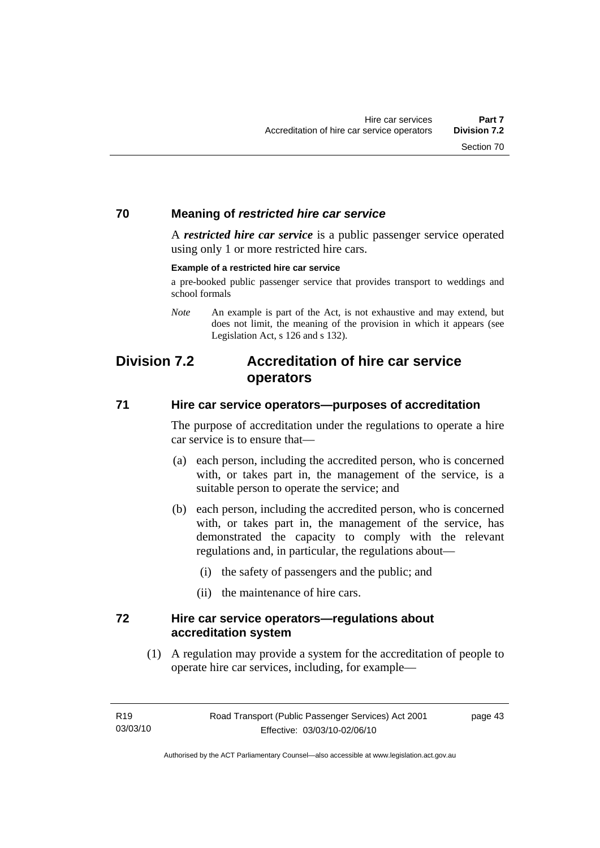#### **70 Meaning of** *restricted hire car service*

A *restricted hire car service* is a public passenger service operated using only 1 or more restricted hire cars.

#### **Example of a restricted hire car service**

a pre-booked public passenger service that provides transport to weddings and school formals

*Note* An example is part of the Act, is not exhaustive and may extend, but does not limit, the meaning of the provision in which it appears (see Legislation Act, s 126 and s 132).

# **Division 7.2 Accreditation of hire car service operators**

#### **71 Hire car service operators—purposes of accreditation**

The purpose of accreditation under the regulations to operate a hire car service is to ensure that—

- (a) each person, including the accredited person, who is concerned with, or takes part in, the management of the service, is a suitable person to operate the service; and
- (b) each person, including the accredited person, who is concerned with, or takes part in, the management of the service, has demonstrated the capacity to comply with the relevant regulations and, in particular, the regulations about—
	- (i) the safety of passengers and the public; and
	- (ii) the maintenance of hire cars.

#### **72 Hire car service operators—regulations about accreditation system**

 (1) A regulation may provide a system for the accreditation of people to operate hire car services, including, for example—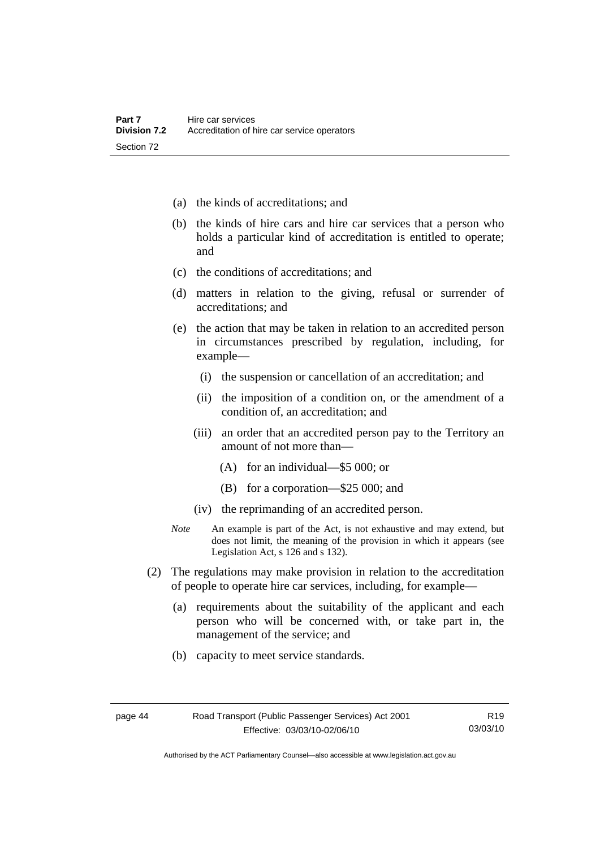- (a) the kinds of accreditations; and
- (b) the kinds of hire cars and hire car services that a person who holds a particular kind of accreditation is entitled to operate; and
- (c) the conditions of accreditations; and
- (d) matters in relation to the giving, refusal or surrender of accreditations; and
- (e) the action that may be taken in relation to an accredited person in circumstances prescribed by regulation, including, for example—
	- (i) the suspension or cancellation of an accreditation; and
	- (ii) the imposition of a condition on, or the amendment of a condition of, an accreditation; and
	- (iii) an order that an accredited person pay to the Territory an amount of not more than—
		- (A) for an individual—\$5 000; or
		- (B) for a corporation—\$25 000; and
	- (iv) the reprimanding of an accredited person.
- *Note* An example is part of the Act, is not exhaustive and may extend, but does not limit, the meaning of the provision in which it appears (see Legislation Act, s 126 and s 132).
- (2) The regulations may make provision in relation to the accreditation of people to operate hire car services, including, for example—
	- (a) requirements about the suitability of the applicant and each person who will be concerned with, or take part in, the management of the service; and
	- (b) capacity to meet service standards.

Authorised by the ACT Parliamentary Counsel—also accessible at www.legislation.act.gov.au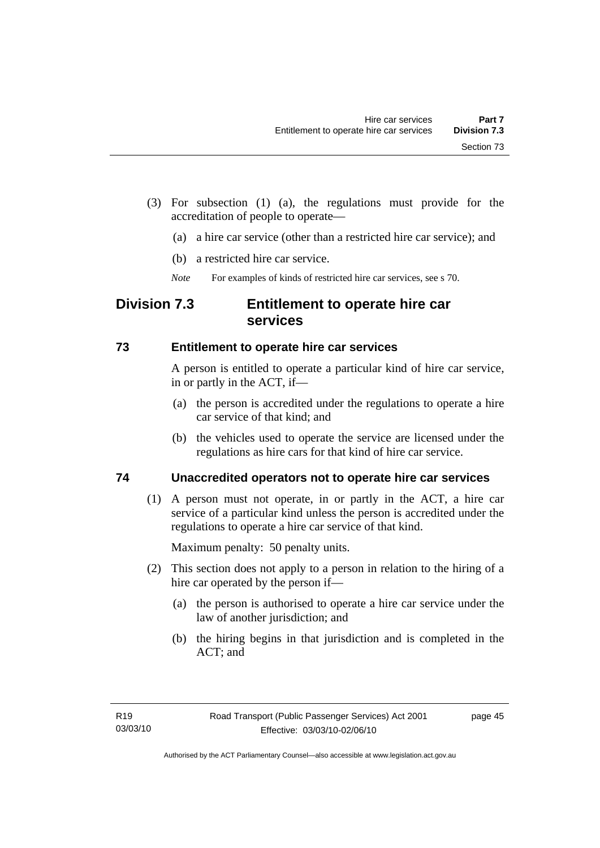- (3) For subsection (1) (a), the regulations must provide for the accreditation of people to operate—
	- (a) a hire car service (other than a restricted hire car service); and
	- (b) a restricted hire car service.
	- *Note* For examples of kinds of restricted hire car services, see s 70.

# **Division 7.3 Entitlement to operate hire car services**

## **73 Entitlement to operate hire car services**

A person is entitled to operate a particular kind of hire car service, in or partly in the ACT, if—

- (a) the person is accredited under the regulations to operate a hire car service of that kind; and
- (b) the vehicles used to operate the service are licensed under the regulations as hire cars for that kind of hire car service.

# **74 Unaccredited operators not to operate hire car services**

 (1) A person must not operate, in or partly in the ACT, a hire car service of a particular kind unless the person is accredited under the regulations to operate a hire car service of that kind.

Maximum penalty: 50 penalty units.

- (2) This section does not apply to a person in relation to the hiring of a hire car operated by the person if—
	- (a) the person is authorised to operate a hire car service under the law of another jurisdiction; and
	- (b) the hiring begins in that jurisdiction and is completed in the ACT; and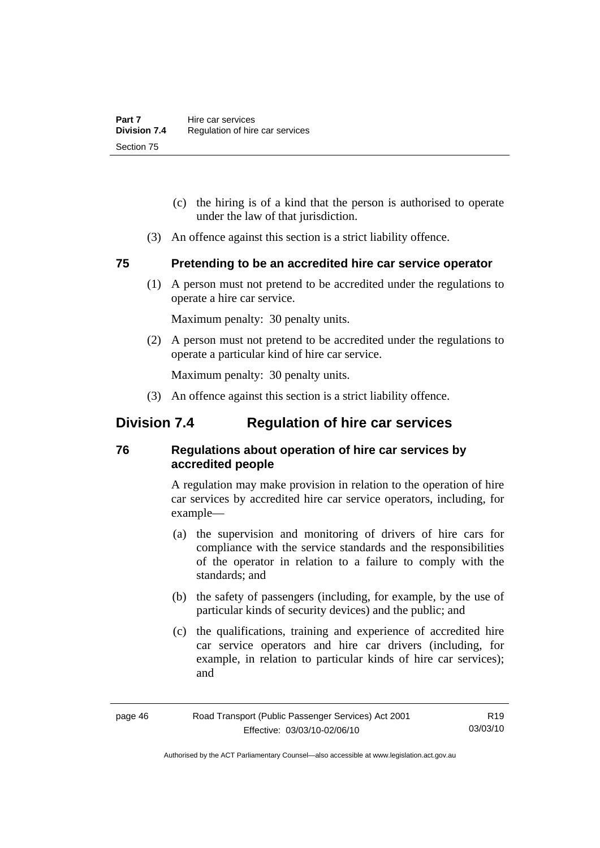- (c) the hiring is of a kind that the person is authorised to operate under the law of that jurisdiction.
- (3) An offence against this section is a strict liability offence.

## **75 Pretending to be an accredited hire car service operator**

 (1) A person must not pretend to be accredited under the regulations to operate a hire car service.

Maximum penalty: 30 penalty units.

 (2) A person must not pretend to be accredited under the regulations to operate a particular kind of hire car service.

Maximum penalty: 30 penalty units.

(3) An offence against this section is a strict liability offence.

# **Division 7.4 Regulation of hire car services**

## **76 Regulations about operation of hire car services by accredited people**

A regulation may make provision in relation to the operation of hire car services by accredited hire car service operators, including, for example—

- (a) the supervision and monitoring of drivers of hire cars for compliance with the service standards and the responsibilities of the operator in relation to a failure to comply with the standards; and
- (b) the safety of passengers (including, for example, by the use of particular kinds of security devices) and the public; and
- (c) the qualifications, training and experience of accredited hire car service operators and hire car drivers (including, for example, in relation to particular kinds of hire car services); and

Authorised by the ACT Parliamentary Counsel—also accessible at www.legislation.act.gov.au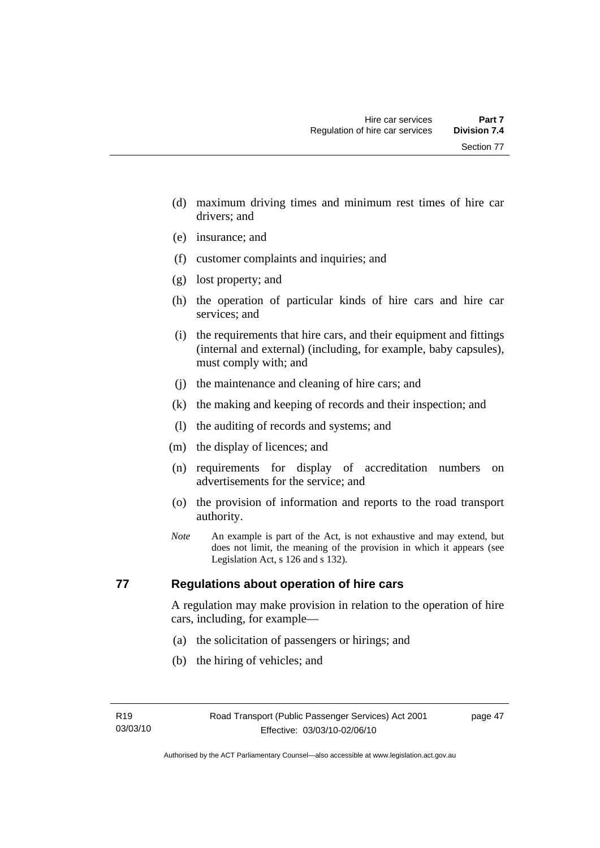Section 77

- (d) maximum driving times and minimum rest times of hire car drivers; and
- (e) insurance; and
- (f) customer complaints and inquiries; and
- (g) lost property; and
- (h) the operation of particular kinds of hire cars and hire car services; and
- (i) the requirements that hire cars, and their equipment and fittings (internal and external) (including, for example, baby capsules), must comply with; and
- (j) the maintenance and cleaning of hire cars; and
- (k) the making and keeping of records and their inspection; and
- (l) the auditing of records and systems; and
- (m) the display of licences; and
- (n) requirements for display of accreditation numbers on advertisements for the service; and
- (o) the provision of information and reports to the road transport authority.
- *Note* An example is part of the Act, is not exhaustive and may extend, but does not limit, the meaning of the provision in which it appears (see Legislation Act, s 126 and s 132).

## **77 Regulations about operation of hire cars**

A regulation may make provision in relation to the operation of hire cars, including, for example—

- (a) the solicitation of passengers or hirings; and
- (b) the hiring of vehicles; and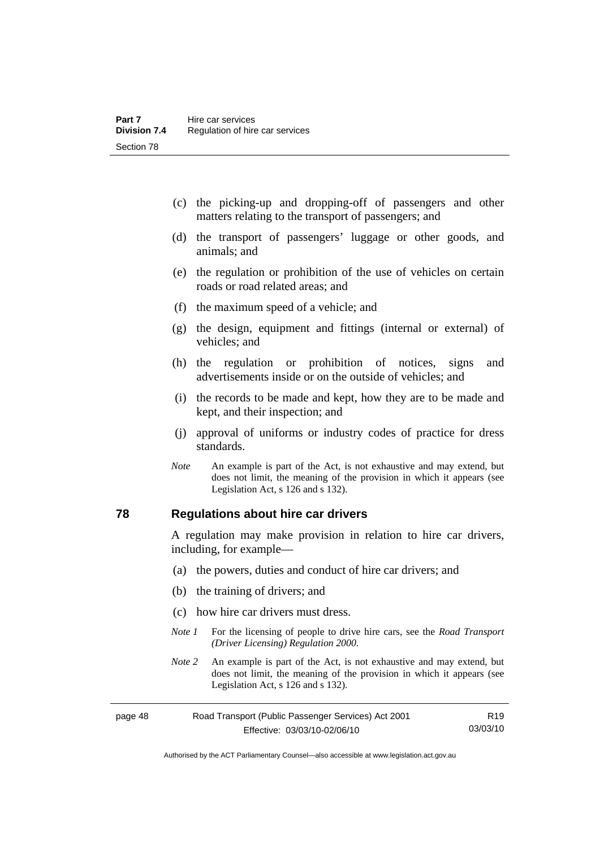- (c) the picking-up and dropping-off of passengers and other matters relating to the transport of passengers; and
- (d) the transport of passengers' luggage or other goods, and animals; and
- (e) the regulation or prohibition of the use of vehicles on certain roads or road related areas; and
- (f) the maximum speed of a vehicle; and
- (g) the design, equipment and fittings (internal or external) of vehicles; and
- (h) the regulation or prohibition of notices, signs and advertisements inside or on the outside of vehicles; and
- (i) the records to be made and kept, how they are to be made and kept, and their inspection; and
- (j) approval of uniforms or industry codes of practice for dress standards.
- *Note* An example is part of the Act, is not exhaustive and may extend, but does not limit, the meaning of the provision in which it appears (see Legislation Act, s 126 and s 132).

## **78 Regulations about hire car drivers**

A regulation may make provision in relation to hire car drivers, including, for example—

- (a) the powers, duties and conduct of hire car drivers; and
- (b) the training of drivers; and
- (c) how hire car drivers must dress.
- *Note 1* For the licensing of people to drive hire cars, see the *Road Transport (Driver Licensing) Regulation 2000*.
- *Note 2* An example is part of the Act, is not exhaustive and may extend, but does not limit, the meaning of the provision in which it appears (see Legislation Act, s 126 and s 132).

| page 48 | Road Transport (Public Passenger Services) Act 2001 | R19      |
|---------|-----------------------------------------------------|----------|
|         | Effective: 03/03/10-02/06/10                        | 03/03/10 |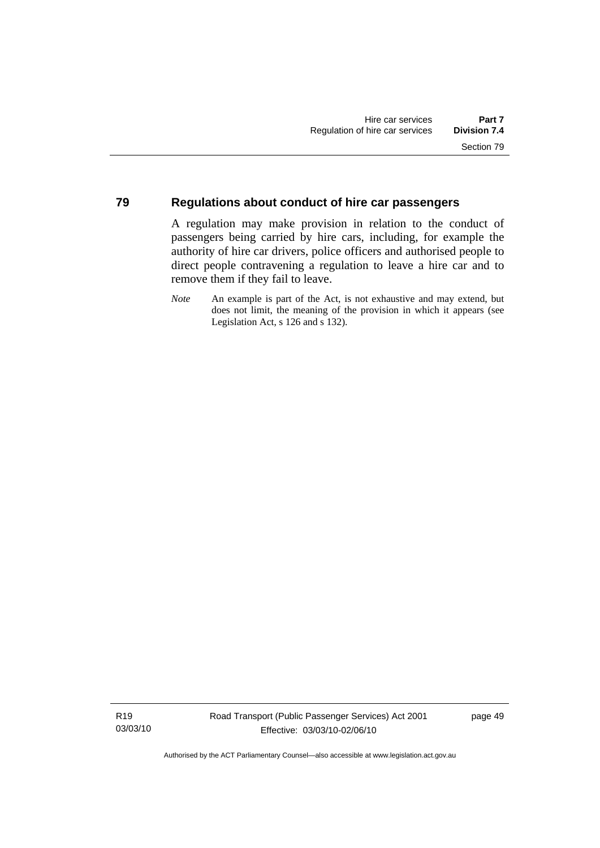#### **79 Regulations about conduct of hire car passengers**

A regulation may make provision in relation to the conduct of passengers being carried by hire cars, including, for example the authority of hire car drivers, police officers and authorised people to direct people contravening a regulation to leave a hire car and to remove them if they fail to leave.

*Note* An example is part of the Act, is not exhaustive and may extend, but does not limit, the meaning of the provision in which it appears (see Legislation Act, s 126 and s 132).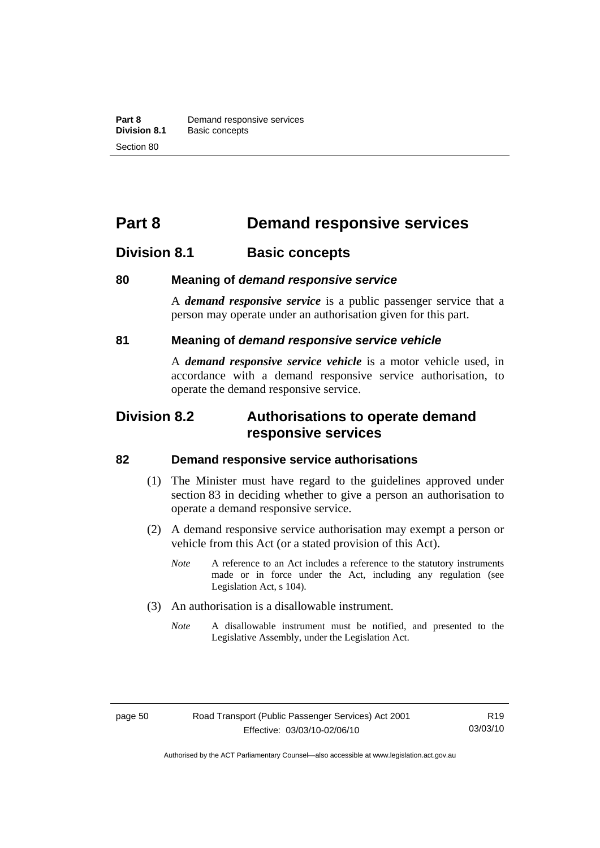# **Part 8 Demand responsive services**

# **Division 8.1 Basic concepts**

## **80 Meaning of** *demand responsive service*

A *demand responsive service* is a public passenger service that a person may operate under an authorisation given for this part.

## **81 Meaning of** *demand responsive service vehicle*

A *demand responsive service vehicle* is a motor vehicle used, in accordance with a demand responsive service authorisation, to operate the demand responsive service.

# **Division 8.2 Authorisations to operate demand responsive services**

#### **82 Demand responsive service authorisations**

- (1) The Minister must have regard to the guidelines approved under section 83 in deciding whether to give a person an authorisation to operate a demand responsive service.
- (2) A demand responsive service authorisation may exempt a person or vehicle from this Act (or a stated provision of this Act).
	- *Note* A reference to an Act includes a reference to the statutory instruments made or in force under the Act, including any regulation (see Legislation Act, s 104).
- (3) An authorisation is a disallowable instrument.
	- *Note* A disallowable instrument must be notified, and presented to the Legislative Assembly, under the Legislation Act.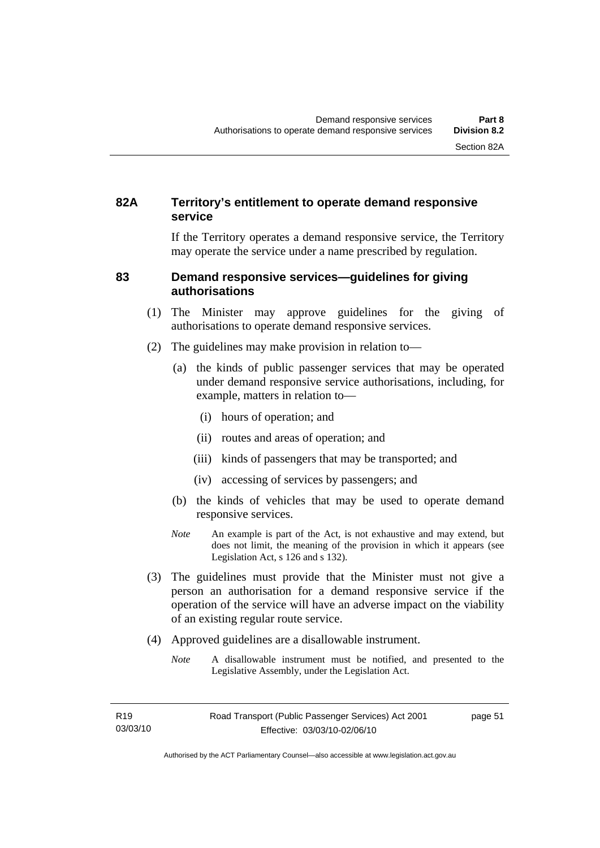## **82A Territory's entitlement to operate demand responsive service**

If the Territory operates a demand responsive service, the Territory may operate the service under a name prescribed by regulation.

## **83 Demand responsive services—guidelines for giving authorisations**

- (1) The Minister may approve guidelines for the giving of authorisations to operate demand responsive services.
- (2) The guidelines may make provision in relation to—
	- (a) the kinds of public passenger services that may be operated under demand responsive service authorisations, including, for example, matters in relation to—
		- (i) hours of operation; and
		- (ii) routes and areas of operation; and
		- (iii) kinds of passengers that may be transported; and
		- (iv) accessing of services by passengers; and
	- (b) the kinds of vehicles that may be used to operate demand responsive services.
	- *Note* An example is part of the Act, is not exhaustive and may extend, but does not limit, the meaning of the provision in which it appears (see Legislation Act, s 126 and s 132).
- (3) The guidelines must provide that the Minister must not give a person an authorisation for a demand responsive service if the operation of the service will have an adverse impact on the viability of an existing regular route service.
- (4) Approved guidelines are a disallowable instrument.
	- *Note* A disallowable instrument must be notified, and presented to the Legislative Assembly, under the Legislation Act.

page 51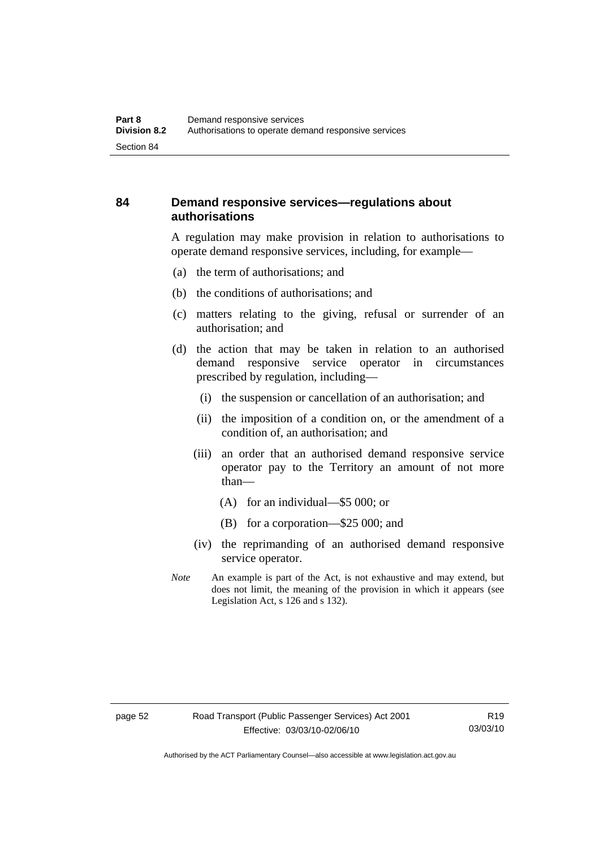## **84 Demand responsive services—regulations about authorisations**

A regulation may make provision in relation to authorisations to operate demand responsive services, including, for example—

- (a) the term of authorisations; and
- (b) the conditions of authorisations; and
- (c) matters relating to the giving, refusal or surrender of an authorisation; and
- (d) the action that may be taken in relation to an authorised demand responsive service operator in circumstances prescribed by regulation, including—
	- (i) the suspension or cancellation of an authorisation; and
	- (ii) the imposition of a condition on, or the amendment of a condition of, an authorisation; and
	- (iii) an order that an authorised demand responsive service operator pay to the Territory an amount of not more than—
		- (A) for an individual—\$5 000; or
		- (B) for a corporation—\$25 000; and
	- (iv) the reprimanding of an authorised demand responsive service operator.
- *Note* An example is part of the Act, is not exhaustive and may extend, but does not limit, the meaning of the provision in which it appears (see Legislation Act, s 126 and s 132).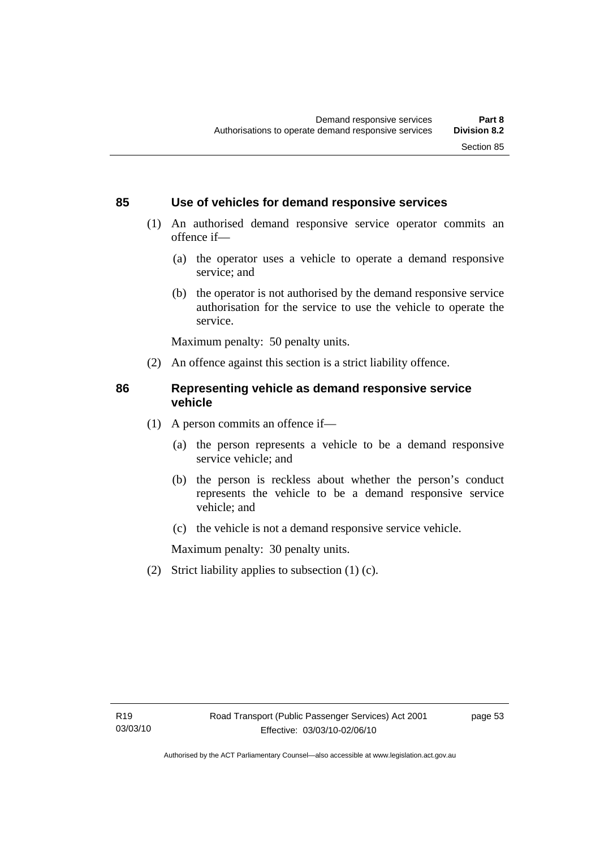## **85 Use of vehicles for demand responsive services**

- (1) An authorised demand responsive service operator commits an offence if—
	- (a) the operator uses a vehicle to operate a demand responsive service; and
	- (b) the operator is not authorised by the demand responsive service authorisation for the service to use the vehicle to operate the service.

Maximum penalty: 50 penalty units.

(2) An offence against this section is a strict liability offence.

## **86 Representing vehicle as demand responsive service vehicle**

- (1) A person commits an offence if—
	- (a) the person represents a vehicle to be a demand responsive service vehicle; and
	- (b) the person is reckless about whether the person's conduct represents the vehicle to be a demand responsive service vehicle; and
	- (c) the vehicle is not a demand responsive service vehicle.

Maximum penalty: 30 penalty units.

(2) Strict liability applies to subsection (1) (c).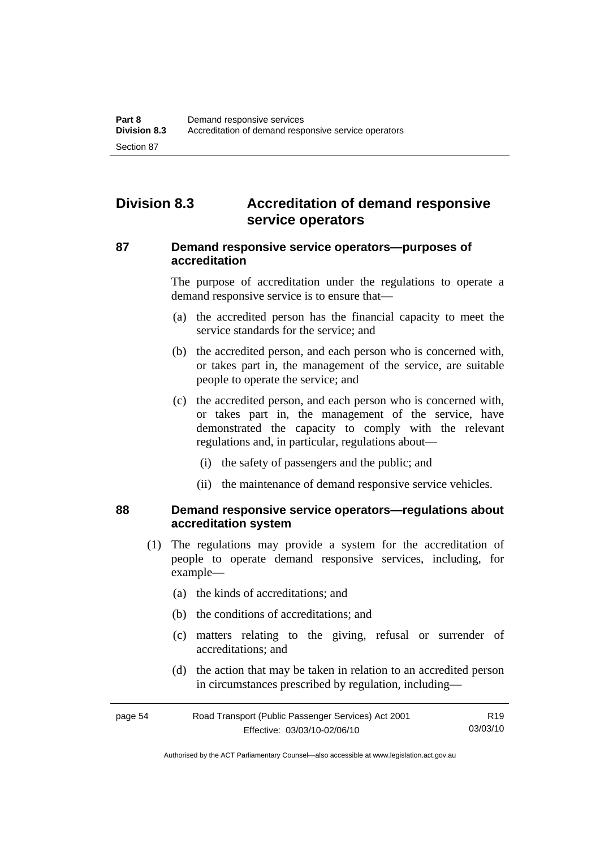# **Division 8.3 Accreditation of demand responsive service operators**

#### **87 Demand responsive service operators—purposes of accreditation**

The purpose of accreditation under the regulations to operate a demand responsive service is to ensure that—

- (a) the accredited person has the financial capacity to meet the service standards for the service; and
- (b) the accredited person, and each person who is concerned with, or takes part in, the management of the service, are suitable people to operate the service; and
- (c) the accredited person, and each person who is concerned with, or takes part in, the management of the service, have demonstrated the capacity to comply with the relevant regulations and, in particular, regulations about—
	- (i) the safety of passengers and the public; and
	- (ii) the maintenance of demand responsive service vehicles.

#### **88 Demand responsive service operators—regulations about accreditation system**

- (1) The regulations may provide a system for the accreditation of people to operate demand responsive services, including, for example—
	- (a) the kinds of accreditations; and
	- (b) the conditions of accreditations; and
	- (c) matters relating to the giving, refusal or surrender of accreditations; and
	- (d) the action that may be taken in relation to an accredited person in circumstances prescribed by regulation, including—

| page 54 | Road Transport (Public Passenger Services) Act 2001 | R19      |
|---------|-----------------------------------------------------|----------|
|         | Effective: 03/03/10-02/06/10                        | 03/03/10 |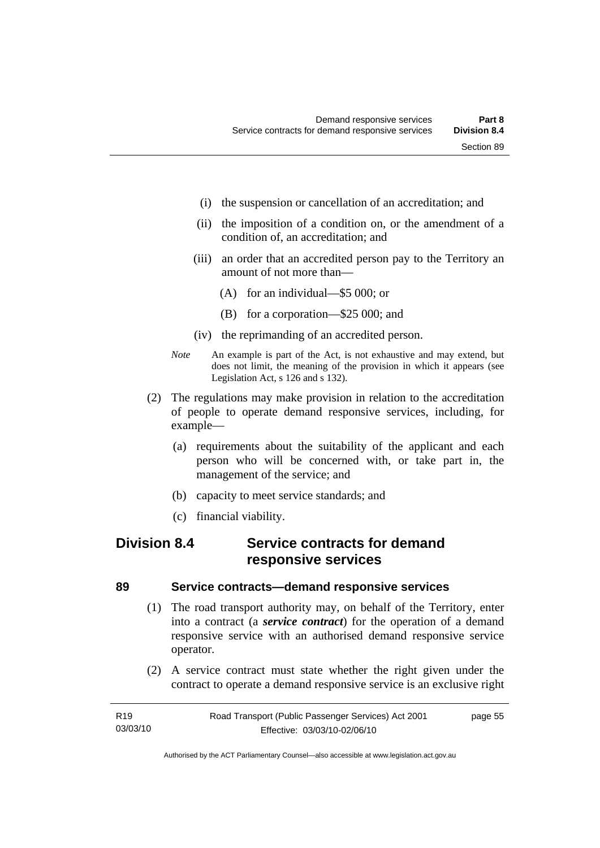- (i) the suspension or cancellation of an accreditation; and
- (ii) the imposition of a condition on, or the amendment of a condition of, an accreditation; and
- (iii) an order that an accredited person pay to the Territory an amount of not more than—
	- (A) for an individual—\$5 000; or
	- (B) for a corporation—\$25 000; and
- (iv) the reprimanding of an accredited person.
- *Note* An example is part of the Act, is not exhaustive and may extend, but does not limit, the meaning of the provision in which it appears (see Legislation Act, s 126 and s 132).
- (2) The regulations may make provision in relation to the accreditation of people to operate demand responsive services, including, for example—
	- (a) requirements about the suitability of the applicant and each person who will be concerned with, or take part in, the management of the service; and
	- (b) capacity to meet service standards; and
	- (c) financial viability.

# **Division 8.4 Service contracts for demand responsive services**

#### **89 Service contracts—demand responsive services**

- (1) The road transport authority may, on behalf of the Territory, enter into a contract (a *service contract*) for the operation of a demand responsive service with an authorised demand responsive service operator.
- (2) A service contract must state whether the right given under the contract to operate a demand responsive service is an exclusive right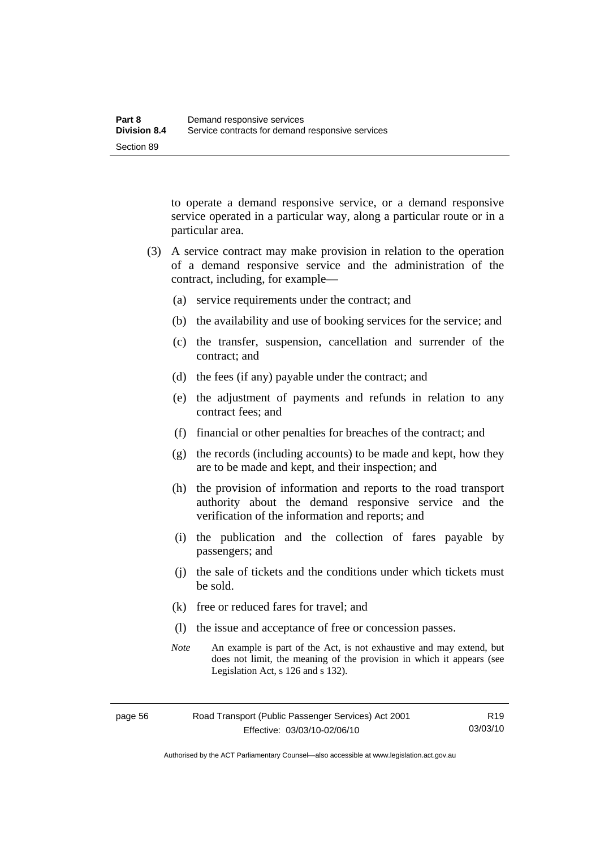to operate a demand responsive service, or a demand responsive service operated in a particular way, along a particular route or in a particular area.

- (3) A service contract may make provision in relation to the operation of a demand responsive service and the administration of the contract, including, for example—
	- (a) service requirements under the contract; and
	- (b) the availability and use of booking services for the service; and
	- (c) the transfer, suspension, cancellation and surrender of the contract; and
	- (d) the fees (if any) payable under the contract; and
	- (e) the adjustment of payments and refunds in relation to any contract fees; and
	- (f) financial or other penalties for breaches of the contract; and
	- (g) the records (including accounts) to be made and kept, how they are to be made and kept, and their inspection; and
	- (h) the provision of information and reports to the road transport authority about the demand responsive service and the verification of the information and reports; and
	- (i) the publication and the collection of fares payable by passengers; and
	- (j) the sale of tickets and the conditions under which tickets must be sold.
	- (k) free or reduced fares for travel; and
	- (l) the issue and acceptance of free or concession passes.
	- *Note* An example is part of the Act, is not exhaustive and may extend, but does not limit, the meaning of the provision in which it appears (see Legislation Act, s 126 and s 132).

Authorised by the ACT Parliamentary Counsel—also accessible at www.legislation.act.gov.au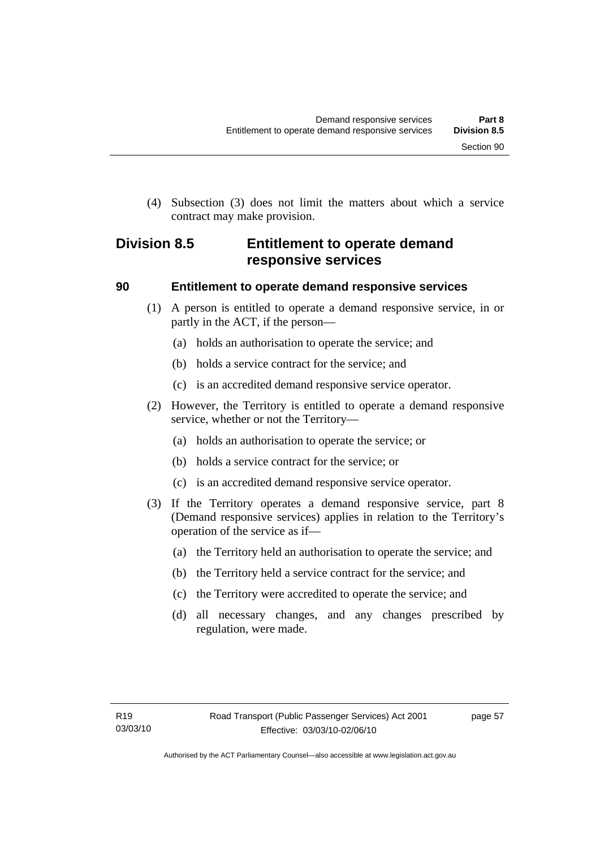(4) Subsection (3) does not limit the matters about which a service contract may make provision.

# **Division 8.5 Entitlement to operate demand responsive services**

## **90 Entitlement to operate demand responsive services**

- (1) A person is entitled to operate a demand responsive service, in or partly in the ACT, if the person—
	- (a) holds an authorisation to operate the service; and
	- (b) holds a service contract for the service; and
	- (c) is an accredited demand responsive service operator.
- (2) However, the Territory is entitled to operate a demand responsive service, whether or not the Territory—
	- (a) holds an authorisation to operate the service; or
	- (b) holds a service contract for the service; or
	- (c) is an accredited demand responsive service operator.
- (3) If the Territory operates a demand responsive service, part 8 (Demand responsive services) applies in relation to the Territory's operation of the service as if—
	- (a) the Territory held an authorisation to operate the service; and
	- (b) the Territory held a service contract for the service; and
	- (c) the Territory were accredited to operate the service; and
	- (d) all necessary changes, and any changes prescribed by regulation, were made.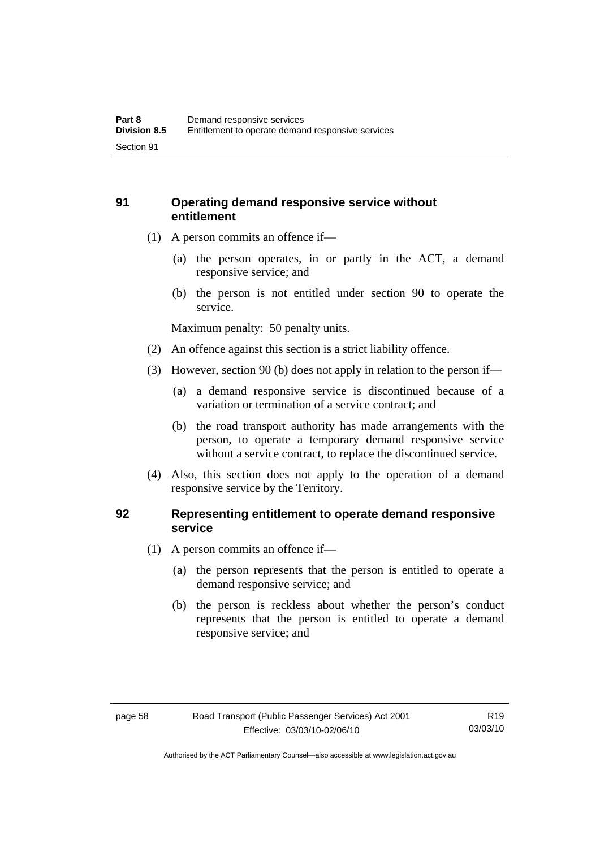## **91 Operating demand responsive service without entitlement**

- (1) A person commits an offence if—
	- (a) the person operates, in or partly in the ACT, a demand responsive service; and
	- (b) the person is not entitled under section 90 to operate the service.

Maximum penalty: 50 penalty units.

- (2) An offence against this section is a strict liability offence.
- (3) However, section 90 (b) does not apply in relation to the person if—
	- (a) a demand responsive service is discontinued because of a variation or termination of a service contract; and
	- (b) the road transport authority has made arrangements with the person, to operate a temporary demand responsive service without a service contract, to replace the discontinued service.
- (4) Also, this section does not apply to the operation of a demand responsive service by the Territory.

## **92 Representing entitlement to operate demand responsive service**

- (1) A person commits an offence if—
	- (a) the person represents that the person is entitled to operate a demand responsive service; and
	- (b) the person is reckless about whether the person's conduct represents that the person is entitled to operate a demand responsive service; and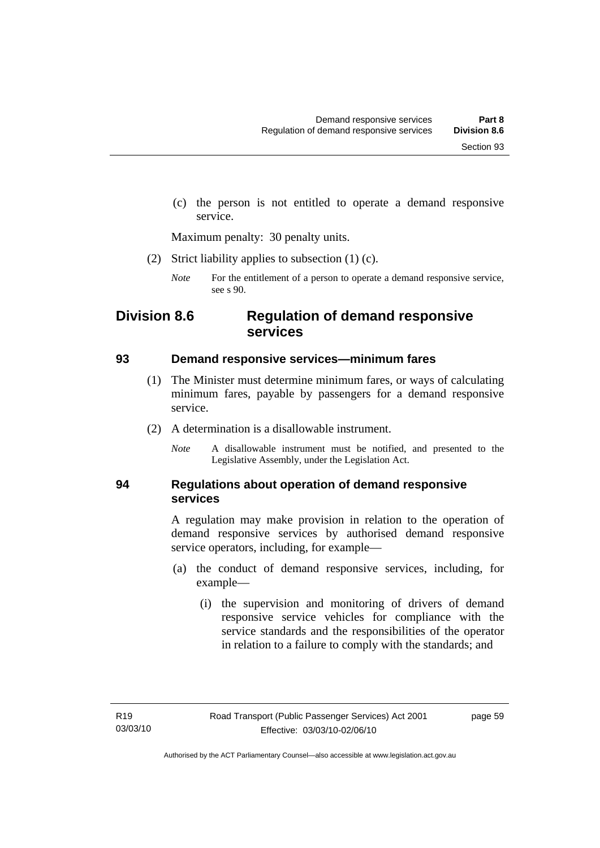(c) the person is not entitled to operate a demand responsive service.

Maximum penalty: 30 penalty units.

(2) Strict liability applies to subsection (1) (c).

*Note* For the entitlement of a person to operate a demand responsive service, see s 90.

# **Division 8.6 Regulation of demand responsive services**

#### **93 Demand responsive services—minimum fares**

- (1) The Minister must determine minimum fares, or ways of calculating minimum fares, payable by passengers for a demand responsive service.
- (2) A determination is a disallowable instrument.
	- *Note* A disallowable instrument must be notified, and presented to the Legislative Assembly, under the Legislation Act.

## **94 Regulations about operation of demand responsive services**

A regulation may make provision in relation to the operation of demand responsive services by authorised demand responsive service operators, including, for example—

- (a) the conduct of demand responsive services, including, for example—
	- (i) the supervision and monitoring of drivers of demand responsive service vehicles for compliance with the service standards and the responsibilities of the operator in relation to a failure to comply with the standards; and

page 59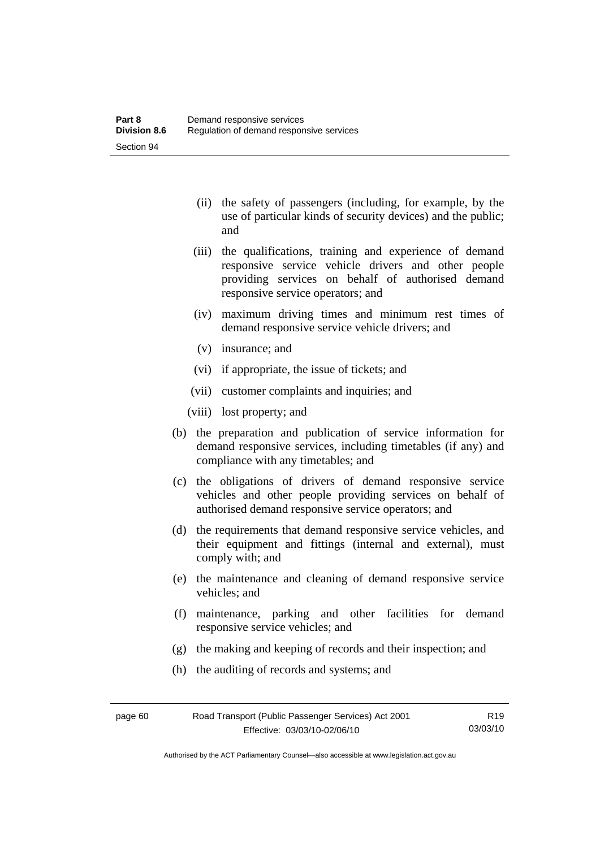- (ii) the safety of passengers (including, for example, by the use of particular kinds of security devices) and the public; and
- (iii) the qualifications, training and experience of demand responsive service vehicle drivers and other people providing services on behalf of authorised demand responsive service operators; and
- (iv) maximum driving times and minimum rest times of demand responsive service vehicle drivers; and
- (v) insurance; and
- (vi) if appropriate, the issue of tickets; and
- (vii) customer complaints and inquiries; and
- (viii) lost property; and
- (b) the preparation and publication of service information for demand responsive services, including timetables (if any) and compliance with any timetables; and
- (c) the obligations of drivers of demand responsive service vehicles and other people providing services on behalf of authorised demand responsive service operators; and
- (d) the requirements that demand responsive service vehicles, and their equipment and fittings (internal and external), must comply with; and
- (e) the maintenance and cleaning of demand responsive service vehicles; and
- (f) maintenance, parking and other facilities for demand responsive service vehicles; and
- (g) the making and keeping of records and their inspection; and
- (h) the auditing of records and systems; and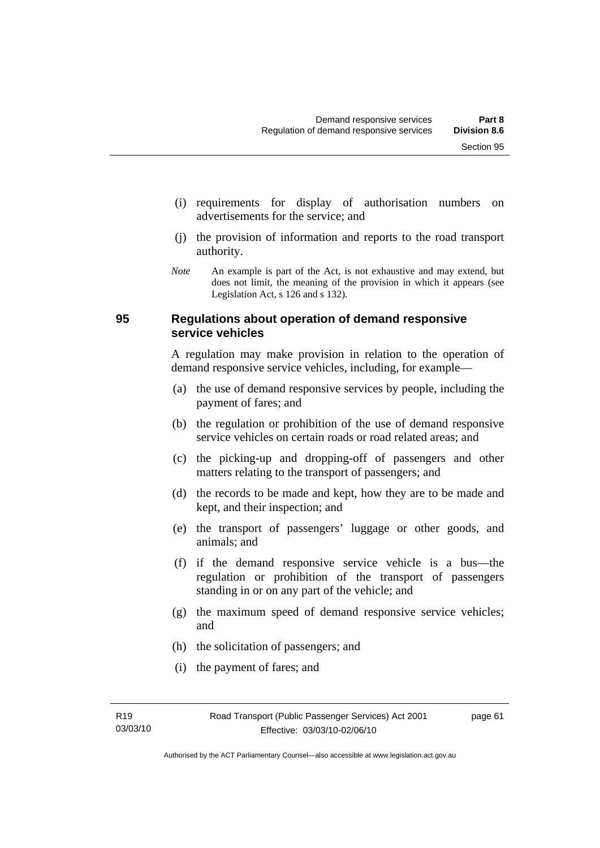- (i) requirements for display of authorisation numbers on advertisements for the service; and
- (j) the provision of information and reports to the road transport authority.
- *Note* An example is part of the Act, is not exhaustive and may extend, but does not limit, the meaning of the provision in which it appears (see Legislation Act, s 126 and s 132).

#### **95 Regulations about operation of demand responsive service vehicles**

A regulation may make provision in relation to the operation of demand responsive service vehicles, including, for example—

- (a) the use of demand responsive services by people, including the payment of fares; and
- (b) the regulation or prohibition of the use of demand responsive service vehicles on certain roads or road related areas; and
- (c) the picking-up and dropping-off of passengers and other matters relating to the transport of passengers; and
- (d) the records to be made and kept, how they are to be made and kept, and their inspection; and
- (e) the transport of passengers' luggage or other goods, and animals; and
- (f) if the demand responsive service vehicle is a bus—the regulation or prohibition of the transport of passengers standing in or on any part of the vehicle; and
- (g) the maximum speed of demand responsive service vehicles; and
- (h) the solicitation of passengers; and
- (i) the payment of fares; and

page 61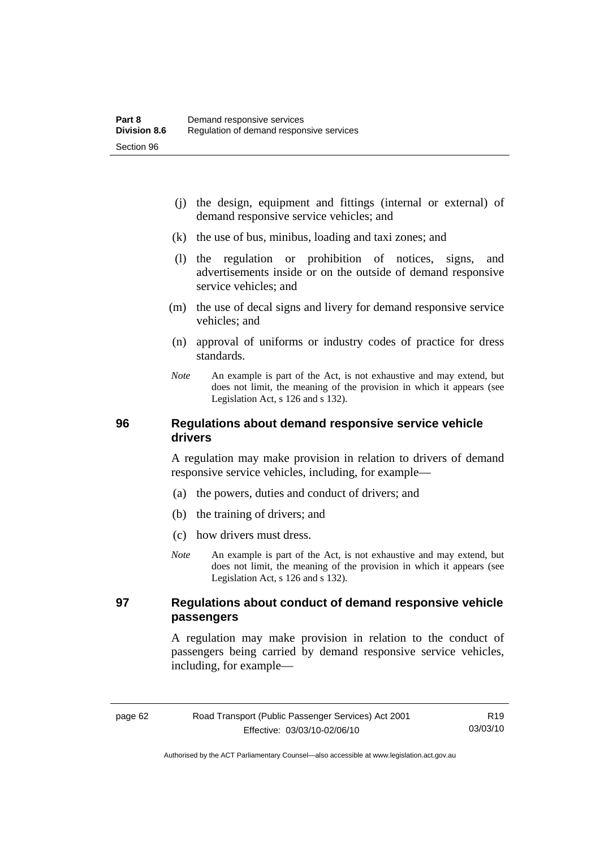- (j) the design, equipment and fittings (internal or external) of demand responsive service vehicles; and
- (k) the use of bus, minibus, loading and taxi zones; and
- (l) the regulation or prohibition of notices, signs, and advertisements inside or on the outside of demand responsive service vehicles; and
- (m) the use of decal signs and livery for demand responsive service vehicles; and
- (n) approval of uniforms or industry codes of practice for dress standards.
- *Note* An example is part of the Act, is not exhaustive and may extend, but does not limit, the meaning of the provision in which it appears (see Legislation Act, s 126 and s 132).

## **96 Regulations about demand responsive service vehicle drivers**

A regulation may make provision in relation to drivers of demand responsive service vehicles, including, for example—

- (a) the powers, duties and conduct of drivers; and
- (b) the training of drivers; and
- (c) how drivers must dress.
- *Note* An example is part of the Act, is not exhaustive and may extend, but does not limit, the meaning of the provision in which it appears (see Legislation Act, s 126 and s 132).

## **97 Regulations about conduct of demand responsive vehicle passengers**

A regulation may make provision in relation to the conduct of passengers being carried by demand responsive service vehicles, including, for example—

Authorised by the ACT Parliamentary Counsel—also accessible at www.legislation.act.gov.au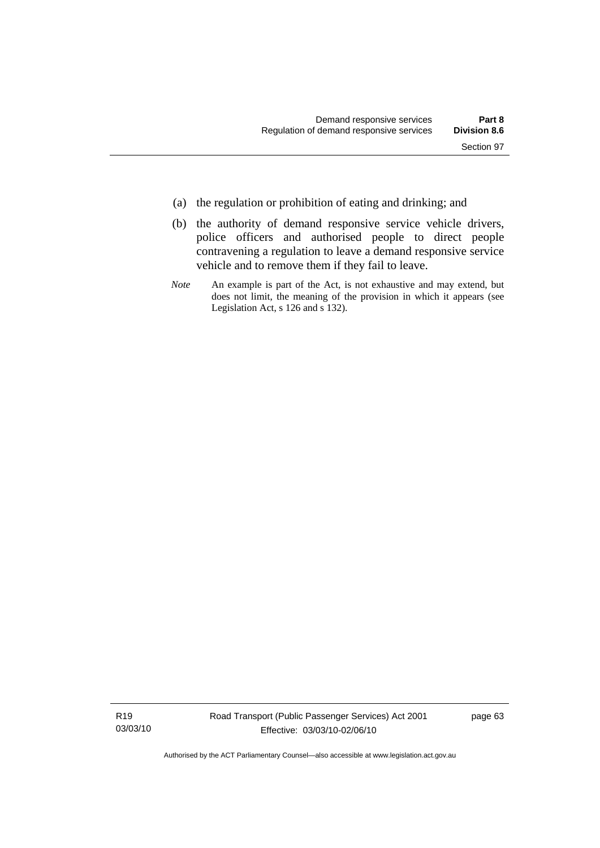- (a) the regulation or prohibition of eating and drinking; and
- (b) the authority of demand responsive service vehicle drivers, police officers and authorised people to direct people contravening a regulation to leave a demand responsive service vehicle and to remove them if they fail to leave.
- *Note* An example is part of the Act, is not exhaustive and may extend, but does not limit, the meaning of the provision in which it appears (see Legislation Act, s 126 and s 132).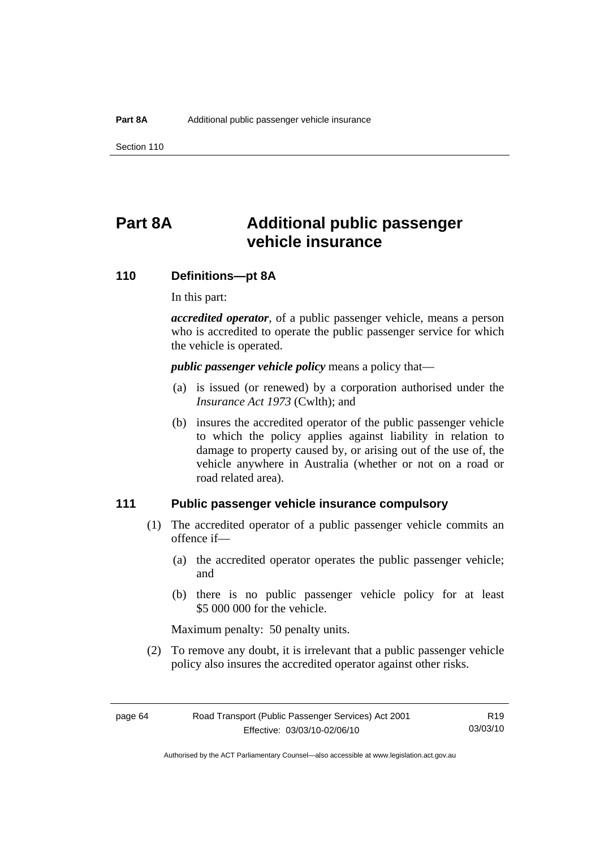Section 110

# **Part 8A Additional public passenger vehicle insurance**

# **110 Definitions—pt 8A**

In this part:

*accredited operator*, of a public passenger vehicle, means a person who is accredited to operate the public passenger service for which the vehicle is operated.

*public passenger vehicle policy* means a policy that—

- (a) is issued (or renewed) by a corporation authorised under the *Insurance Act 1973* (Cwlth); and
- (b) insures the accredited operator of the public passenger vehicle to which the policy applies against liability in relation to damage to property caused by, or arising out of the use of, the vehicle anywhere in Australia (whether or not on a road or road related area).

### **111 Public passenger vehicle insurance compulsory**

- (1) The accredited operator of a public passenger vehicle commits an offence if—
	- (a) the accredited operator operates the public passenger vehicle; and
	- (b) there is no public passenger vehicle policy for at least \$5 000 000 for the vehicle.

Maximum penalty: 50 penalty units.

 (2) To remove any doubt, it is irrelevant that a public passenger vehicle policy also insures the accredited operator against other risks.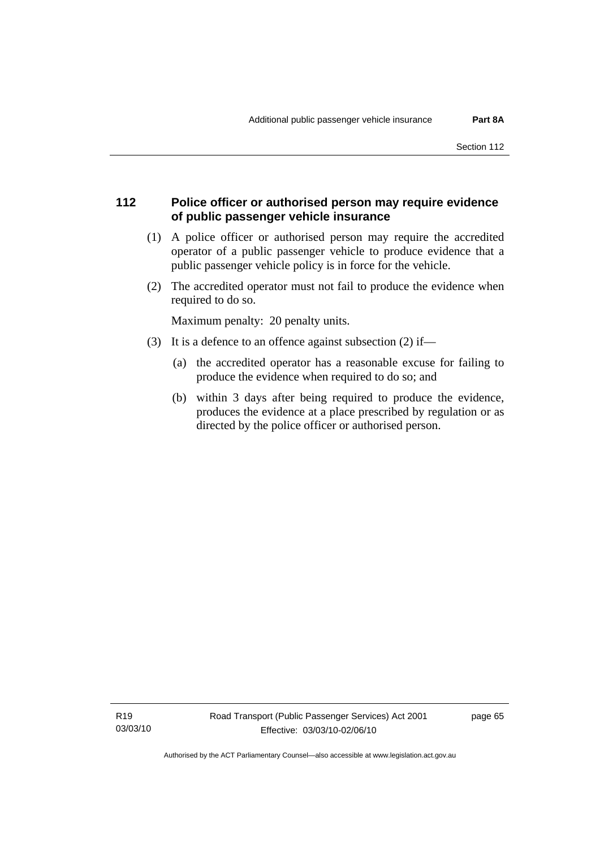# **112 Police officer or authorised person may require evidence of public passenger vehicle insurance**

- (1) A police officer or authorised person may require the accredited operator of a public passenger vehicle to produce evidence that a public passenger vehicle policy is in force for the vehicle.
- (2) The accredited operator must not fail to produce the evidence when required to do so.

Maximum penalty: 20 penalty units.

- (3) It is a defence to an offence against subsection (2) if—
	- (a) the accredited operator has a reasonable excuse for failing to produce the evidence when required to do so; and
	- (b) within 3 days after being required to produce the evidence, produces the evidence at a place prescribed by regulation or as directed by the police officer or authorised person.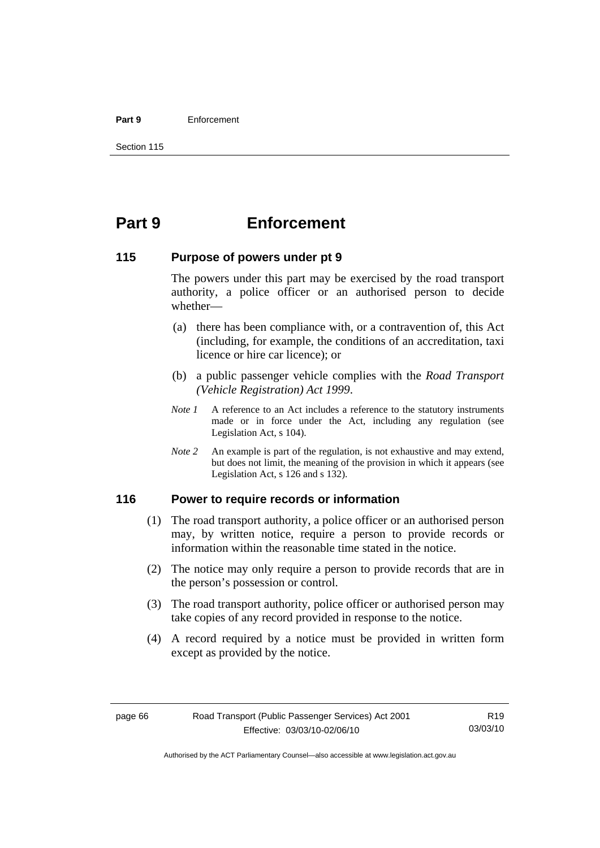#### **Part 9** Enforcement

# **Part 9 Enforcement**

## **115 Purpose of powers under pt 9**

The powers under this part may be exercised by the road transport authority, a police officer or an authorised person to decide whether—

- (a) there has been compliance with, or a contravention of, this Act (including, for example, the conditions of an accreditation, taxi licence or hire car licence); or
- (b) a public passenger vehicle complies with the *Road Transport (Vehicle Registration) Act 1999*.
- *Note 1* A reference to an Act includes a reference to the statutory instruments made or in force under the Act, including any regulation (see Legislation Act, s 104).
- *Note 2* An example is part of the regulation, is not exhaustive and may extend, but does not limit, the meaning of the provision in which it appears (see Legislation Act, s 126 and s 132).

## **116 Power to require records or information**

- (1) The road transport authority, a police officer or an authorised person may, by written notice, require a person to provide records or information within the reasonable time stated in the notice.
- (2) The notice may only require a person to provide records that are in the person's possession or control.
- (3) The road transport authority, police officer or authorised person may take copies of any record provided in response to the notice.
- (4) A record required by a notice must be provided in written form except as provided by the notice.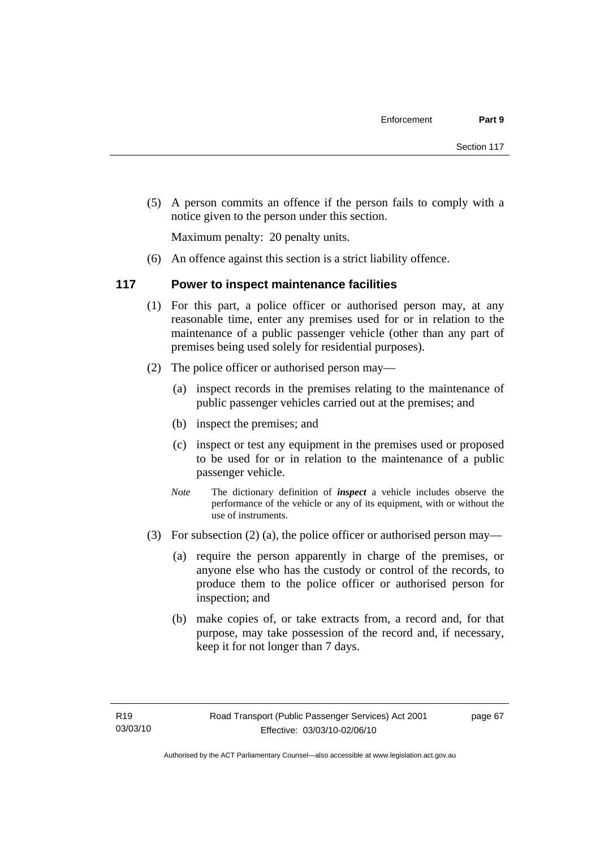(5) A person commits an offence if the person fails to comply with a notice given to the person under this section.

Maximum penalty: 20 penalty units.

(6) An offence against this section is a strict liability offence.

# **117 Power to inspect maintenance facilities**

- (1) For this part, a police officer or authorised person may, at any reasonable time, enter any premises used for or in relation to the maintenance of a public passenger vehicle (other than any part of premises being used solely for residential purposes).
- (2) The police officer or authorised person may—
	- (a) inspect records in the premises relating to the maintenance of public passenger vehicles carried out at the premises; and
	- (b) inspect the premises; and
	- (c) inspect or test any equipment in the premises used or proposed to be used for or in relation to the maintenance of a public passenger vehicle.
	- *Note* The dictionary definition of *inspect* a vehicle includes observe the performance of the vehicle or any of its equipment, with or without the use of instruments.
- (3) For subsection (2) (a), the police officer or authorised person may—
	- (a) require the person apparently in charge of the premises, or anyone else who has the custody or control of the records, to produce them to the police officer or authorised person for inspection; and
	- (b) make copies of, or take extracts from, a record and, for that purpose, may take possession of the record and, if necessary, keep it for not longer than 7 days.

page 67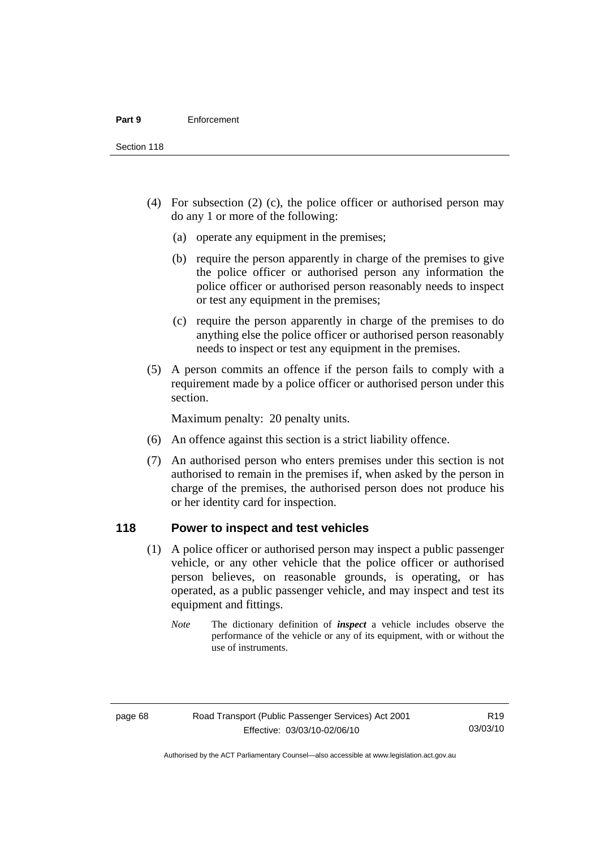Section 118

- (4) For subsection (2) (c), the police officer or authorised person may do any 1 or more of the following:
	- (a) operate any equipment in the premises;
	- (b) require the person apparently in charge of the premises to give the police officer or authorised person any information the police officer or authorised person reasonably needs to inspect or test any equipment in the premises;
	- (c) require the person apparently in charge of the premises to do anything else the police officer or authorised person reasonably needs to inspect or test any equipment in the premises.
- (5) A person commits an offence if the person fails to comply with a requirement made by a police officer or authorised person under this section.

Maximum penalty: 20 penalty units.

- (6) An offence against this section is a strict liability offence.
- (7) An authorised person who enters premises under this section is not authorised to remain in the premises if, when asked by the person in charge of the premises, the authorised person does not produce his or her identity card for inspection.

# **118 Power to inspect and test vehicles**

- (1) A police officer or authorised person may inspect a public passenger vehicle, or any other vehicle that the police officer or authorised person believes, on reasonable grounds, is operating, or has operated, as a public passenger vehicle, and may inspect and test its equipment and fittings.
	- *Note* The dictionary definition of *inspect* a vehicle includes observe the performance of the vehicle or any of its equipment, with or without the use of instruments.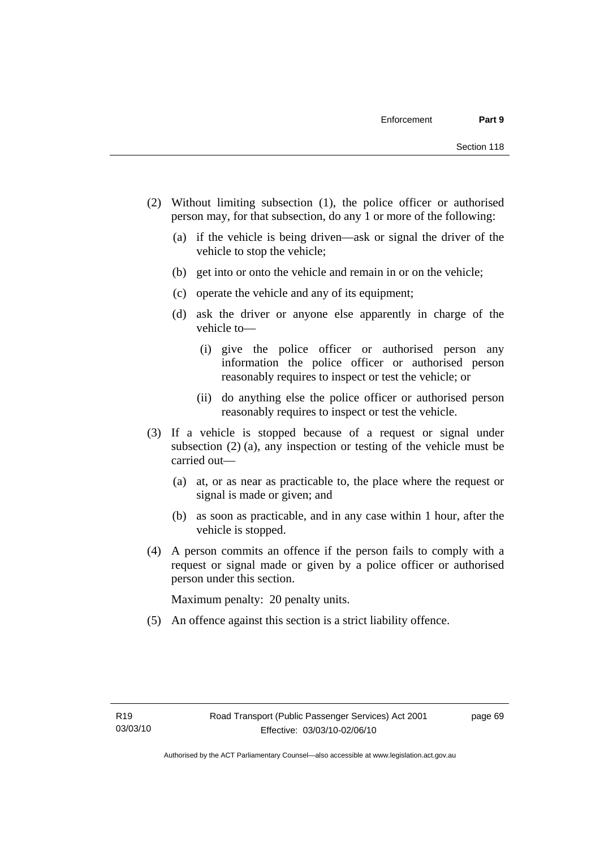- (2) Without limiting subsection (1), the police officer or authorised person may, for that subsection, do any 1 or more of the following:
	- (a) if the vehicle is being driven—ask or signal the driver of the vehicle to stop the vehicle;
	- (b) get into or onto the vehicle and remain in or on the vehicle;
	- (c) operate the vehicle and any of its equipment;
	- (d) ask the driver or anyone else apparently in charge of the vehicle to—
		- (i) give the police officer or authorised person any information the police officer or authorised person reasonably requires to inspect or test the vehicle; or
		- (ii) do anything else the police officer or authorised person reasonably requires to inspect or test the vehicle.
- (3) If a vehicle is stopped because of a request or signal under subsection (2) (a), any inspection or testing of the vehicle must be carried out—
	- (a) at, or as near as practicable to, the place where the request or signal is made or given; and
	- (b) as soon as practicable, and in any case within 1 hour, after the vehicle is stopped.
- (4) A person commits an offence if the person fails to comply with a request or signal made or given by a police officer or authorised person under this section.

Maximum penalty: 20 penalty units.

(5) An offence against this section is a strict liability offence.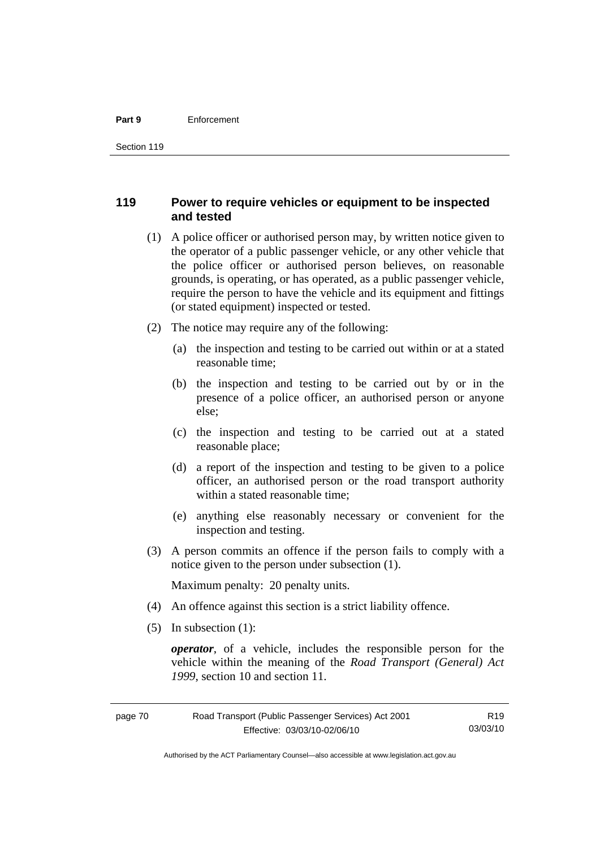#### **Part 9** Enforcement

# **119 Power to require vehicles or equipment to be inspected and tested**

- (1) A police officer or authorised person may, by written notice given to the operator of a public passenger vehicle, or any other vehicle that the police officer or authorised person believes, on reasonable grounds, is operating, or has operated, as a public passenger vehicle, require the person to have the vehicle and its equipment and fittings (or stated equipment) inspected or tested.
- (2) The notice may require any of the following:
	- (a) the inspection and testing to be carried out within or at a stated reasonable time;
	- (b) the inspection and testing to be carried out by or in the presence of a police officer, an authorised person or anyone else;
	- (c) the inspection and testing to be carried out at a stated reasonable place;
	- (d) a report of the inspection and testing to be given to a police officer, an authorised person or the road transport authority within a stated reasonable time;
	- (e) anything else reasonably necessary or convenient for the inspection and testing.
- (3) A person commits an offence if the person fails to comply with a notice given to the person under subsection (1).

Maximum penalty: 20 penalty units.

- (4) An offence against this section is a strict liability offence.
- (5) In subsection (1):

*operator*, of a vehicle, includes the responsible person for the vehicle within the meaning of the *Road Transport (General) Act 1999*, section 10 and section 11.

Authorised by the ACT Parliamentary Counsel—also accessible at www.legislation.act.gov.au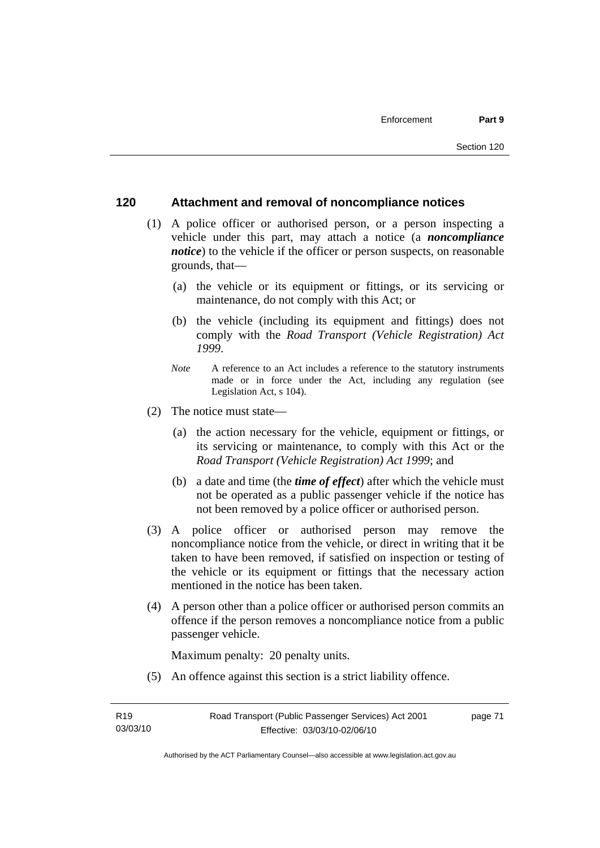# **120 Attachment and removal of noncompliance notices**

- (1) A police officer or authorised person, or a person inspecting a vehicle under this part, may attach a notice (a *noncompliance notice*) to the vehicle if the officer or person suspects, on reasonable grounds, that—
	- (a) the vehicle or its equipment or fittings, or its servicing or maintenance, do not comply with this Act; or
	- (b) the vehicle (including its equipment and fittings) does not comply with the *Road Transport (Vehicle Registration) Act 1999*.
	- *Note* A reference to an Act includes a reference to the statutory instruments made or in force under the Act, including any regulation (see Legislation Act, s 104).
- (2) The notice must state—
	- (a) the action necessary for the vehicle, equipment or fittings, or its servicing or maintenance, to comply with this Act or the *Road Transport (Vehicle Registration) Act 1999*; and
	- (b) a date and time (the *time of effect*) after which the vehicle must not be operated as a public passenger vehicle if the notice has not been removed by a police officer or authorised person.
- (3) A police officer or authorised person may remove the noncompliance notice from the vehicle, or direct in writing that it be taken to have been removed, if satisfied on inspection or testing of the vehicle or its equipment or fittings that the necessary action mentioned in the notice has been taken.
- (4) A person other than a police officer or authorised person commits an offence if the person removes a noncompliance notice from a public passenger vehicle.

Maximum penalty: 20 penalty units.

(5) An offence against this section is a strict liability offence.

page 71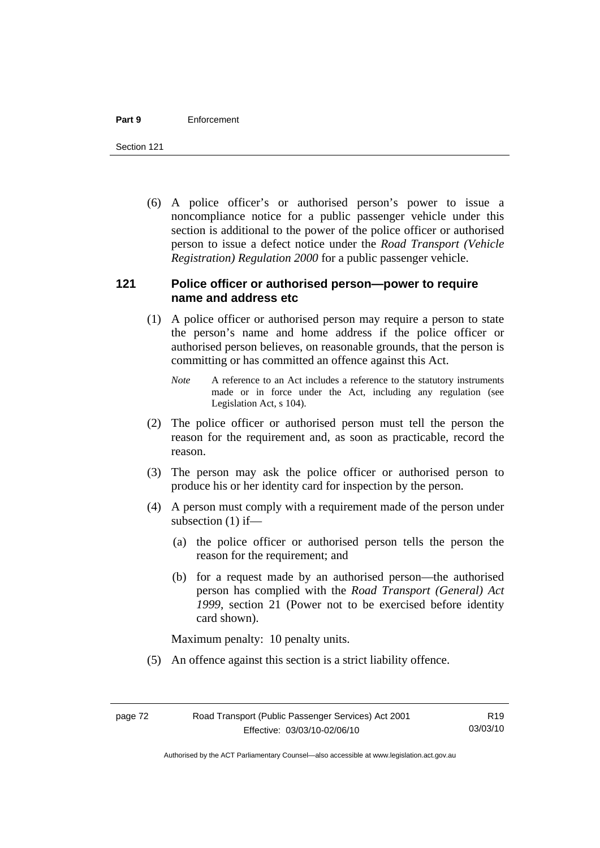#### **Part 9** Enforcement

Section 121

 (6) A police officer's or authorised person's power to issue a noncompliance notice for a public passenger vehicle under this section is additional to the power of the police officer or authorised person to issue a defect notice under the *Road Transport (Vehicle Registration) Regulation 2000* for a public passenger vehicle.

# **121 Police officer or authorised person—power to require name and address etc**

- (1) A police officer or authorised person may require a person to state the person's name and home address if the police officer or authorised person believes, on reasonable grounds, that the person is committing or has committed an offence against this Act.
	- *Note* A reference to an Act includes a reference to the statutory instruments made or in force under the Act, including any regulation (see Legislation Act, s 104).
- (2) The police officer or authorised person must tell the person the reason for the requirement and, as soon as practicable, record the reason.
- (3) The person may ask the police officer or authorised person to produce his or her identity card for inspection by the person.
- (4) A person must comply with a requirement made of the person under subsection (1) if—
	- (a) the police officer or authorised person tells the person the reason for the requirement; and
	- (b) for a request made by an authorised person—the authorised person has complied with the *Road Transport (General) Act 1999*, section 21 (Power not to be exercised before identity card shown).

Maximum penalty: 10 penalty units.

(5) An offence against this section is a strict liability offence.

Authorised by the ACT Parliamentary Counsel—also accessible at www.legislation.act.gov.au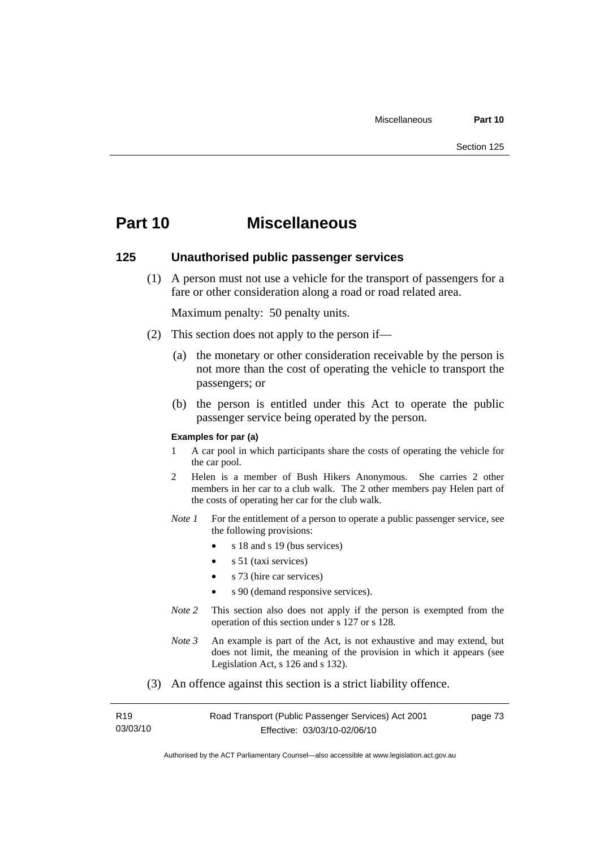# **Part 10 Miscellaneous**

### **125 Unauthorised public passenger services**

 (1) A person must not use a vehicle for the transport of passengers for a fare or other consideration along a road or road related area.

Maximum penalty: 50 penalty units.

- (2) This section does not apply to the person if—
	- (a) the monetary or other consideration receivable by the person is not more than the cost of operating the vehicle to transport the passengers; or
	- (b) the person is entitled under this Act to operate the public passenger service being operated by the person.

#### **Examples for par (a)**

- 1 A car pool in which participants share the costs of operating the vehicle for the car pool.
- 2 Helen is a member of Bush Hikers Anonymous. She carries 2 other members in her car to a club walk. The 2 other members pay Helen part of the costs of operating her car for the club walk.
- *Note 1* For the entitlement of a person to operate a public passenger service, see the following provisions:
	- s 18 and s 19 (bus services)
	- $s$  51 (taxi services)
	- s 73 (hire car services)
	- s 90 (demand responsive services).
- *Note* 2 This section also does not apply if the person is exempted from the operation of this section under s 127 or s 128.
- *Note 3* An example is part of the Act, is not exhaustive and may extend, but does not limit, the meaning of the provision in which it appears (see Legislation Act, s 126 and s 132).
- (3) An offence against this section is a strict liability offence.

| R <sub>19</sub> | Road Transport (Public Passenger Services) Act 2001 | page 73 |
|-----------------|-----------------------------------------------------|---------|
| 03/03/10        | Effective: 03/03/10-02/06/10                        |         |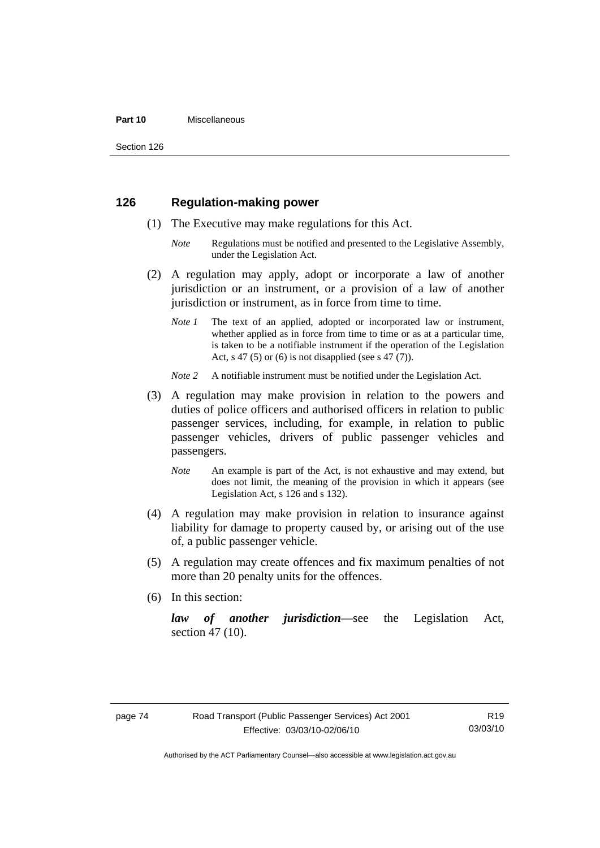#### **Part 10** Miscellaneous

Section 126

# **126 Regulation-making power**

- (1) The Executive may make regulations for this Act.
	- *Note* Regulations must be notified and presented to the Legislative Assembly, under the Legislation Act.
- (2) A regulation may apply, adopt or incorporate a law of another jurisdiction or an instrument, or a provision of a law of another jurisdiction or instrument, as in force from time to time.
	- *Note 1* The text of an applied, adopted or incorporated law or instrument, whether applied as in force from time to time or as at a particular time, is taken to be a notifiable instrument if the operation of the Legislation Act, s 47 (5) or (6) is not disapplied (see s 47 (7)).
	- *Note 2* A notifiable instrument must be notified under the Legislation Act.
- (3) A regulation may make provision in relation to the powers and duties of police officers and authorised officers in relation to public passenger services, including, for example, in relation to public passenger vehicles, drivers of public passenger vehicles and passengers.
	- *Note* An example is part of the Act, is not exhaustive and may extend, but does not limit, the meaning of the provision in which it appears (see Legislation Act, s 126 and s 132).
- (4) A regulation may make provision in relation to insurance against liability for damage to property caused by, or arising out of the use of, a public passenger vehicle.
- (5) A regulation may create offences and fix maximum penalties of not more than 20 penalty units for the offences.
- (6) In this section:

*law of another jurisdiction*—see the Legislation Act, section 47 (10).

Authorised by the ACT Parliamentary Counsel—also accessible at www.legislation.act.gov.au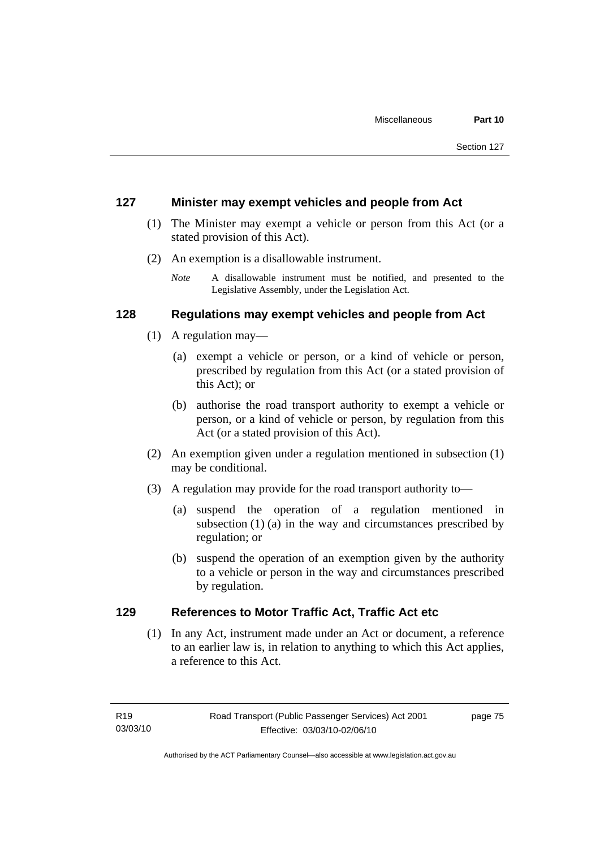# **127 Minister may exempt vehicles and people from Act**

- (1) The Minister may exempt a vehicle or person from this Act (or a stated provision of this Act).
- (2) An exemption is a disallowable instrument.
	- *Note* A disallowable instrument must be notified, and presented to the Legislative Assembly, under the Legislation Act.

# **128 Regulations may exempt vehicles and people from Act**

- (1) A regulation may—
	- (a) exempt a vehicle or person, or a kind of vehicle or person, prescribed by regulation from this Act (or a stated provision of this Act); or
	- (b) authorise the road transport authority to exempt a vehicle or person, or a kind of vehicle or person, by regulation from this Act (or a stated provision of this Act).
- (2) An exemption given under a regulation mentioned in subsection (1) may be conditional.
- (3) A regulation may provide for the road transport authority to—
	- (a) suspend the operation of a regulation mentioned in subsection (1) (a) in the way and circumstances prescribed by regulation; or
	- (b) suspend the operation of an exemption given by the authority to a vehicle or person in the way and circumstances prescribed by regulation.

# **129 References to Motor Traffic Act, Traffic Act etc**

 (1) In any Act, instrument made under an Act or document, a reference to an earlier law is, in relation to anything to which this Act applies, a reference to this Act.

page 75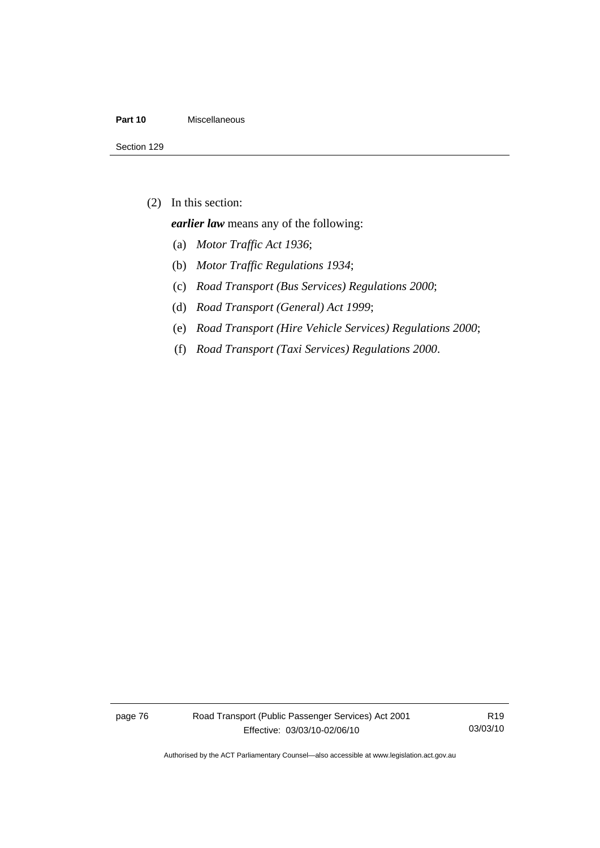#### **Part 10** Miscellaneous

(2) In this section:

*earlier law* means any of the following:

- (a) *Motor Traffic Act 1936*;
- (b) *Motor Traffic Regulations 1934*;
- (c) *Road Transport (Bus Services) Regulations 2000*;
- (d) *Road Transport (General) Act 1999*;
- (e) *Road Transport (Hire Vehicle Services) Regulations 2000*;
- (f) *Road Transport (Taxi Services) Regulations 2000*.

page 76 Road Transport (Public Passenger Services) Act 2001 Effective: 03/03/10-02/06/10

R19 03/03/10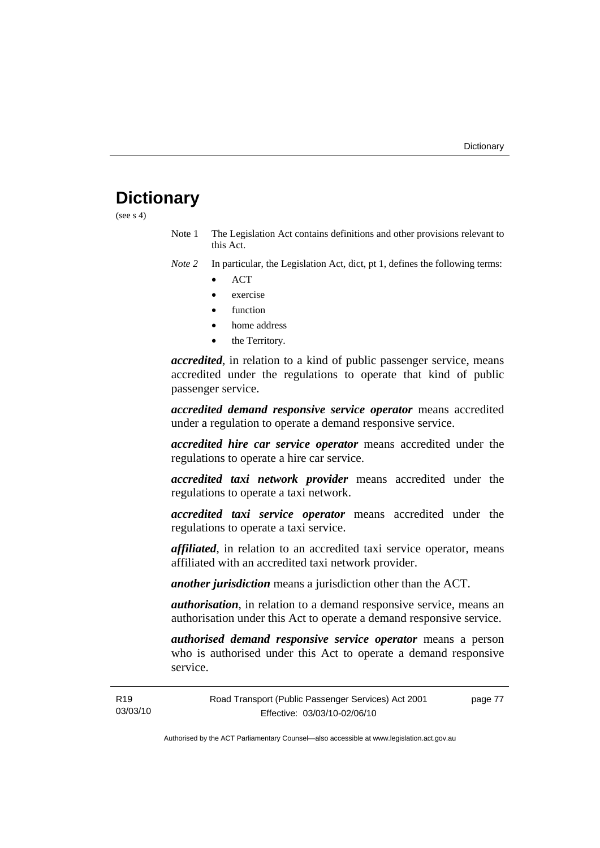# **Dictionary**

(see  $s$  4)

Note 1 The Legislation Act contains definitions and other provisions relevant to this Act.

*Note 2* In particular, the Legislation Act, dict, pt 1, defines the following terms:

- ACT
- exercise
- function
- home address
- the Territory.

*accredited*, in relation to a kind of public passenger service, means accredited under the regulations to operate that kind of public passenger service.

*accredited demand responsive service operator* means accredited under a regulation to operate a demand responsive service.

*accredited hire car service operator* means accredited under the regulations to operate a hire car service.

*accredited taxi network provider* means accredited under the regulations to operate a taxi network.

*accredited taxi service operator* means accredited under the regulations to operate a taxi service.

*affiliated*, in relation to an accredited taxi service operator, means affiliated with an accredited taxi network provider.

*another jurisdiction* means a jurisdiction other than the ACT.

*authorisation*, in relation to a demand responsive service, means an authorisation under this Act to operate a demand responsive service.

*authorised demand responsive service operator* means a person who is authorised under this Act to operate a demand responsive service.

page 77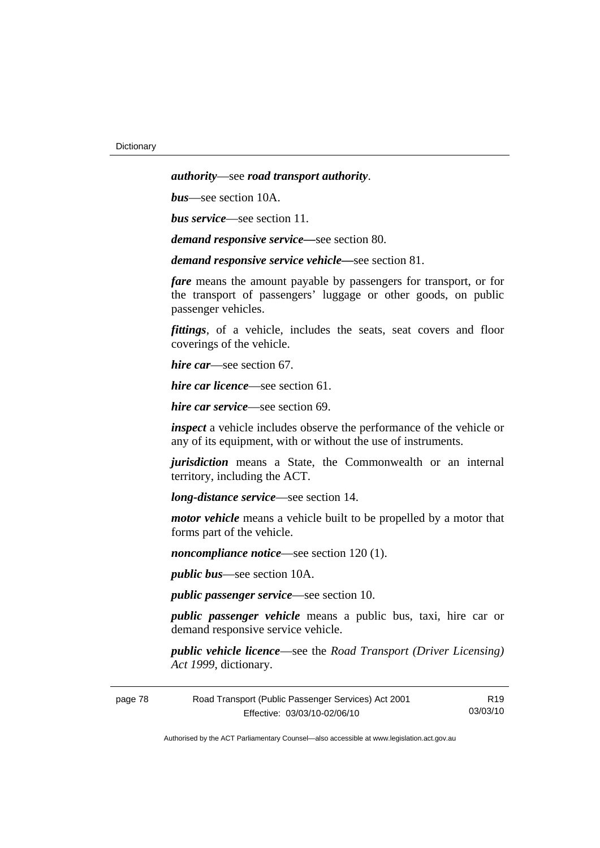*authority*—see *road transport authority*.

*bus*—see section 10A.

*bus service*—see section 11.

*demand responsive service—*see section 80.

*demand responsive service vehicle—*see section 81.

*fare* means the amount payable by passengers for transport, or for the transport of passengers' luggage or other goods, on public passenger vehicles.

*fittings*, of a vehicle, includes the seats, seat covers and floor coverings of the vehicle.

*hire car*—see section 67.

*hire car licence*—see section 61.

*hire car service*—see section 69.

*inspect* a vehicle includes observe the performance of the vehicle or any of its equipment, with or without the use of instruments.

*jurisdiction* means a State, the Commonwealth or an internal territory, including the ACT.

*long-distance service*—see section 14.

*motor vehicle* means a vehicle built to be propelled by a motor that forms part of the vehicle.

*noncompliance notice*—see section 120 (1).

*public bus*—see section 10A.

*public passenger service*—see section 10.

*public passenger vehicle* means a public bus, taxi, hire car or demand responsive service vehicle.

*public vehicle licence*—see the *Road Transport (Driver Licensing) Act 1999*, dictionary.

| page 78 | Road Transport (Public Passenger Services) Act 2001 | R19      |
|---------|-----------------------------------------------------|----------|
|         | Effective: 03/03/10-02/06/10                        | 03/03/10 |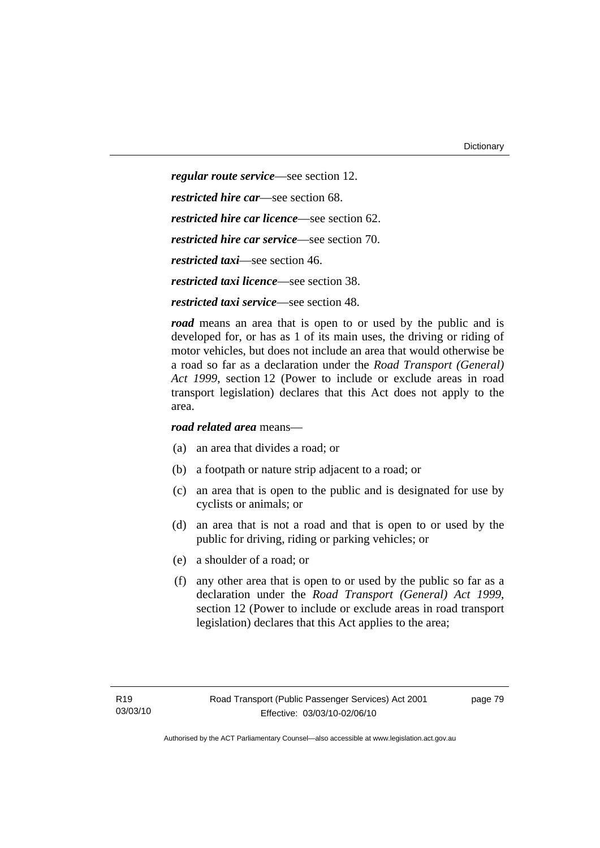*regular route service*—see section 12. *restricted hire car*—see section 68. *restricted hire car licence*—see section 62. *restricted hire car service*—see section 70. *restricted taxi*—see section 46. *restricted taxi licence*—see section 38. *restricted taxi service*—see section 48.

*road* means an area that is open to or used by the public and is developed for, or has as 1 of its main uses, the driving or riding of motor vehicles, but does not include an area that would otherwise be a road so far as a declaration under the *Road Transport (General) Act 1999*, section 12 (Power to include or exclude areas in road transport legislation) declares that this Act does not apply to the area.

*road related area* means—

- (a) an area that divides a road; or
- (b) a footpath or nature strip adjacent to a road; or
- (c) an area that is open to the public and is designated for use by cyclists or animals; or
- (d) an area that is not a road and that is open to or used by the public for driving, riding or parking vehicles; or
- (e) a shoulder of a road; or
- (f) any other area that is open to or used by the public so far as a declaration under the *Road Transport (General) Act 1999*, section 12 (Power to include or exclude areas in road transport legislation) declares that this Act applies to the area;

page 79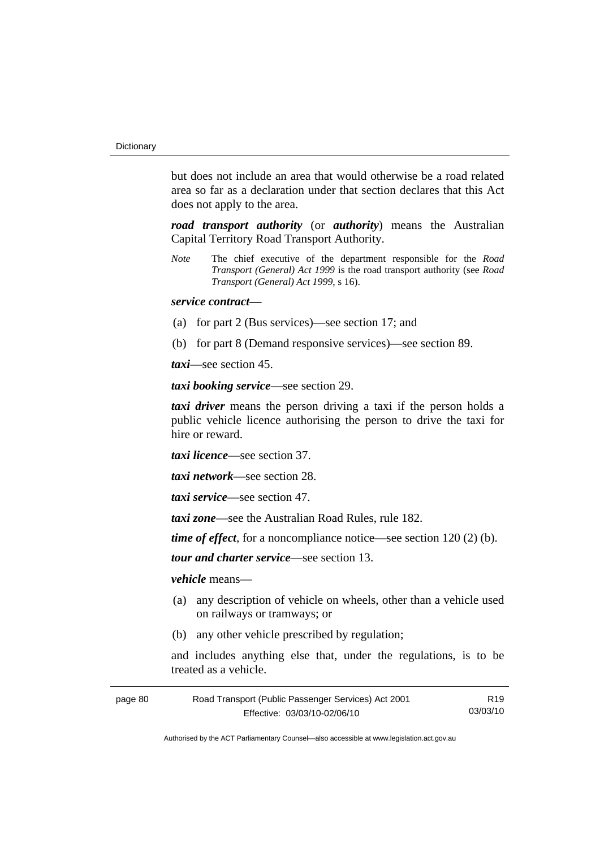but does not include an area that would otherwise be a road related area so far as a declaration under that section declares that this Act does not apply to the area.

*road transport authority* (or *authority*) means the Australian Capital Territory Road Transport Authority.

*Note* The chief executive of the department responsible for the *Road Transport (General) Act 1999* is the road transport authority (see *Road Transport (General) Act 1999*, s 16).

### *service contract—*

- (a) for part 2 (Bus services)—see section 17; and
- (b) for part 8 (Demand responsive services)—see section 89.

*taxi*—see section 45.

*taxi booking service*—see section 29.

*taxi driver* means the person driving a taxi if the person holds a public vehicle licence authorising the person to drive the taxi for hire or reward.

*taxi licence*—see section 37.

*taxi network*—see section 28.

*taxi service*—see section 47.

*taxi zone*—see the Australian Road Rules, rule 182.

*time of effect*, for a noncompliance notice—see section 120 (2) (b).

*tour and charter service*—see section 13.

*vehicle* means—

- (a) any description of vehicle on wheels, other than a vehicle used on railways or tramways; or
- (b) any other vehicle prescribed by regulation;

and includes anything else that, under the regulations, is to be treated as a vehicle.

| page 80 | Road Transport (Public Passenger Services) Act 2001 | R19      |
|---------|-----------------------------------------------------|----------|
|         | Effective: 03/03/10-02/06/10                        | 03/03/10 |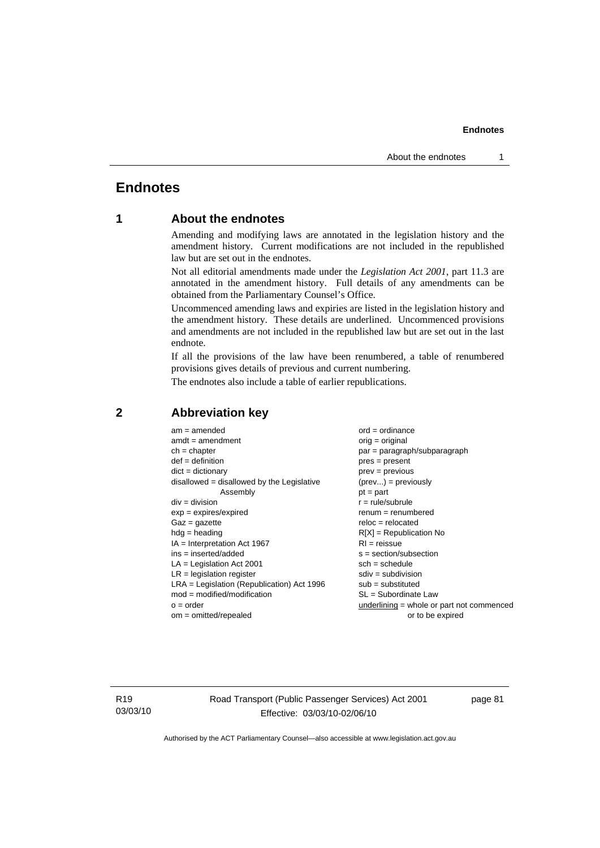# **Endnotes**

# **1 About the endnotes**

Amending and modifying laws are annotated in the legislation history and the amendment history. Current modifications are not included in the republished law but are set out in the endnotes.

Not all editorial amendments made under the *Legislation Act 2001*, part 11.3 are annotated in the amendment history. Full details of any amendments can be obtained from the Parliamentary Counsel's Office.

Uncommenced amending laws and expiries are listed in the legislation history and the amendment history. These details are underlined. Uncommenced provisions and amendments are not included in the republished law but are set out in the last endnote.

If all the provisions of the law have been renumbered, a table of renumbered provisions gives details of previous and current numbering.

The endnotes also include a table of earlier republications.

| $am = amended$                               | $ord = ordinance$                           |
|----------------------------------------------|---------------------------------------------|
| $amdt = amendment$                           | $orig = original$                           |
|                                              |                                             |
| $ch = chapter$                               | par = paragraph/subparagraph                |
| $def = definition$                           | $pres = present$                            |
| $dict = dictionary$                          | $prev = previous$                           |
| $disallowed = disallowed by the Legislative$ | $(\text{prev}) = \text{previously}$         |
| Assembly                                     | $pt = part$                                 |
| $div = division$                             | $r = rule/subrule$                          |
| $exp = expires/expired$                      | $remum = renumbered$                        |
| $Gaz = gazette$                              | $reloc = relocated$                         |
| $hda =$ heading                              | $R[X]$ = Republication No                   |
| $IA = Interpretation Act 1967$               | $RI = reissue$                              |
| $ins = inserted/added$                       | $s = section/subsection$                    |
| $LA =$ Legislation Act 2001                  | $sch = schedule$                            |
| $LR =$ legislation register                  | $sdiv = subdivision$                        |
| $LRA =$ Legislation (Republication) Act 1996 | $sub =$ substituted                         |
| $mod = modified/modification$                | SL = Subordinate Law                        |
| $o = order$                                  | $underlining = whole or part not commenced$ |
| $om = omitted/repealed$                      | or to be expired                            |
|                                              |                                             |

## **2 Abbreviation key**

R19 03/03/10 Road Transport (Public Passenger Services) Act 2001 Effective: 03/03/10-02/06/10

page 81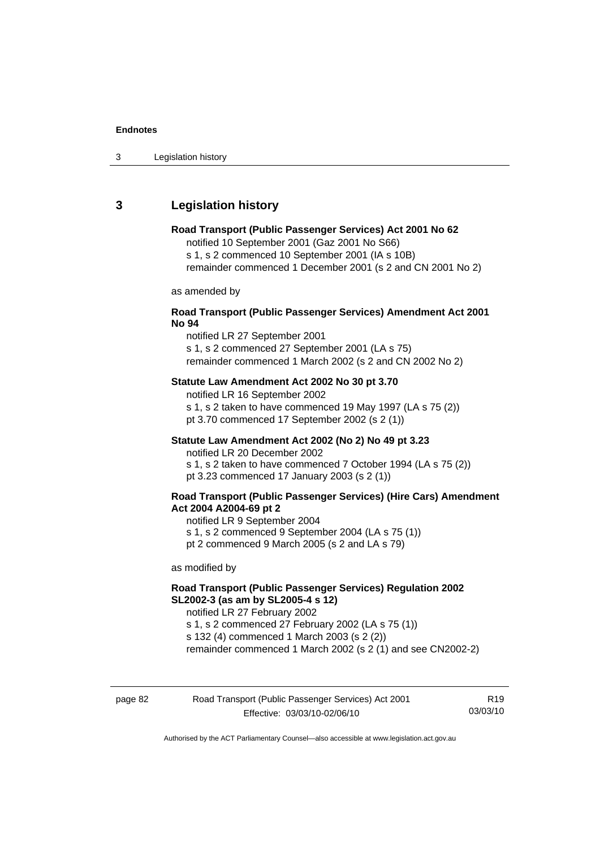# **3 Legislation history**

#### **Road Transport (Public Passenger Services) Act 2001 No 62**

notified 10 September 2001 (Gaz 2001 No S66) s 1, s 2 commenced 10 September 2001 (IA s 10B) remainder commenced 1 December 2001 (s 2 and CN 2001 No 2)

as amended by

### **Road Transport (Public Passenger Services) Amendment Act 2001 No 94**

notified LR 27 September 2001 s 1, s 2 commenced 27 September 2001 (LA s 75) remainder commenced 1 March 2002 (s 2 and CN 2002 No 2)

#### **Statute Law Amendment Act 2002 No 30 pt 3.70**

notified LR 16 September 2002 s 1, s 2 taken to have commenced 19 May 1997 (LA s 75 (2)) pt 3.70 commenced 17 September 2002 (s 2 (1))

### **Statute Law Amendment Act 2002 (No 2) No 49 pt 3.23**

notified LR 20 December 2002

s 1, s 2 taken to have commenced 7 October 1994 (LA s 75 (2)) pt 3.23 commenced 17 January 2003 (s 2 (1))

### **Road Transport (Public Passenger Services) (Hire Cars) Amendment Act 2004 A2004-69 pt 2**

notified LR 9 September 2004

s 1, s 2 commenced 9 September 2004 (LA s 75 (1))

pt 2 commenced 9 March 2005 (s 2 and LA s 79)

as modified by

### **Road Transport (Public Passenger Services) Regulation 2002 SL2002-3 (as am by SL2005-4 s 12)**

notified LR 27 February 2002 s 1, s 2 commenced 27 February 2002 (LA s 75 (1)) s 132 (4) commenced 1 March 2003 (s 2 (2))

remainder commenced 1 March 2002 (s 2 (1) and see CN2002-2)

| page 82 | Road Transport (Public Passenger Services) Act 2001 | R19      |
|---------|-----------------------------------------------------|----------|
|         | Effective: 03/03/10-02/06/10                        | 03/03/10 |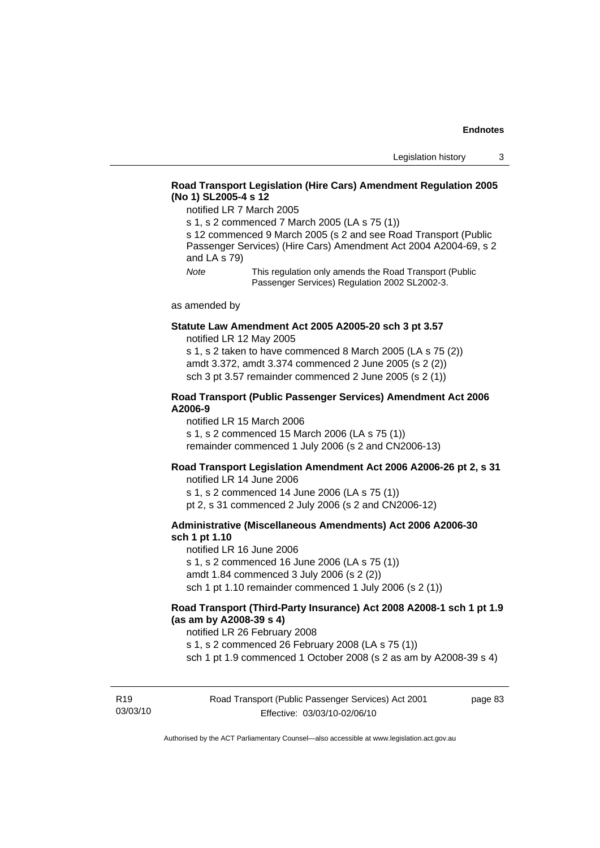### **Road Transport Legislation (Hire Cars) Amendment Regulation 2005 (No 1) SL2005-4 s 12**

notified LR 7 March 2005

s 1, s 2 commenced 7 March 2005 (LA s 75 (1))

s 12 commenced 9 March 2005 (s 2 and see Road Transport (Public Passenger Services) (Hire Cars) Amendment Act 2004 A2004-69, s 2 and LA s 79)

*Note* This regulation only amends the Road Transport (Public Passenger Services) Regulation 2002 SL2002-3.

as amended by

#### **Statute Law Amendment Act 2005 A2005-20 sch 3 pt 3.57**  notified LR 12 May 2005

s 1, s 2 taken to have commenced 8 March 2005 (LA s 75 (2)) amdt 3.372, amdt 3.374 commenced 2 June 2005 (s 2 (2)) sch 3 pt 3.57 remainder commenced 2 June 2005 (s 2 (1))

#### **Road Transport (Public Passenger Services) Amendment Act 2006 A2006-9**

notified LR 15 March 2006 s 1, s 2 commenced 15 March 2006 (LA s 75 (1)) remainder commenced 1 July 2006 (s 2 and CN2006-13)

### **Road Transport Legislation Amendment Act 2006 A2006-26 pt 2, s 31**

notified LR 14 June 2006 s 1, s 2 commenced 14 June 2006 (LA s 75 (1)) pt 2, s 31 commenced 2 July 2006 (s 2 and CN2006-12)

### **Administrative (Miscellaneous Amendments) Act 2006 A2006-30 sch 1 pt 1.10**

notified LR 16 June 2006 s 1, s 2 commenced 16 June 2006 (LA s 75 (1)) amdt 1.84 commenced 3 July 2006 (s 2 (2)) sch 1 pt 1.10 remainder commenced 1 July 2006 (s 2 (1))

### **Road Transport (Third-Party Insurance) Act 2008 A2008-1 sch 1 pt 1.9 (as am by A2008-39 s 4)**

notified LR 26 February 2008

s 1, s 2 commenced 26 February 2008 (LA s 75 (1))

sch 1 pt 1.9 commenced 1 October 2008 (s 2 as am by A2008-39 s 4)

R19 03/03/10 Road Transport (Public Passenger Services) Act 2001 Effective: 03/03/10-02/06/10

page 83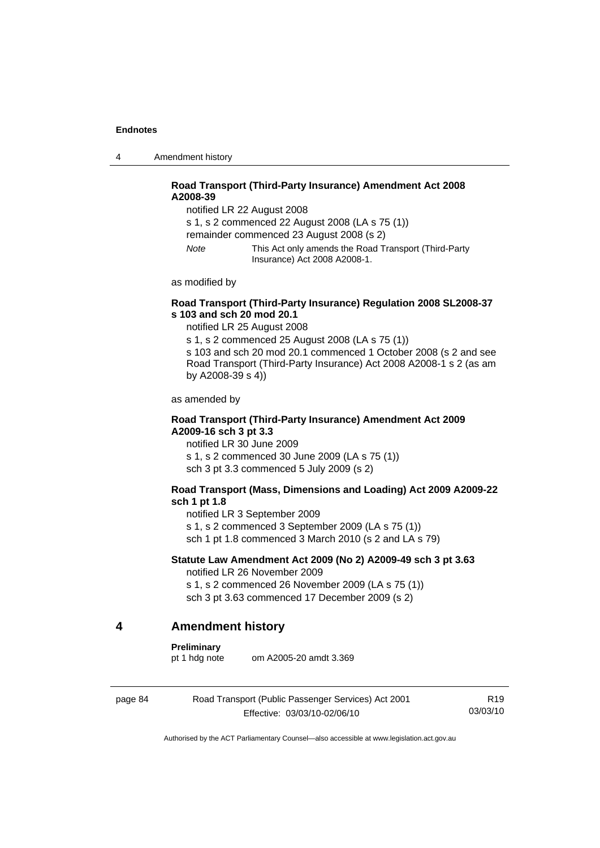4 Amendment history

### **Road Transport (Third-Party Insurance) Amendment Act 2008 A2008-39**

notified LR 22 August 2008

s 1, s 2 commenced 22 August 2008 (LA s 75 (1))

remainder commenced 23 August 2008 (s 2)

*Note* This Act only amends the Road Transport (Third-Party Insurance) Act 2008 A2008-1.

as modified by

### **Road Transport (Third-Party Insurance) Regulation 2008 SL2008-37 s 103 and sch 20 mod 20.1**

notified LR 25 August 2008

s 1, s 2 commenced 25 August 2008 (LA s 75 (1)) s 103 and sch 20 mod 20.1 commenced 1 October 2008 (s 2 and see Road Transport (Third-Party Insurance) Act 2008 A2008-1 s 2 (as am by A2008-39 s 4))

as amended by

### **Road Transport (Third-Party Insurance) Amendment Act 2009 A2009-16 sch 3 pt 3.3**

notified LR 30 June 2009 s 1, s 2 commenced 30 June 2009 (LA s 75 (1)) sch 3 pt 3.3 commenced 5 July 2009 (s 2)

#### **Road Transport (Mass, Dimensions and Loading) Act 2009 A2009-22 sch 1 pt 1.8**

notified LR 3 September 2009

s 1, s 2 commenced 3 September 2009 (LA s 75 (1))

sch 1 pt 1.8 commenced 3 March 2010 (s 2 and LA s 79)

### **Statute Law Amendment Act 2009 (No 2) A2009-49 sch 3 pt 3.63**

notified LR 26 November 2009

s 1, s 2 commenced 26 November 2009 (LA s 75 (1)) sch 3 pt 3.63 commenced 17 December 2009 (s 2)

### **4 Amendment history**

#### **Preliminary**

pt 1 hdg note om A2005-20 amdt 3.369

page 84 Road Transport (Public Passenger Services) Act 2001 Effective: 03/03/10-02/06/10

R19 03/03/10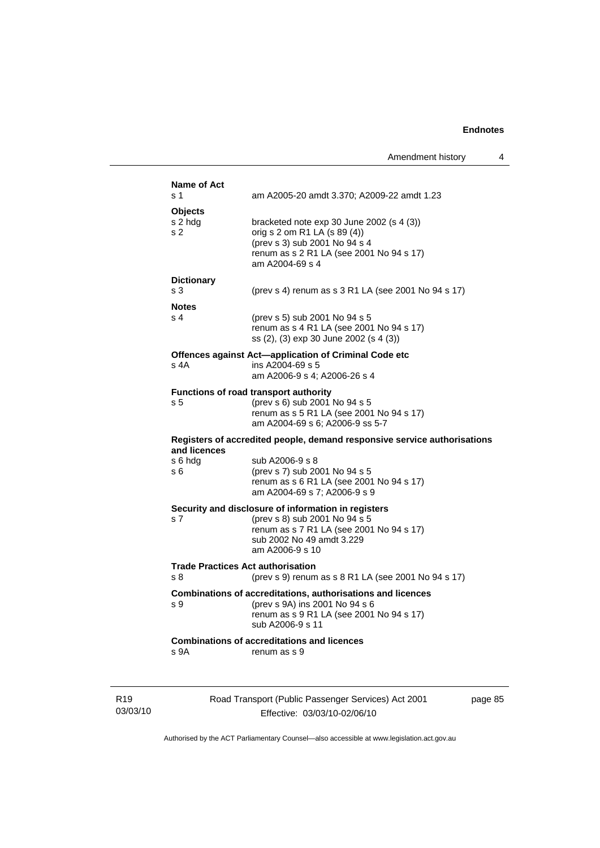| Name of Act       |                                                                                                                     |        |
|-------------------|---------------------------------------------------------------------------------------------------------------------|--------|
| s 1               | am A2005-20 amdt 3.370; A2009-22 amdt 1.23                                                                          |        |
| Objects           |                                                                                                                     |        |
| s 2 hdg           | bracketed note $exp 30$ June 2002 (s 4 (3))                                                                         |        |
| s <sub>2</sub>    | orig s 2 om R1 LA (s 89 (4))<br>(prev s 3) sub 2001 No 94 s 4                                                       |        |
|                   | renum as s 2 R1 LA (see 2001 No 94 s 17)<br>am A2004-69 s 4                                                         |        |
| <b>Dictionary</b> |                                                                                                                     |        |
| s 3               | (prev s 4) renum as s 3 R1 LA (see 2001 No 94 s 17)                                                                 |        |
| <b>Notes</b>      |                                                                                                                     |        |
| s 4               | (prev s 5) sub 2001 No 94 s 5<br>renum as s 4 R1 LA (see 2001 No 94 s 17)<br>ss (2), (3) exp 30 June 2002 (s 4 (3)) |        |
|                   | Offences against Act-application of Criminal Code etc                                                               |        |
| s 4A              | ins A2004-69 s 5                                                                                                    |        |
|                   | am A2006-9 s 4; A2006-26 s 4                                                                                        |        |
|                   | Functions of road transport authority                                                                               |        |
| s 5               | (prev s 6) sub 2001 No 94 s 5<br>renum as s 5 R1 LA (see 2001 No 94 s 17)                                           |        |
|                   | am A2004-69 s 6; A2006-9 ss 5-7                                                                                     |        |
| and licences      | Registers of accredited people, demand responsive service authorisations                                            |        |
| s 6 hdg           | sub A2006-9 s 8                                                                                                     |        |
| s 6               | (prev s 7) sub 2001 No 94 s 5                                                                                       |        |
|                   | renum as s 6 R1 LA (see 2001 No 94 s 17)<br>am A2004-69 s 7; A2006-9 s 9                                            |        |
|                   | Security and disclosure of information in registers                                                                 |        |
| s 7               | (prev s 8) sub 2001 No 94 s 5                                                                                       |        |
|                   | renum as s 7 R1 LA (see 2001 No 94 s 17)                                                                            |        |
|                   | sub 2002 No 49 amdt 3.229<br>am A2006-9 s 10                                                                        |        |
|                   |                                                                                                                     |        |
| s 8               | <b>Trade Practices Act authorisation</b><br>(prev s 9) renum as s 8 R1 LA (see 2001 No 94 s 17)                     |        |
|                   |                                                                                                                     |        |
| s 9               | Combinations of accreditations, authorisations and licences<br>(prev s 9A) ins 2001 No 94 s 6                       |        |
|                   | renum as s 9 R1 LA (see 2001 No 94 s 17)                                                                            |        |
|                   | sub A2006-9 s 11                                                                                                    |        |
|                   | <b>Combinations of accreditations and licences</b>                                                                  |        |
| s 9A              | renum as s 9                                                                                                        |        |
|                   |                                                                                                                     |        |
|                   |                                                                                                                     |        |
|                   | Road Transport (Public Passenger Services) Act 2001                                                                 | page 8 |
|                   |                                                                                                                     |        |

R19 03/03/10

Effective: 03/03/10-02/06/10

 $35<sub>5</sub>$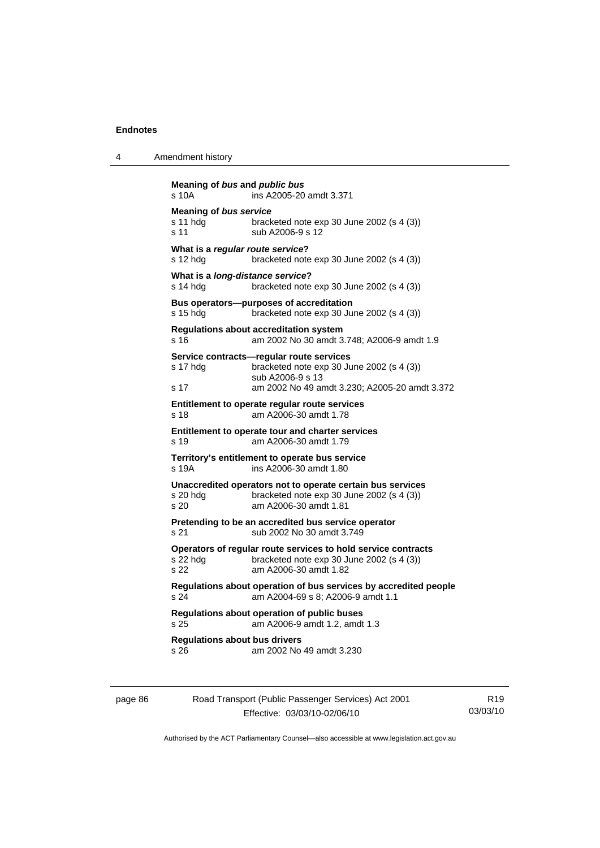4 Amendment history

```
Meaning of bus and public bus
s 10A ins A2005-20 amdt 3.371
Meaning of bus service
s 11 hdg bracketed note exp 30 June 2002 (s 4 (3)) 
s 11 sub A2006-9 s 12
What is a regular route service? 
s 12 hdg bracketed note exp 30 June 2002 (s 4 (3)) 
What is a long-distance service? 
s 14 hdg bracketed note exp 30 June 2002 (s 4 (3))
Bus operators—purposes of accreditation 
s 15 hdg bracketed note exp 30 June 2002 (s 4 (3)) 
Regulations about accreditation system 
s 16 am 2002 No 30 amdt 3.748; A2006-9 amdt 1.9 
Service contracts—regular route services 
s 17 hdg bracketed note exp 30 June 2002 (s 4 (3)) 
                  sub A2006-9 s 13 
s 17 am 2002 No 49 amdt 3.230; A2005-20 amdt 3.372 
Entitlement to operate regular route services 
s 18 am A2006-30 amdt 1.78 
Entitlement to operate tour and charter services 
s 19 am A2006-30 amdt 1.79 
Territory's entitlement to operate bus service 
s 19A ins A2006-30 amdt 1.80 
Unaccredited operators not to operate certain bus services 
s 20 hdg bracketed note exp 30 June 2002 (s 4 (3)) 
s 20 am A2006-30 amdt 1.81 
Pretending to be an accredited bus service operator 
s 21 sub 2002 No 30 amdt 3.749 
Operators of regular route services to hold service contracts 
s 22 hdg bracketed note exp 30 June 2002 (s 4 (3))<br>s 22 am A2006-30 amdt 1 82
                s 22 am A2006-30 amdt 1.82 
Regulations about operation of bus services by accredited people 
s 24 am A2004-69 s 8; A2006-9 amdt 1.1 
Regulations about operation of public buses 
s 25 am A2006-9 amdt 1.2, amdt 1.3 
Regulations about bus drivers 
s 26 am 2002 No 49 amdt 3.230
```
page 86 Road Transport (Public Passenger Services) Act 2001 Effective: 03/03/10-02/06/10 R19 03/03/10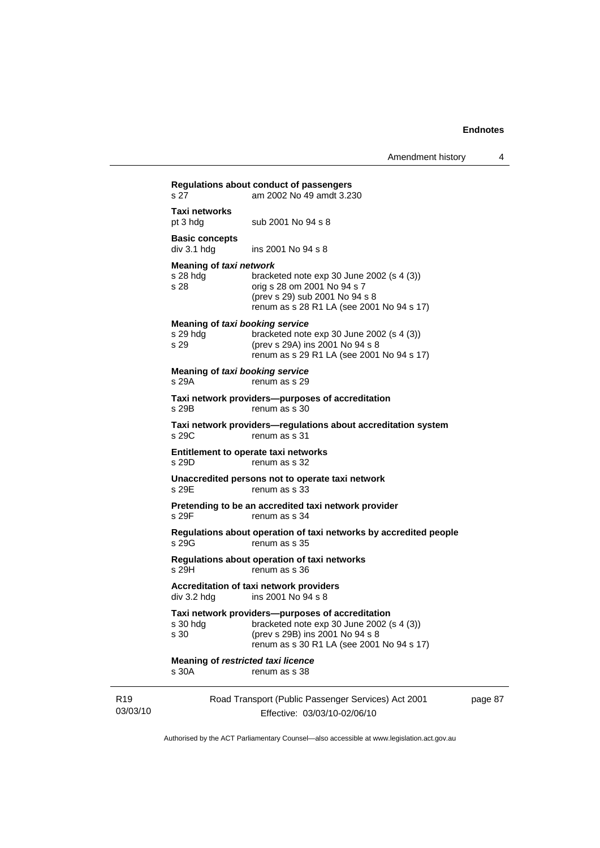|                             | s 27                                                | Regulations about conduct of passengers<br>am 2002 No 49 amdt 3.230                                                                                                           |         |
|-----------------------------|-----------------------------------------------------|-------------------------------------------------------------------------------------------------------------------------------------------------------------------------------|---------|
|                             | Taxi networks<br>pt 3 hdg                           | sub 2001 No 94 s 8                                                                                                                                                            |         |
|                             | <b>Basic concepts</b><br>div 3.1 h dg               | ins 2001 No 94 s 8                                                                                                                                                            |         |
|                             | Meaning of taxi network<br>s 28 hda<br>s 28         | bracketed note $exp 30$ June 2002 (s 4 (3))<br>orig s 28 om 2001 No 94 s 7<br>(prev s 29) sub 2001 No 94 s 8<br>renum as s 28 R1 LA (see 2001 No 94 s 17)                     |         |
|                             | Meaning of taxi booking service<br>s 29 hdg<br>s 29 | bracketed note $exp 30$ June 2002 (s 4 (3))<br>(prev s 29A) ins 2001 No 94 s 8<br>renum as s 29 R1 LA (see 2001 No 94 s 17)                                                   |         |
|                             | Meaning of taxi booking service<br>s 29A            | renum as s 29                                                                                                                                                                 |         |
|                             | s 29B                                               | Taxi network providers--purposes of accreditation<br>renum as s 30                                                                                                            |         |
|                             | s 29C                                               | Taxi network providers-regulations about accreditation system<br>renum as s 31                                                                                                |         |
|                             | s 29D                                               | Entitlement to operate taxi networks<br>renum as s 32                                                                                                                         |         |
|                             | s 29E                                               | Unaccredited persons not to operate taxi network<br>renum as s 33                                                                                                             |         |
|                             | s 29F                                               | Pretending to be an accredited taxi network provider<br>renum as s 34                                                                                                         |         |
|                             | s 29G                                               | Regulations about operation of taxi networks by accredited people<br>renum as s 35                                                                                            |         |
|                             | s 29H                                               | Regulations about operation of taxi networks<br>renum as s 36                                                                                                                 |         |
|                             | div 3.2 hdg                                         | Accreditation of taxi network providers<br>$ins$ 2001 No 94 s 8                                                                                                               |         |
|                             | s 30 hdg<br>s 30                                    | Taxi network providers—purposes of accreditation<br>bracketed note exp 30 June 2002 (s 4 (3))<br>(prev s 29B) ins 2001 No 94 s 8<br>renum as s 30 R1 LA (see 2001 No 94 s 17) |         |
|                             | <b>Meaning of restricted taxi licence</b><br>s 30A  | renum as s 38                                                                                                                                                                 |         |
| R <sub>19</sub><br>03/03/10 |                                                     | Road Transport (Public Passenger Services) Act 2001<br>Effective: 03/03/10-02/06/10                                                                                           | page 87 |

Authorised by the ACT Parliamentary Counsel—also accessible at www.legislation.act.gov.au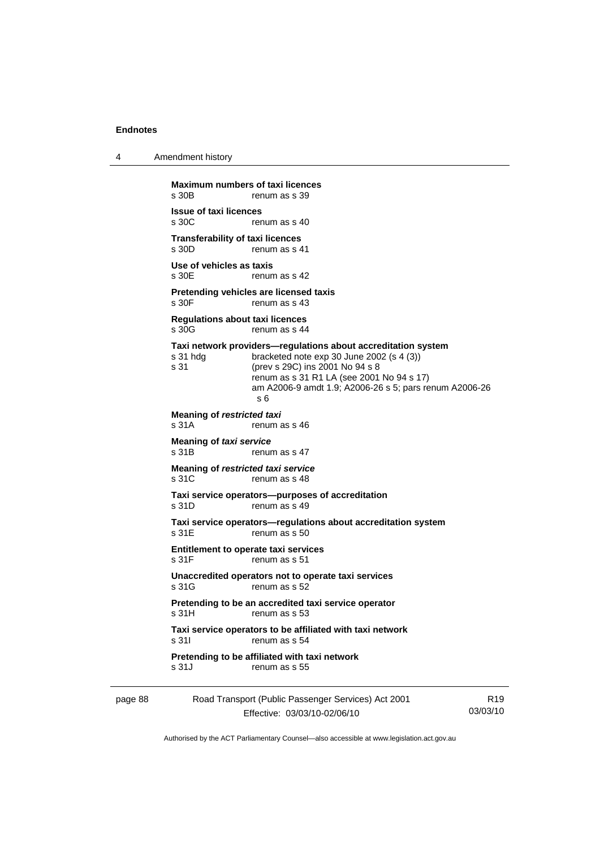4 Amendment history

page 88 Road Transport (Public Passenger Services) Act 2001 R19 **Maximum numbers of taxi licences**<br>s 30B renum as s 39 renum as s 39 **Issue of taxi licences**  renum as s 40 **Transferability of taxi licences**<br>s 30D renum as s 4 renum as s 41 **Use of vehicles as taxis**  s 30E renum as s 42 **Pretending vehicles are licensed taxis**  s 30F renum as s 43 **Regulations about taxi licences**  s 30G renum as s 44 **Taxi network providers—regulations about accreditation system**  s 31 hdg bracketed note exp 30 June 2002 (s 4 (3)) s 31 (prev s 29C) ins 2001 No 94 s 8 renum as s 31 R1 LA (see 2001 No 94 s 17) am A2006-9 amdt 1.9; A2006-26 s 5; pars renum A2006-26 s 6 **Meaning of** *restricted taxi* s 31A renum as s 46 **Meaning of** *taxi service*  s 31B renum as s 47 **Meaning of** *restricted taxi service*  s 31C renum as s 48 **Taxi service operators—purposes of accreditation**  s 31D renum as s 49 **Taxi service operators—regulations about accreditation system**  s 31E renum as s 50 **Entitlement to operate taxi services**  s 31F renum as s 51 **Unaccredited operators not to operate taxi services**  s 31G renum as s 52 **Pretending to be an accredited taxi service operator**  s 31H renum as s 53 **Taxi service operators to be affiliated with taxi network**  s 31I renum as s 54 **Pretending to be affiliated with taxi network**  s 31J renum as s 55

Effective: 03/03/10-02/06/10

03/03/10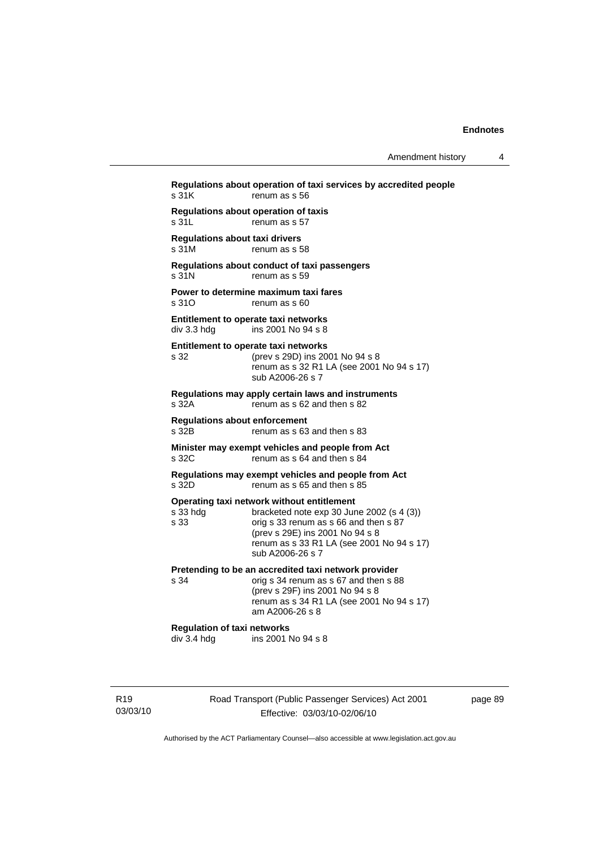**Regulations about operation of taxi services by accredited people**  s 31K renum as s 56 **Regulations about operation of taxis**  s 31L renum as s 57 **Regulations about taxi drivers**  s 31M renum as s 58 **Regulations about conduct of taxi passengers**  s 31N renum as s 59 **Power to determine maximum taxi fares**  s 310 renum as s 60 **Entitlement to operate taxi networks**  div 3.3 hdg ins 2001 No 94 s 8 **Entitlement to operate taxi networks**  s 32 (prev s 29D) ins 2001 No 94 s 8 renum as s 32 R1 LA (see 2001 No 94 s 17) sub A2006-26 s 7 **Regulations may apply certain laws and instruments**  s 32A renum as s 62 and then s 82 **Regulations about enforcement**  s 32B renum as s 63 and then s 83 **Minister may exempt vehicles and people from Act**  s 32C renum as s 64 and then s 84 **Regulations may exempt vehicles and people from Act**  s 32D renum as s 65 and then s 85 **Operating taxi network without entitlement**<br>s 33 hdg<br>bracketed note exp 30 Jun bracketed note exp 30 June 2002 (s  $4$  (3)) s 33 orig s 33 renum as s 66 and then s 87 (prev s 29E) ins 2001 No 94 s 8 renum as s 33 R1 LA (see 2001 No 94 s 17) sub A2006-26 s 7 **Pretending to be an accredited taxi network provider**<br>s 34 **compass** 34 **repulned** as s 67 and then s 8 orig s 34 renum as s 67 and then s 88 (prev s 29F) ins 2001 No 94 s 8 renum as s 34 R1 LA (see 2001 No 94 s 17) am A2006-26 s 8 **Regulation of taxi networks**  div 3.4 hdg ins 2001 No 94 s 8

R19 03/03/10 Road Transport (Public Passenger Services) Act 2001 Effective: 03/03/10-02/06/10

page 89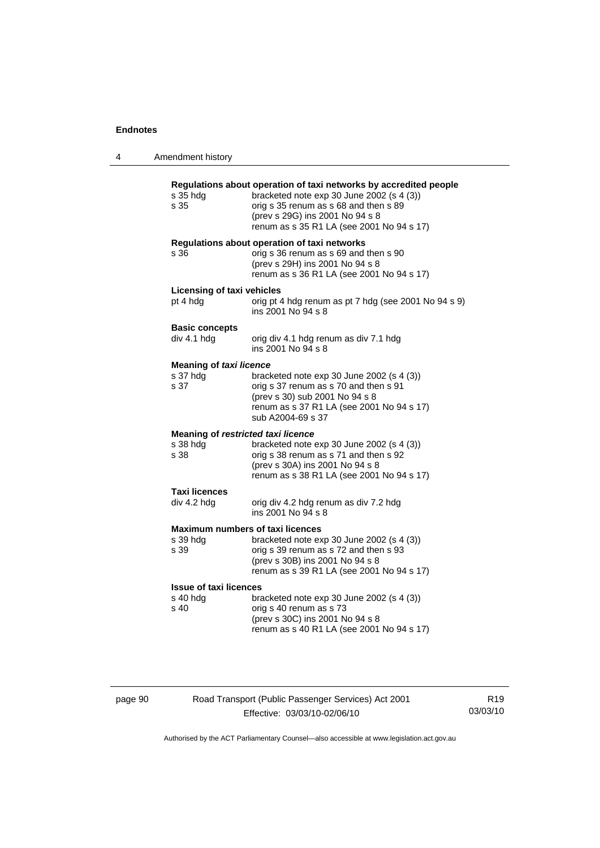| 4 | Amendment history                                      |                                                                                                                                                                                                                                         |
|---|--------------------------------------------------------|-----------------------------------------------------------------------------------------------------------------------------------------------------------------------------------------------------------------------------------------|
|   | s 35 hdg<br>s 35                                       | Regulations about operation of taxi networks by accredited people<br>bracketed note exp 30 June 2002 (s 4 (3))<br>orig s 35 renum as s 68 and then s 89<br>(prev s 29G) ins 2001 No 94 s 8<br>renum as s 35 R1 LA (see 2001 No 94 s 17) |
|   | s 36                                                   | Regulations about operation of taxi networks<br>orig s 36 renum as s 69 and then s 90<br>(prev s 29H) ins 2001 No 94 s 8<br>renum as s 36 R1 LA (see 2001 No 94 s 17)                                                                   |
|   | <b>Licensing of taxi vehicles</b><br>pt 4 hdg          | orig pt 4 hdg renum as pt 7 hdg (see 2001 No 94 s 9)<br>ins 2001 No 94 s 8                                                                                                                                                              |
|   | <b>Basic concepts</b><br>div 4.1 hdg                   | orig div 4.1 hdg renum as div 7.1 hdg<br>ins 2001 No 94 s 8                                                                                                                                                                             |
|   | <b>Meaning of taxi licence</b><br>s 37 hdg<br>s 37     | bracketed note exp 30 June 2002 (s 4 (3))<br>orig s 37 renum as s 70 and then s 91<br>(prev s 30) sub 2001 No 94 s 8<br>renum as s 37 R1 LA (see 2001 No 94 s 17)<br>sub A2004-69 s 37                                                  |
|   | Meaning of restricted taxi licence<br>s 38 hdg<br>s 38 | bracketed note exp 30 June 2002 (s 4 (3))<br>orig s 38 renum as s 71 and then s 92<br>(prev s 30A) ins 2001 No 94 s 8<br>renum as s 38 R1 LA (see 2001 No 94 s 17)                                                                      |
|   | <b>Taxi licences</b><br>div 4.2 hdg                    | orig div 4.2 hdg renum as div 7.2 hdg<br>ins 2001 No 94 s 8                                                                                                                                                                             |
|   | s 39 hdg<br>s 39                                       | <b>Maximum numbers of taxi licences</b><br>bracketed note exp 30 June 2002 (s 4 (3))<br>orig s 39 renum as s 72 and then s 93<br>(prev s 30B) ins 2001 No 94 s 8<br>renum as s 39 R1 LA (see 2001 No 94 s 17)                           |
|   | <b>Issue of taxi licences</b><br>s 40 hdg<br>s 40      | bracketed note $exp 30$ June 2002 (s 4 (3))<br>orig s 40 renum as s 73<br>(prev s 30C) ins 2001 No 94 s 8<br>renum as s 40 R1 LA (see 2001 No 94 s 17)                                                                                  |

page 90 Road Transport (Public Passenger Services) Act 2001 Effective: 03/03/10-02/06/10

R19 03/03/10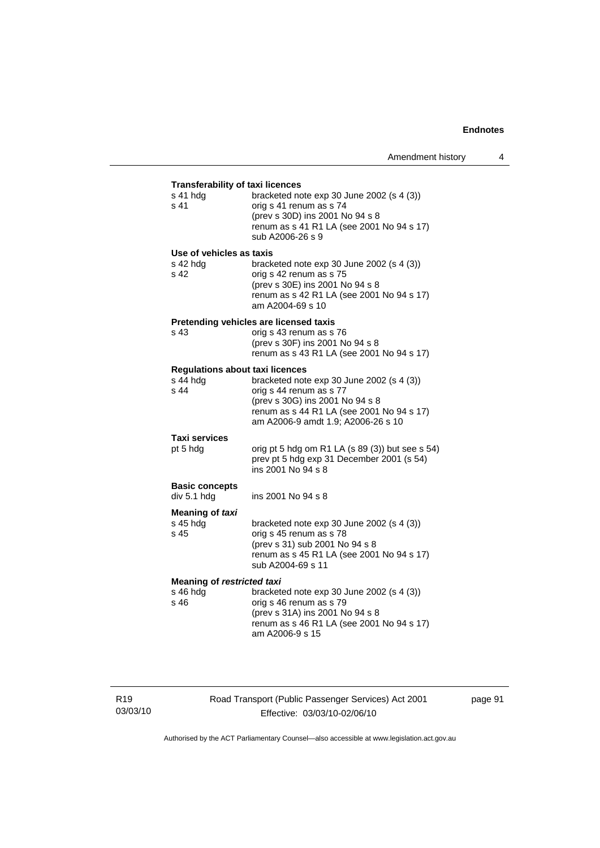| <b>Transferability of taxi licences</b>      |                                                                                                                                                                          |  |  |
|----------------------------------------------|--------------------------------------------------------------------------------------------------------------------------------------------------------------------------|--|--|
| s 41 hdg<br>s 41                             | bracketed note exp 30 June 2002 (s 4 (3))<br>orig s 41 renum as s 74<br>(prev s 30D) ins 2001 No 94 s 8<br>renum as s 41 R1 LA (see 2001 No 94 s 17)<br>sub A2006-26 s 9 |  |  |
| Use of vehicles as taxis<br>s 42 hdg<br>s 42 | bracketed note exp 30 June 2002 (s 4 (3))<br>orig s 42 renum as s 75<br>(prev s 30E) ins 2001 No 94 s 8<br>renum as s 42 R1 LA (see 2001 No 94 s 17)<br>am A2004-69 s 10 |  |  |
|                                              | Pretending vehicles are licensed taxis                                                                                                                                   |  |  |
| s 43                                         | orig s 43 renum as s 76<br>(prev s 30F) ins 2001 No 94 s 8<br>renum as s 43 R1 LA (see 2001 No 94 s 17)                                                                  |  |  |
| <b>Regulations about taxi licences</b>       |                                                                                                                                                                          |  |  |
| s 44 hdg                                     | bracketed note exp 30 June 2002 (s 4 (3))                                                                                                                                |  |  |
| s 44                                         | orig s 44 renum as s 77                                                                                                                                                  |  |  |
|                                              | (prev s 30G) ins 2001 No 94 s 8<br>renum as s 44 R1 LA (see 2001 No 94 s 17)<br>am A2006-9 amdt 1.9; A2006-26 s 10                                                       |  |  |
| <b>Taxi services</b>                         |                                                                                                                                                                          |  |  |
| pt 5 hdg                                     | orig pt 5 hdg om R1 LA (s 89 (3)) but see s 54)<br>prev pt 5 hdg exp 31 December 2001 (s 54)<br>ins 2001 No 94 s 8                                                       |  |  |
| <b>Basic concepts</b><br>div 5.1 hdg         | ins 2001 No 94 s 8                                                                                                                                                       |  |  |
| Meaning of taxi                              |                                                                                                                                                                          |  |  |
| s 45 hdg<br>s 45                             | bracketed note exp 30 June 2002 (s 4 (3))<br>orig s 45 renum as s 78<br>(prev s 31) sub 2001 No 94 s 8<br>renum as s 45 R1 LA (see 2001 No 94 s 17)<br>sub A2004-69 s 11 |  |  |
| <b>Meaning of restricted taxi</b>            |                                                                                                                                                                          |  |  |
| s 46 hdg                                     | bracketed note exp 30 June 2002 (s 4 (3))                                                                                                                                |  |  |
| s 46                                         | orig s 46 renum as s 79                                                                                                                                                  |  |  |
|                                              | (prev s 31A) ins 2001 No 94 s 8                                                                                                                                          |  |  |
|                                              | renum as s 46 R1 LA (see 2001 No 94 s 17)<br>am A2006-9 s 15                                                                                                             |  |  |

R19 03/03/10 Road Transport (Public Passenger Services) Act 2001 Effective: 03/03/10-02/06/10

page 91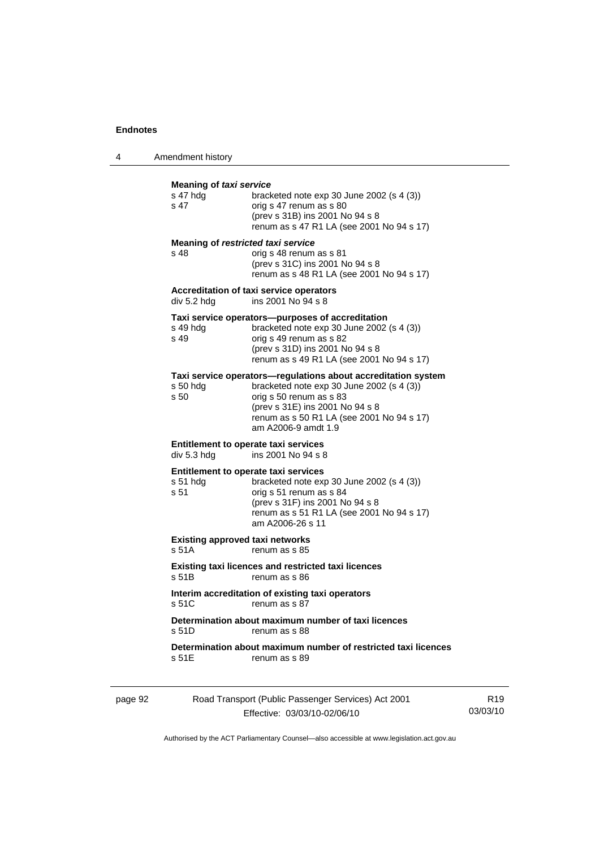4 Amendment history

|         | Meaning of taxi service                                  |                                                                                                                                                                                                                                                |
|---------|----------------------------------------------------------|------------------------------------------------------------------------------------------------------------------------------------------------------------------------------------------------------------------------------------------------|
|         | s 47 hdg<br>s 47                                         | bracketed note exp 30 June 2002 (s 4 (3))<br>orig s 47 renum as s 80<br>(prev s 31B) ins 2001 No 94 s 8<br>renum as s 47 R1 LA (see 2001 No 94 s 17)                                                                                           |
|         | Meaning of restricted taxi service<br>s 48               | orig s 48 renum as s 81<br>(prev s 31C) ins 2001 No 94 s 8<br>renum as s 48 R1 LA (see 2001 No 94 s 17)                                                                                                                                        |
|         | div 5.2 hdg                                              | <b>Accreditation of taxi service operators</b><br>ins 2001 No 94 s 8                                                                                                                                                                           |
|         | s 49 hdg<br>s 49                                         | Taxi service operators—purposes of accreditation<br>bracketed note $exp 30$ June 2002 (s 4 (3))<br>orig s 49 renum as s 82<br>(prev s 31D) ins 2001 No 94 s 8<br>renum as s 49 R1 LA (see 2001 No 94 s 17)                                     |
|         | s 50 hda<br>s 50                                         | Taxi service operators—regulations about accreditation system<br>bracketed note $exp 30$ June 2002 (s 4 (3))<br>orig s 50 renum as s 83<br>(prev s 31E) ins 2001 No 94 s 8<br>renum as s 50 R1 LA (see 2001 No 94 s 17)<br>am A2006-9 amdt 1.9 |
|         | Entitlement to operate taxi services<br>div 5.3 hdg      | ins 2001 No 94 s 8                                                                                                                                                                                                                             |
|         | Entitlement to operate taxi services<br>s 51 hda<br>s 51 | bracketed note $exp 30$ June 2002 (s 4 (3))<br>orig s 51 renum as s 84<br>(prev s 31F) ins 2001 No 94 s 8<br>renum as s 51 R1 LA (see 2001 No 94 s 17)<br>am A2006-26 s 11                                                                     |
|         | <b>Existing approved taxi networks</b><br>s 51A          | renum as s 85                                                                                                                                                                                                                                  |
|         | s 51B                                                    | Existing taxi licences and restricted taxi licences<br>renum as s 86                                                                                                                                                                           |
|         | s 51C                                                    | Interim accreditation of existing taxi operators<br>renum as s 87                                                                                                                                                                              |
|         | s 51D                                                    | Determination about maximum number of taxi licences<br>renum as s 88                                                                                                                                                                           |
|         | s 51E                                                    | Determination about maximum number of restricted taxi licences<br>renum as s 89                                                                                                                                                                |
| page 92 |                                                          | Road Transport (Public Passenger Services) Act 2001                                                                                                                                                                                            |

| Authorised by the ACT Parliamentary Counsel—also accessible at www.legislation.act.gov.au |  |
|-------------------------------------------------------------------------------------------|--|

R19 03/03/10

Effective: 03/03/10-02/06/10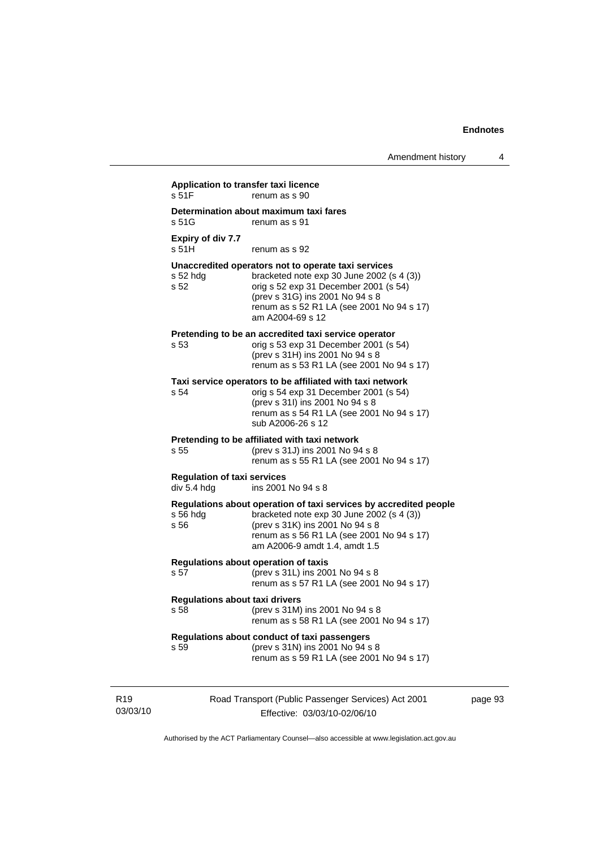|                                                   | Determination about maximum taxi fares                                                                                                                                                                                                          |
|---------------------------------------------------|-------------------------------------------------------------------------------------------------------------------------------------------------------------------------------------------------------------------------------------------------|
| s.51G                                             | renum as s 91                                                                                                                                                                                                                                   |
| Expiry of div 7.7<br>s 51H                        | renum as s 92                                                                                                                                                                                                                                   |
| $s52$ hdg<br>s 52                                 | Unaccredited operators not to operate taxi services<br>bracketed note $exp 30$ June 2002 (s 4 (3))<br>orig s 52 exp 31 December 2001 (s 54)<br>(prev s 31G) ins 2001 No 94 s 8<br>renum as s 52 R1 LA (see 2001 No 94 s 17)<br>am A2004-69 s 12 |
| s 53                                              | Pretending to be an accredited taxi service operator<br>orig s 53 exp 31 December 2001 (s 54)<br>(prev s 31H) ins 2001 No 94 s 8<br>renum as s 53 R1 LA (see 2001 No 94 s 17)                                                                   |
| s 54                                              | Taxi service operators to be affiliated with taxi network<br>orig s 54 exp 31 December 2001 (s 54)<br>(prev s 31l) ins 2001 No 94 s 8<br>renum as s 54 R1 LA (see 2001 No 94 s 17)<br>sub A2006-26 s 12                                         |
| s 55                                              | Pretending to be affiliated with taxi network<br>(prev s 31J) ins 2001 No 94 s 8<br>renum as s 55 R1 LA (see 2001 No 94 s 17)                                                                                                                   |
| <b>Regulation of taxi services</b><br>div 5.4 hdg | ins 2001 No 94 s 8                                                                                                                                                                                                                              |
| $s$ 56 hdg<br>s 56                                | Regulations about operation of taxi services by accredited people<br>bracketed note $exp 30$ June 2002 (s 4 (3))<br>(prev s 31K) ins 2001 No 94 s 8<br>renum as s 56 R1 LA (see 2001 No 94 s 17)<br>am A2006-9 amdt 1.4, amdt 1.5               |
| s 57                                              | Regulations about operation of taxis<br>(prev s 31L) ins 2001 No 94 s 8<br>renum as s 57 R1 LA (see 2001 No 94 s 17)                                                                                                                            |
| <b>Regulations about taxi drivers</b><br>s 58     | (prev s 31M) ins 2001 No 94 s 8<br>renum as s 58 R1 LA (see 2001 No 94 s 17)                                                                                                                                                                    |
| s 59                                              | Regulations about conduct of taxi passengers<br>(prev s 31N) ins 2001 No 94 s 8<br>renum as s 59 R1 LA (see 2001 No 94 s 17)                                                                                                                    |

R19 03/03/10

Effective: 03/03/10-02/06/10

page 93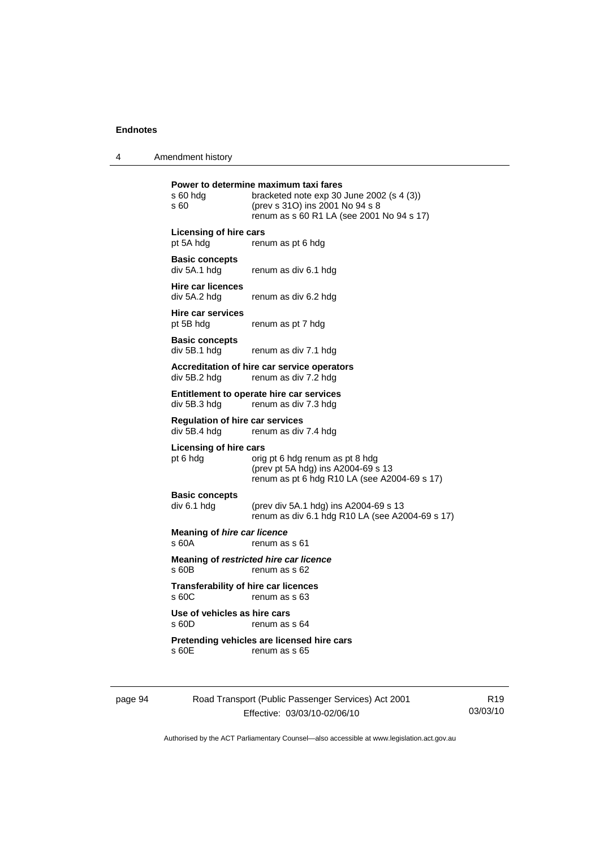4 Amendment history

| s 60 hdg<br>s 60                                       | Power to determine maximum taxi fares<br>bracketed note exp 30 June 2002 (s 4 (3))<br>(prev s 31O) ins 2001 No 94 s 8<br>renum as s 60 R1 LA (see 2001 No 94 s 17) |
|--------------------------------------------------------|--------------------------------------------------------------------------------------------------------------------------------------------------------------------|
| <b>Licensing of hire cars</b><br>pt 5A hdg             | renum as pt 6 hdg                                                                                                                                                  |
| <b>Basic concepts</b><br>div 5A.1 hdg                  | renum as div 6.1 hdg                                                                                                                                               |
| <b>Hire car licences</b><br>div 5A.2 hdg               | renum as div 6.2 hdg                                                                                                                                               |
| Hire car services<br>pt 5B hdg                         | renum as pt 7 hdg                                                                                                                                                  |
| <b>Basic concepts</b><br>div 5B.1 hdg                  | renum as div 7.1 hdg                                                                                                                                               |
| div 5B.2 hdg                                           | Accreditation of hire car service operators<br>renum as div 7.2 hdg                                                                                                |
| div 5B.3 hdg                                           | Entitlement to operate hire car services<br>renum as div 7.3 hdg                                                                                                   |
| <b>Regulation of hire car services</b><br>div 5B.4 hdg | renum as div 7.4 hdg                                                                                                                                               |
| <b>Licensing of hire cars</b><br>pt 6 hdg              | orig pt 6 hdg renum as pt 8 hdg<br>(prev pt 5A hdg) ins A2004-69 s 13<br>renum as pt 6 hdg R10 LA (see A2004-69 s 17)                                              |
| <b>Basic concepts</b><br>div 6.1 hdg                   | (prev div 5A.1 hdg) ins A2004-69 s 13<br>renum as div 6.1 hdg R10 LA (see A2004-69 s 17)                                                                           |
| <b>Meaning of hire car licence</b><br>s 60A            | renum as s 61                                                                                                                                                      |
| s60B                                                   | Meaning of restricted hire car licence<br>renum as s 62                                                                                                            |
| <b>Transferability of hire car licences</b><br>s 60C   | renum as s 63                                                                                                                                                      |
| Use of vehicles as hire cars<br>s 60D                  | renum as s 64                                                                                                                                                      |
| s 60E                                                  | Pretending vehicles are licensed hire cars<br>renum as s 65                                                                                                        |
|                                                        |                                                                                                                                                                    |

page 94 Road Transport (Public Passenger Services) Act 2001 Effective: 03/03/10-02/06/10

R19 03/03/10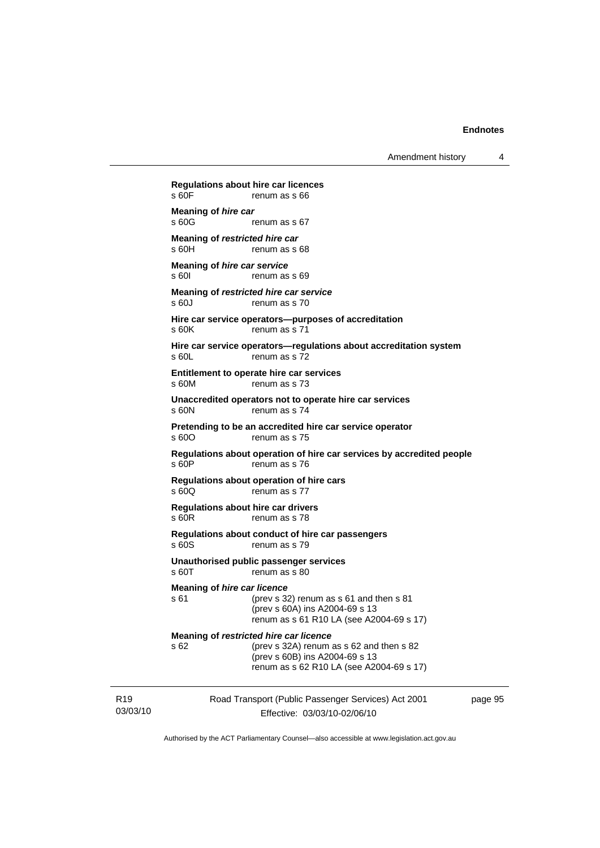Amendment history 4

Road Transport (Public Passenger Services) Act 2001 **Regulations about hire car licences**  renum as s 66 **Meaning of** *hire car*<br>**s 60G** renum as s 67 **Meaning of** *restricted hire car*  s 60H renum as s 68 **Meaning of** *hire car service*  s 60I renum as s 69 **Meaning of** *restricted hire car service*  s 60J renum as s 70 **Hire car service operators—purposes of accreditation**  s 60K renum as s 71 **Hire car service operators—regulations about accreditation system**  s 60L renum as s 72 **Entitlement to operate hire car services**  s 60M renum as s 73 **Unaccredited operators not to operate hire car services**  s 60N renum as s 74 **Pretending to be an accredited hire car service operator**  s 600 renum as s 75 **Regulations about operation of hire car services by accredited people**  s 60P renum as s 76 **Regulations about operation of hire cars**  s 60Q renum as s 77 **Regulations about hire car drivers**  s 60R renum as s 78 **Regulations about conduct of hire car passengers**  s 60S renum as s 79 **Unauthorised public passenger services**  s 60T renum as s 80 **Meaning of** *hire car licence*  s 61 (prev s 32) renum as s 61 and then s 81 (prev s 60A) ins A2004-69 s 13 renum as s 61 R10 LA (see A2004-69 s 17) **Meaning of** *restricted hire car licence*  s 62 (prev s 32A) renum as s 62 and then s 82 (prev s 60B) ins A2004-69 s 13 renum as s 62 R10 LA (see A2004-69 s 17)

R19 03/03/10

Effective: 03/03/10-02/06/10

page 95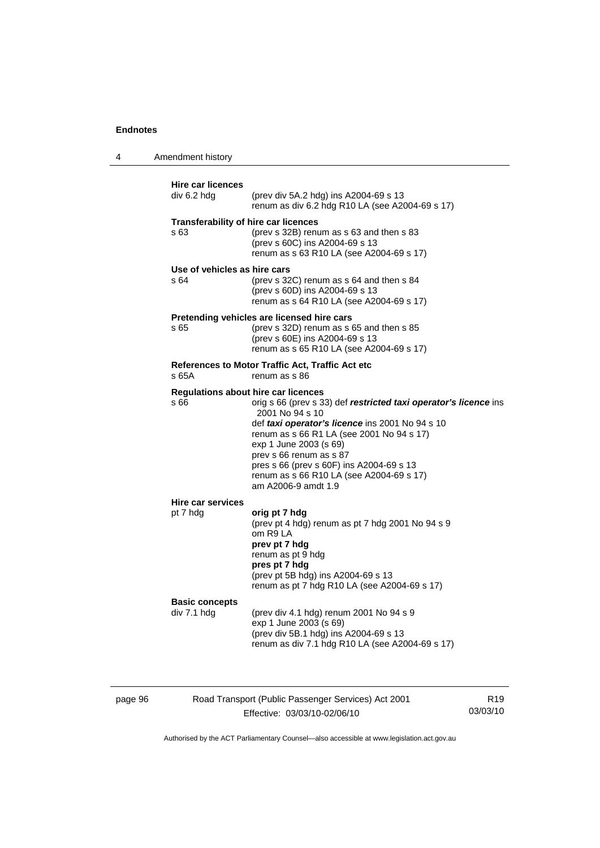4 Amendment history

| div 6.2 hdg<br>(prev div 5A.2 hdg) ins A2004-69 s 13<br>renum as div 6.2 hdg R10 LA (see A2004-69 s 17)<br><b>Transferability of hire car licences</b><br>s 63<br>(prev s 32B) renum as s 63 and then s 83<br>(prev s 60C) ins A2004-69 s 13<br>renum as s 63 R10 LA (see A2004-69 s 17)<br>Use of vehicles as hire cars<br>(prev s 32C) renum as s 64 and then s 84<br>s 64<br>(prev s 60D) ins A2004-69 s 13<br>renum as s 64 R10 LA (see A2004-69 s 17)<br>Pretending vehicles are licensed hire cars<br>s 65<br>(prev s 32D) renum as s 65 and then s 85<br>(prev s 60E) ins A2004-69 s 13<br>renum as s 65 R10 LA (see A2004-69 s 17)<br>References to Motor Traffic Act, Traffic Act etc<br>s 65A<br>renum as s 86<br><b>Regulations about hire car licences</b><br>s 66<br>2001 No 94 s 10<br>def taxi operator's licence ins 2001 No 94 s 10<br>renum as s 66 R1 LA (see 2001 No 94 s 17)<br>exp 1 June 2003 (s 69)<br>prev s 66 renum as s 87<br>pres s 66 (prev s 60F) ins A2004-69 s 13<br>renum as s 66 R10 LA (see A2004-69 s 17)<br>am A2006-9 amdt 1.9<br><b>Hire car services</b><br>pt 7 hdg<br>orig pt 7 hdg<br>(prev pt 4 hdg) renum as pt 7 hdg 2001 No 94 s 9<br>om R9 LA<br>prev pt 7 hdg<br>renum as pt 9 hdg<br>pres pt 7 hdg<br>(prev pt 5B hdg) ins A2004-69 s 13<br>renum as pt 7 hdg R10 LA (see A2004-69 s 17)<br><b>Basic concepts</b><br>(prev div 4.1 hdg) renum 2001 No 94 s 9<br>div 7.1 hdg<br>exp 1 June 2003 (s 69) | <b>Hire car licences</b> |                                                                  |
|----------------------------------------------------------------------------------------------------------------------------------------------------------------------------------------------------------------------------------------------------------------------------------------------------------------------------------------------------------------------------------------------------------------------------------------------------------------------------------------------------------------------------------------------------------------------------------------------------------------------------------------------------------------------------------------------------------------------------------------------------------------------------------------------------------------------------------------------------------------------------------------------------------------------------------------------------------------------------------------------------------------------------------------------------------------------------------------------------------------------------------------------------------------------------------------------------------------------------------------------------------------------------------------------------------------------------------------------------------------------------------------------------------------------------------------------------------|--------------------------|------------------------------------------------------------------|
|                                                                                                                                                                                                                                                                                                                                                                                                                                                                                                                                                                                                                                                                                                                                                                                                                                                                                                                                                                                                                                                                                                                                                                                                                                                                                                                                                                                                                                                          |                          |                                                                  |
|                                                                                                                                                                                                                                                                                                                                                                                                                                                                                                                                                                                                                                                                                                                                                                                                                                                                                                                                                                                                                                                                                                                                                                                                                                                                                                                                                                                                                                                          |                          |                                                                  |
|                                                                                                                                                                                                                                                                                                                                                                                                                                                                                                                                                                                                                                                                                                                                                                                                                                                                                                                                                                                                                                                                                                                                                                                                                                                                                                                                                                                                                                                          |                          |                                                                  |
|                                                                                                                                                                                                                                                                                                                                                                                                                                                                                                                                                                                                                                                                                                                                                                                                                                                                                                                                                                                                                                                                                                                                                                                                                                                                                                                                                                                                                                                          |                          |                                                                  |
|                                                                                                                                                                                                                                                                                                                                                                                                                                                                                                                                                                                                                                                                                                                                                                                                                                                                                                                                                                                                                                                                                                                                                                                                                                                                                                                                                                                                                                                          |                          |                                                                  |
|                                                                                                                                                                                                                                                                                                                                                                                                                                                                                                                                                                                                                                                                                                                                                                                                                                                                                                                                                                                                                                                                                                                                                                                                                                                                                                                                                                                                                                                          |                          | orig s 66 (prev s 33) def restricted taxi operator's licence ins |
|                                                                                                                                                                                                                                                                                                                                                                                                                                                                                                                                                                                                                                                                                                                                                                                                                                                                                                                                                                                                                                                                                                                                                                                                                                                                                                                                                                                                                                                          |                          |                                                                  |
| renum as div 7.1 hdg R10 LA (see A2004-69 s 17)                                                                                                                                                                                                                                                                                                                                                                                                                                                                                                                                                                                                                                                                                                                                                                                                                                                                                                                                                                                                                                                                                                                                                                                                                                                                                                                                                                                                          |                          | (prev div 5B.1 hdg) ins A2004-69 s 13                            |

page 96 Road Transport (Public Passenger Services) Act 2001 Effective: 03/03/10-02/06/10

R19 03/03/10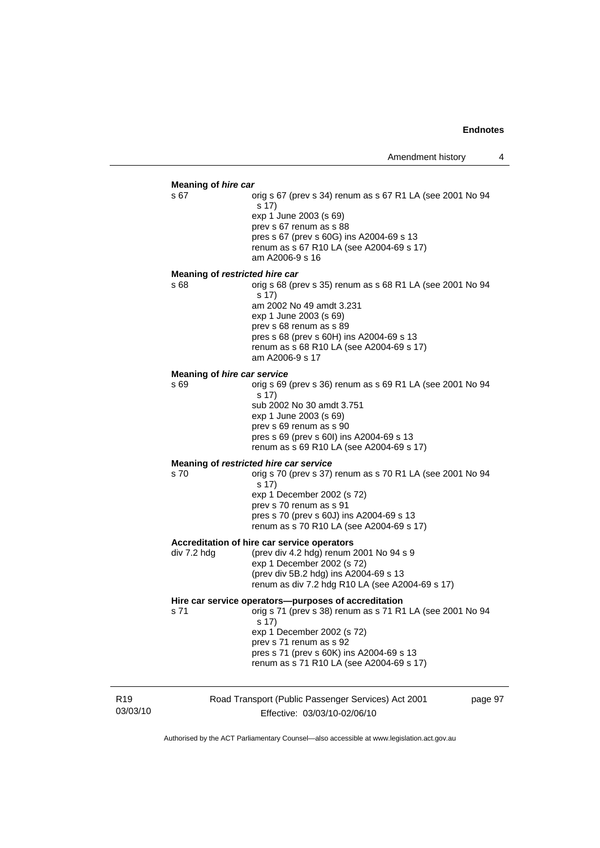#### **Meaning of** *hire car*

s 67 orig s 67 (prev s 34) renum as s 67 R1 LA (see 2001 No 94 s 17) exp 1 June 2003 (s 69) prev s 67 renum as s 88 pres s 67 (prev s 60G) ins A2004-69 s 13 renum as s 67 R10 LA (see A2004-69 s 17) am A2006-9 s 16

#### **Meaning of** *restricted hire car*

s 68 orig s 68 (prev s 35) renum as s 68 R1 LA (see 2001 No 94 s 17) am 2002 No 49 amdt 3.231 exp 1 June 2003 (s 69) prev s 68 renum as s 89 pres s 68 (prev s 60H) ins A2004-69 s 13 renum as s 68 R10 LA (see A2004-69 s 17) am A2006-9 s 17

#### **Meaning of** *hire car service*

s 69 orig s 69 (prev s 36) renum as s 69 R1 LA (see 2001 No 94 s 17) sub 2002 No 30 amdt 3.751 exp 1 June 2003 (s 69) prev s 69 renum as s 90 pres s 69 (prev s 60I) ins A2004-69 s 13 renum as s 69 R10 LA (see A2004-69 s 17)

### **Meaning of** *restricted hire car service*

s 70 orig s 70 (prev s 37) renum as s 70 R1 LA (see 2001 No 94 s 17) exp 1 December 2002 (s 72) prev s 70 renum as s 91 pres s 70 (prev s 60J) ins A2004-69 s 13 renum as s 70 R10 LA (see A2004-69 s 17)

#### **Accreditation of hire car service operators**

div 7.2 hdg (prev div 4.2 hdg) renum 2001 No 94 s 9 exp 1 December 2002 (s 72) (prev div 5B.2 hdg) ins A2004-69 s 13 renum as div 7.2 hdg R10 LA (see A2004-69 s 17)

#### **Hire car service operators—purposes of accreditation**

s 71 orig s 71 (prev s 38) renum as s 71 R1 LA (see 2001 No 94  $\overline{s}$  17) exp 1 December 2002 (s 72) prev s 71 renum as s 92

 pres s 71 (prev s 60K) ins A2004-69 s 13 renum as s 71 R10 LA (see A2004-69 s 17)

R19 03/03/10

# Road Transport (Public Passenger Services) Act 2001 Effective: 03/03/10-02/06/10

page 97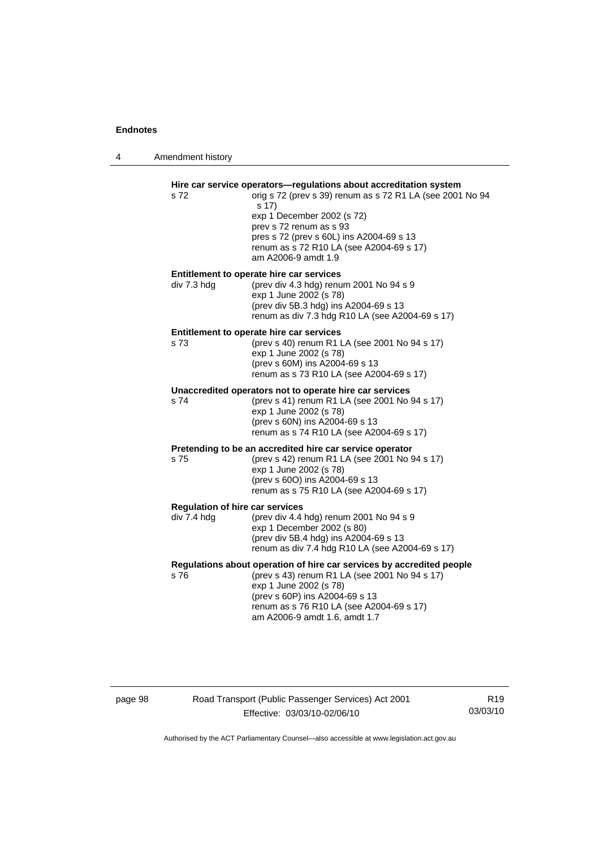4 Amendment history

| s 72                                                  | Hire car service operators-regulations about accreditation system<br>orig s 72 (prev s 39) renum as s 72 R1 LA (see 2001 No 94<br>s 17)<br>exp 1 December 2002 (s 72)<br>prev s 72 renum as s 93<br>pres s 72 (prev s 60L) ins A2004-69 s 13<br>renum as s 72 R10 LA (see A2004-69 s 17) |
|-------------------------------------------------------|------------------------------------------------------------------------------------------------------------------------------------------------------------------------------------------------------------------------------------------------------------------------------------------|
| div 7.3 hdg                                           | am A2006-9 amdt 1.9<br>Entitlement to operate hire car services<br>(prev div 4.3 hdg) renum 2001 No 94 s 9<br>exp 1 June 2002 (s 78)<br>(prev div 5B.3 hdg) ins A2004-69 s 13<br>renum as div 7.3 hdg R10 LA (see A2004-69 s 17)                                                         |
| s 73                                                  | Entitlement to operate hire car services<br>(prev s 40) renum R1 LA (see 2001 No 94 s 17)<br>exp 1 June 2002 (s 78)<br>(prev s 60M) ins A2004-69 s 13<br>renum as s 73 R10 LA (see A2004-69 s 17)                                                                                        |
| s 74                                                  | Unaccredited operators not to operate hire car services<br>(prev s 41) renum R1 LA (see 2001 No 94 s 17)<br>exp 1 June 2002 (s 78)<br>(prev s 60N) ins A2004-69 s 13<br>renum as s 74 R10 LA (see A2004-69 s 17)                                                                         |
| s 75                                                  | Pretending to be an accredited hire car service operator<br>(prev s 42) renum R1 LA (see 2001 No 94 s 17)<br>exp 1 June 2002 (s 78)<br>(prev s 60O) ins A2004-69 s 13<br>renum as s 75 R10 LA (see A2004-69 s 17)                                                                        |
| <b>Regulation of hire car services</b><br>div 7.4 hdg | (prev div 4.4 hdg) renum 2001 No 94 s 9<br>exp 1 December 2002 (s 80)<br>(prev div 5B.4 hdg) ins A2004-69 s 13<br>renum as div 7.4 hdg R10 LA (see A2004-69 s 17)                                                                                                                        |
| s 76                                                  | Regulations about operation of hire car services by accredited people<br>(prev s 43) renum R1 LA (see 2001 No 94 s 17)<br>exp 1 June 2002 (s 78)<br>(prev s 60P) ins A2004-69 s 13<br>renum as s 76 R10 LA (see A2004-69 s 17)<br>am A2006-9 amdt 1.6, amdt 1.7                          |

# page 98 Road Transport (Public Passenger Services) Act 2001 Effective: 03/03/10-02/06/10

R19 03/03/10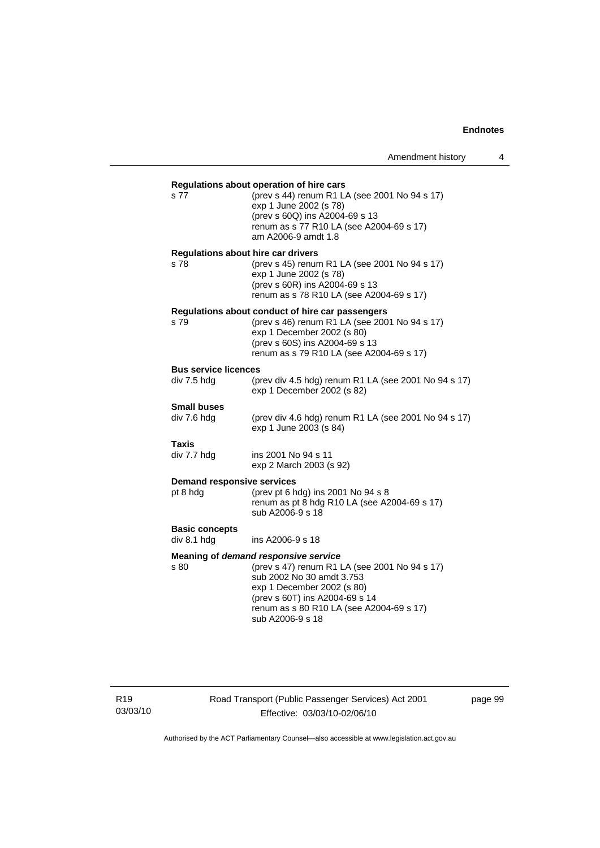| s 77                                              | Regulations about operation of hire cars<br>(prev s 44) renum R1 LA (see 2001 No 94 s 17)<br>exp 1 June 2002 (s 78)<br>(prev s 60Q) ins A2004-69 s 13<br>renum as s 77 R10 LA (see A2004-69 s 17)<br>am A2006-9 amdt 1.8                           |
|---------------------------------------------------|----------------------------------------------------------------------------------------------------------------------------------------------------------------------------------------------------------------------------------------------------|
| <b>Regulations about hire car drivers</b><br>s 78 | (prev s 45) renum R1 LA (see 2001 No 94 s 17)<br>exp 1 June 2002 (s 78)<br>(prev s 60R) ins A2004-69 s 13<br>renum as s 78 R10 LA (see A2004-69 s 17)                                                                                              |
| s 79                                              | Regulations about conduct of hire car passengers<br>(prev s 46) renum R1 LA (see 2001 No 94 s 17)<br>exp 1 December 2002 (s 80)<br>(prev s 60S) ins A2004-69 s 13<br>renum as s 79 R10 LA (see A2004-69 s 17)                                      |
| <b>Bus service licences</b>                       |                                                                                                                                                                                                                                                    |
| div 7.5 hdg                                       | (prev div 4.5 hdg) renum R1 LA (see 2001 No 94 s 17)<br>exp 1 December 2002 (s 82)                                                                                                                                                                 |
| <b>Small buses</b><br>div 7.6 hdg                 | (prev div 4.6 hdg) renum R1 LA (see 2001 No 94 s 17)<br>exp 1 June 2003 (s 84)                                                                                                                                                                     |
| Taxis<br>div 7.7 hdg                              | ins 2001 No 94 s 11<br>exp 2 March 2003 (s 92)                                                                                                                                                                                                     |
| <b>Demand responsive services</b><br>pt 8 hdg     | (prev pt 6 hdg) ins 2001 No 94 s 8<br>renum as pt 8 hdg R10 LA (see A2004-69 s 17)<br>sub A2006-9 s 18                                                                                                                                             |
| <b>Basic concepts</b><br>div 8.1 hdg              | ins A2006-9 s 18                                                                                                                                                                                                                                   |
| s 80                                              | Meaning of demand responsive service<br>(prev s 47) renum R1 LA (see 2001 No 94 s 17)<br>sub 2002 No 30 amdt 3.753<br>exp 1 December 2002 (s 80)<br>(prev s 60T) ins A2004-69 s 14<br>renum as s 80 R10 LA (see A2004-69 s 17)<br>sub A2006-9 s 18 |

R19 03/03/10 Road Transport (Public Passenger Services) Act 2001 Effective: 03/03/10-02/06/10

page 99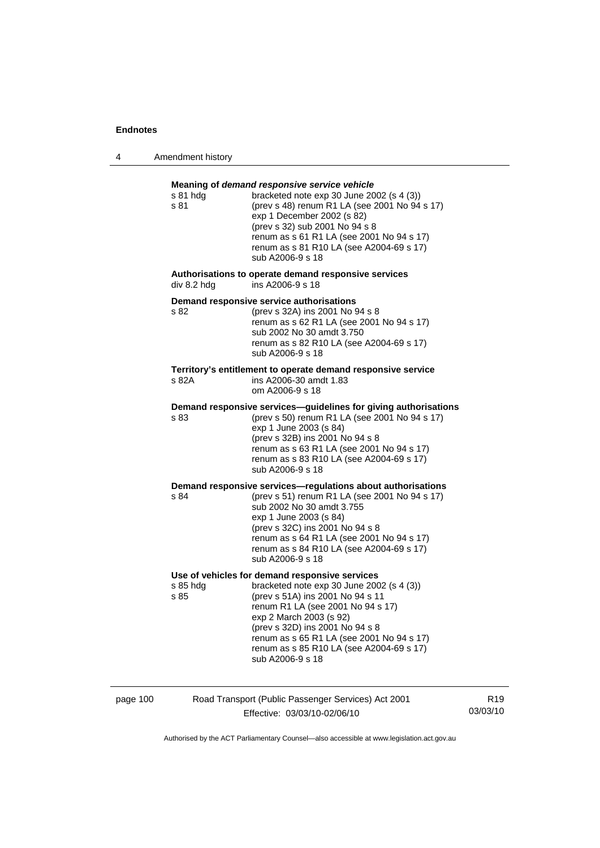4 Amendment history

| s 81 hda<br>s 81 | Meaning of demand responsive service vehicle<br>bracketed note $exp 30$ June 2002 (s 4 (3))<br>(prev s 48) renum R1 LA (see 2001 No 94 s 17)<br>exp 1 December 2002 (s 82)<br>(prev s 32) sub 2001 No 94 s 8<br>renum as s 61 R1 LA (see 2001 No 94 s 17)<br>renum as s 81 R10 LA (see A2004-69 s 17)<br>sub A2006-9 s 18                       |
|------------------|-------------------------------------------------------------------------------------------------------------------------------------------------------------------------------------------------------------------------------------------------------------------------------------------------------------------------------------------------|
| div 8.2 hdg      | Authorisations to operate demand responsive services<br>ins A2006-9 s 18                                                                                                                                                                                                                                                                        |
| s 82             | Demand responsive service authorisations<br>(prev s 32A) ins 2001 No 94 s 8<br>renum as s 62 R1 LA (see 2001 No 94 s 17)<br>sub 2002 No 30 amdt 3.750<br>renum as s 82 R10 LA (see A2004-69 s 17)<br>sub A2006-9 s 18                                                                                                                           |
| s 82A            | Territory's entitlement to operate demand responsive service<br>ins A2006-30 amdt 1.83<br>om A2006-9 s 18                                                                                                                                                                                                                                       |
| s 83             | Demand responsive services-guidelines for giving authorisations<br>(prev s 50) renum R1 LA (see 2001 No 94 s 17)<br>exp 1 June 2003 (s 84)<br>(prev s 32B) ins 2001 No 94 s 8<br>renum as s 63 R1 LA (see 2001 No 94 s 17)<br>renum as s 83 R10 LA (see A2004-69 s 17)<br>sub A2006-9 s 18                                                      |
| s 84             | Demand responsive services-regulations about authorisations<br>(prev s 51) renum R1 LA (see 2001 No 94 s 17)<br>sub 2002 No 30 amdt 3.755<br>exp 1 June 2003 (s 84)<br>(prev s 32C) ins 2001 No 94 s 8<br>renum as s 64 R1 LA (see 2001 No 94 s 17)<br>renum as s 84 R10 LA (see A2004-69 s 17)<br>sub A2006-9 s 18                             |
| s 85 hdg<br>s 85 | Use of vehicles for demand responsive services<br>bracketed note exp 30 June 2002 (s 4 (3))<br>(prev s 51A) ins 2001 No 94 s 11<br>renum R1 LA (see 2001 No 94 s 17)<br>exp 2 March 2003 (s 92)<br>(prev s 32D) ins 2001 No 94 s 8<br>renum as s 65 R1 LA (see 2001 No 94 s 17)<br>renum as s 85 R10 LA (see A2004-69 s 17)<br>sub A2006-9 s 18 |

page 100 Road Transport (Public Passenger Services) Act 2001 Effective: 03/03/10-02/06/10

R19 03/03/10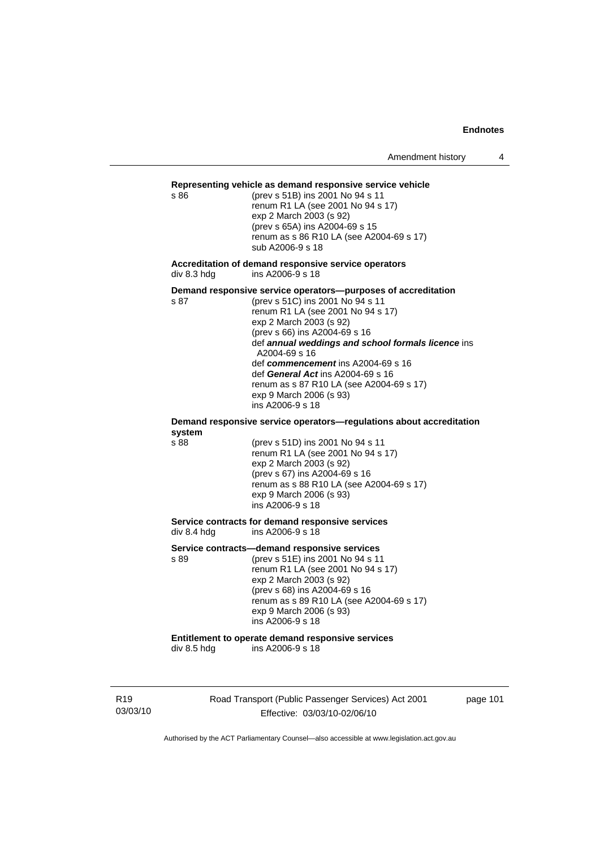### **Representing vehicle as demand responsive service vehicle**

s 86 (prev s 51B) ins 2001 No 94 s 11 renum R1 LA (see 2001 No 94 s 17) exp 2 March 2003 (s 92) (prev s 65A) ins A2004-69 s 15 renum as s 86 R10 LA (see A2004-69 s 17) sub A2006-9 s 18

**Accreditation of demand responsive service operators**  div 8.3 hdg ins A2006-9 s 18

**Demand responsive service operators—purposes of accreditation** 

s 87 (prev s 51C) ins 2001 No 94 s 11 renum R1 LA (see 2001 No 94 s 17) exp 2 March 2003 (s 92) (prev s 66) ins A2004-69 s 16 def *annual weddings and school formals licence* ins A2004-69 s 16 def *commencement* ins A2004-69 s 16 def *General Act* ins A2004-69 s 16 renum as s 87 R10 LA (see A2004-69 s 17) exp 9 March 2006 (s 93) ins A2006-9 s 18

#### **Demand responsive service operators—regulations about accreditation system**

s 88 (prev s 51D) ins 2001 No 94 s 11 renum R1 LA (see 2001 No 94 s 17) exp 2 March 2003 (s 92) (prev s 67) ins A2004-69 s 16 renum as s 88 R10 LA (see A2004-69 s 17) exp 9 March 2006 (s 93) ins A2006-9 s 18

#### **Service contracts for demand responsive services**  div 8.4 hdg ins A2006-9 s 18

**Service contracts—demand responsive services** 

s 89 (prev s 51E) ins 2001 No 94 s 11 renum R1 LA (see 2001 No 94 s 17) exp 2 March 2003 (s 92) (prev s 68) ins A2004-69 s 16 renum as s 89 R10 LA (see A2004-69 s 17) exp 9 March 2006 (s 93) ins A2006-9 s 18

# **Entitlement to operate demand responsive services**

div 8.5 hdg ins A2006-9 s 18

R19 03/03/10 Road Transport (Public Passenger Services) Act 2001 Effective: 03/03/10-02/06/10

page 101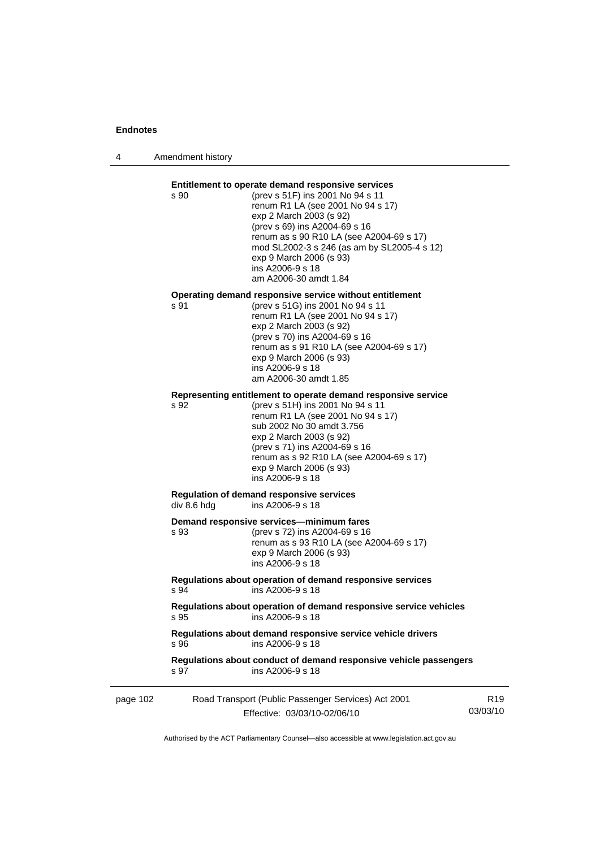4 Amendment history

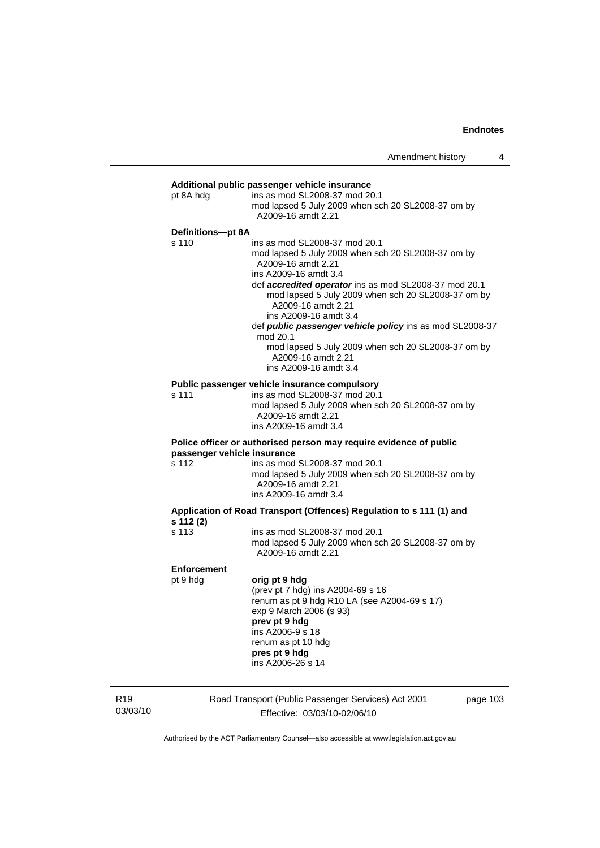| pt 8A hdg          | ins as mod SL2008-37 mod 20.1<br>mod lapsed 5 July 2009 when sch 20 SL2008-37 om by<br>A2009-16 amdt 2.21                                                                                                                                                                                                                                                                                                                                                                            |
|--------------------|--------------------------------------------------------------------------------------------------------------------------------------------------------------------------------------------------------------------------------------------------------------------------------------------------------------------------------------------------------------------------------------------------------------------------------------------------------------------------------------|
| Definitions-pt 8A  |                                                                                                                                                                                                                                                                                                                                                                                                                                                                                      |
| s 110              | ins as mod SL2008-37 mod 20.1<br>mod lapsed 5 July 2009 when sch 20 SL2008-37 om by<br>A2009-16 amdt 2.21<br>ins A2009-16 amdt 3.4<br>def <b>accredited operator</b> ins as mod SL2008-37 mod 20.1<br>mod lapsed 5 July 2009 when sch 20 SL2008-37 om by<br>A2009-16 amdt 2.21<br>ins A2009-16 amdt 3.4<br>def public passenger vehicle policy ins as mod SL2008-37<br>mod 20.1<br>mod lapsed 5 July 2009 when sch 20 SL2008-37 om by<br>A2009-16 amdt 2.21<br>ins A2009-16 amdt 3.4 |
| s 111              | Public passenger vehicle insurance compulsory<br>ins as mod SL2008-37 mod 20.1                                                                                                                                                                                                                                                                                                                                                                                                       |
|                    | mod lapsed 5 July 2009 when sch 20 SL2008-37 om by<br>A2009-16 amdt 2.21<br>ins A2009-16 amdt 3.4                                                                                                                                                                                                                                                                                                                                                                                    |
|                    | Police officer or authorised person may require evidence of public<br>passenger vehicle insurance                                                                                                                                                                                                                                                                                                                                                                                    |
| s 112              | ins as mod SL2008-37 mod 20.1<br>mod lapsed 5 July 2009 when sch 20 SL2008-37 om by<br>A2009-16 amdt 2.21<br>ins A2009-16 amdt 3.4                                                                                                                                                                                                                                                                                                                                                   |
| s 112 (2)          | Application of Road Transport (Offences) Regulation to s 111 (1) and                                                                                                                                                                                                                                                                                                                                                                                                                 |
| s 113              | ins as mod SL2008-37 mod 20.1<br>mod lapsed 5 July 2009 when sch 20 SL2008-37 om by<br>A2009-16 amdt 2.21                                                                                                                                                                                                                                                                                                                                                                            |
| <b>Enforcement</b> |                                                                                                                                                                                                                                                                                                                                                                                                                                                                                      |
| pt 9 hdg           | orig pt 9 hdg<br>(prev pt 7 hdg) ins A2004-69 s 16<br>renum as pt 9 hdg R10 LA (see A2004-69 s 17)<br>exp 9 March 2006 (s 93)<br>prev pt 9 hdg<br>ins A2006-9 s 18<br>renum as pt 10 hdg<br>pres pt 9 hdg<br>ins A2006-26 s 14                                                                                                                                                                                                                                                       |

R19 03/03/10 Road Transport (Public Passenger Services) Act 2001 Effective: 03/03/10-02/06/10

page 103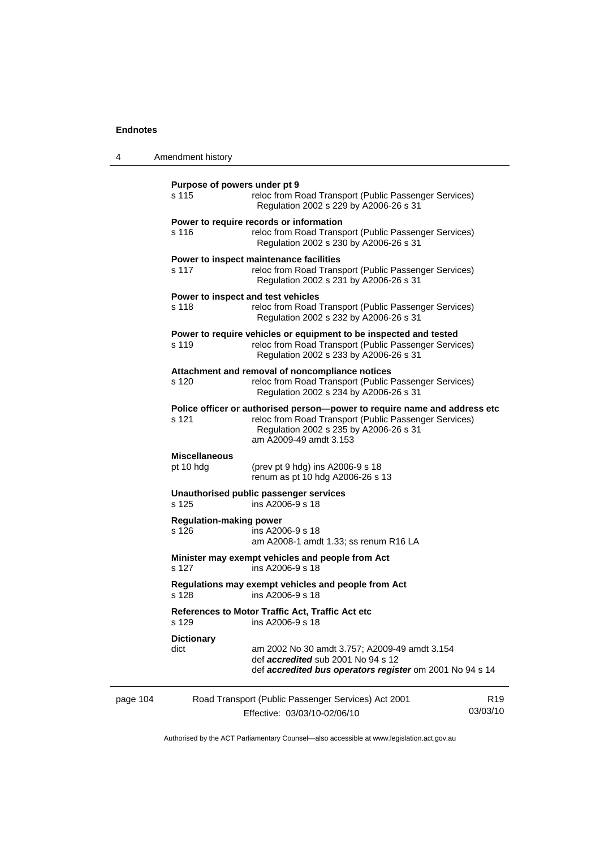| 4                                                                                                                                                                           | Amendment history                                                                                                                        |                                                                                                                                                                                                         |                             |  |
|-----------------------------------------------------------------------------------------------------------------------------------------------------------------------------|------------------------------------------------------------------------------------------------------------------------------------------|---------------------------------------------------------------------------------------------------------------------------------------------------------------------------------------------------------|-----------------------------|--|
|                                                                                                                                                                             | Purpose of powers under pt 9<br>s 115<br>reloc from Road Transport (Public Passenger Services)<br>Regulation 2002 s 229 by A2006-26 s 31 |                                                                                                                                                                                                         |                             |  |
|                                                                                                                                                                             | s 116                                                                                                                                    | Power to require records or information<br>reloc from Road Transport (Public Passenger Services)<br>Regulation 2002 s 230 by A2006-26 s 31                                                              |                             |  |
|                                                                                                                                                                             | s 117                                                                                                                                    | Power to inspect maintenance facilities<br>reloc from Road Transport (Public Passenger Services)<br>Regulation 2002 s 231 by A2006-26 s 31                                                              |                             |  |
|                                                                                                                                                                             | s 118                                                                                                                                    | Power to inspect and test vehicles<br>reloc from Road Transport (Public Passenger Services)<br>Regulation 2002 s 232 by A2006-26 s 31                                                                   |                             |  |
|                                                                                                                                                                             | s 119                                                                                                                                    | Power to require vehicles or equipment to be inspected and tested<br>reloc from Road Transport (Public Passenger Services)<br>Regulation 2002 s 233 by A2006-26 s 31                                    |                             |  |
|                                                                                                                                                                             | s 120                                                                                                                                    | Attachment and removal of noncompliance notices<br>reloc from Road Transport (Public Passenger Services)<br>Regulation 2002 s 234 by A2006-26 s 31                                                      |                             |  |
|                                                                                                                                                                             | s 121                                                                                                                                    | Police officer or authorised person--power to require name and address etc<br>reloc from Road Transport (Public Passenger Services)<br>Regulation 2002 s 235 by A2006-26 s 31<br>am A2009-49 amdt 3.153 |                             |  |
|                                                                                                                                                                             | <b>Miscellaneous</b><br>pt 10 hdg                                                                                                        | (prev pt 9 hdg) ins A2006-9 s 18<br>renum as pt 10 hdg A2006-26 s 13                                                                                                                                    |                             |  |
| Unauthorised public passenger services<br>s 125<br>ins A2006-9 s 18<br><b>Regulation-making power</b><br>s 126<br>ins A2006-9 s 18<br>am A2008-1 amdt 1.33; ss renum R16 LA |                                                                                                                                          |                                                                                                                                                                                                         |                             |  |
|                                                                                                                                                                             |                                                                                                                                          |                                                                                                                                                                                                         |                             |  |
|                                                                                                                                                                             | s 127                                                                                                                                    | Minister may exempt vehicles and people from Act<br>ins A2006-9 s 18                                                                                                                                    |                             |  |
|                                                                                                                                                                             | s 128                                                                                                                                    | Regulations may exempt vehicles and people from Act<br>ins A2006-9 s 18                                                                                                                                 |                             |  |
|                                                                                                                                                                             | s 129                                                                                                                                    | References to Motor Traffic Act, Traffic Act etc<br>ins A2006-9 s 18                                                                                                                                    |                             |  |
|                                                                                                                                                                             | <b>Dictionary</b><br>dict                                                                                                                | am 2002 No 30 amdt 3.757; A2009-49 amdt 3.154<br>def accredited sub 2001 No 94 s 12<br>def accredited bus operators register om 2001 No 94 s 14                                                         |                             |  |
| page 104                                                                                                                                                                    |                                                                                                                                          | Road Transport (Public Passenger Services) Act 2001<br>Effective: 03/03/10-02/06/10                                                                                                                     | R <sub>19</sub><br>03/03/10 |  |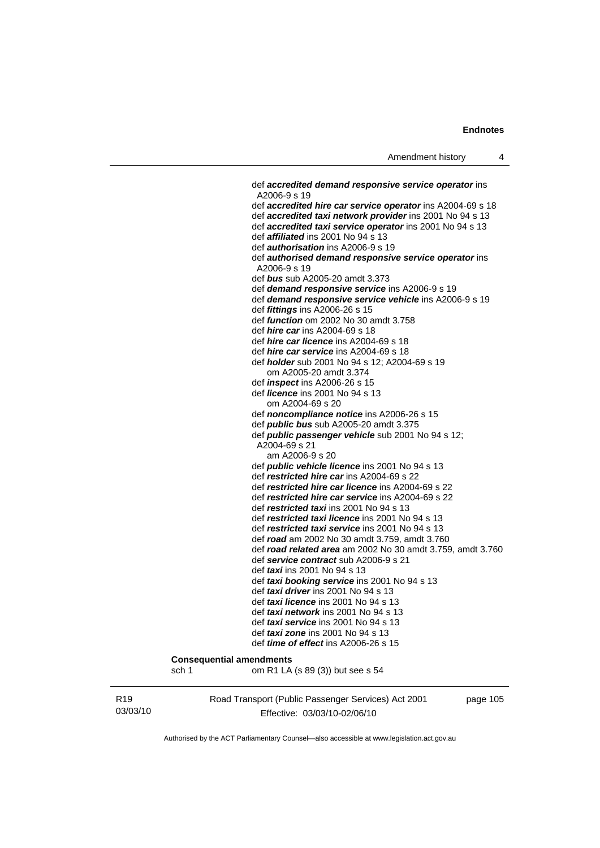def *accredited demand responsive service operator* ins A2006-9 s 19 def *accredited hire car service operator* ins A2004-69 s 18 def *accredited taxi network provider* ins 2001 No 94 s 13 def *accredited taxi service operator* ins 2001 No 94 s 13 def *affiliated* ins 2001 No 94 s 13 def *authorisation* ins A2006-9 s 19 def *authorised demand responsive service operator* ins A2006-9 s 19 def *bus* sub A2005-20 amdt 3.373 def *demand responsive service* ins A2006-9 s 19 def *demand responsive service vehicle* ins A2006-9 s 19 def *fittings* ins A2006-26 s 15 def *function* om 2002 No 30 amdt 3.758 def *hire car* ins A2004-69 s 18 def *hire car licence* ins A2004-69 s 18 def *hire car service* ins A2004-69 s 18 def *holder* sub 2001 No 94 s 12; A2004-69 s 19 om A2005-20 amdt 3.374 def *inspect* ins A2006-26 s 15 def *licence* ins 2001 No 94 s 13 om A2004-69 s 20 def *noncompliance notice* ins A2006-26 s 15 def *public bus* sub A2005-20 amdt 3.375 def *public passenger vehicle* sub 2001 No 94 s 12; A2004-69 s 21 am A2006-9 s 20 def *public vehicle licence* ins 2001 No 94 s 13 def *restricted hire car* ins A2004-69 s 22 def *restricted hire car licence* ins A2004-69 s 22 def *restricted hire car service* ins A2004-69 s 22 def *restricted taxi* ins 2001 No 94 s 13 def *restricted taxi licence* ins 2001 No 94 s 13 def *restricted taxi service* ins 2001 No 94 s 13 def *road* am 2002 No 30 amdt 3.759, amdt 3.760 def *road related area* am 2002 No 30 amdt 3.759, amdt 3.760 def *service contract* sub A2006-9 s 21 def *taxi* ins 2001 No 94 s 13 def *taxi booking service* ins 2001 No 94 s 13 def *taxi driver* ins 2001 No 94 s 13 def *taxi licence* ins 2001 No 94 s 13 def *taxi network* ins 2001 No 94 s 13 def *taxi service* ins 2001 No 94 s 13 def *taxi zone* ins 2001 No 94 s 13 def *time of effect* ins A2006-26 s 15 **Consequential amendments**  sch 1 om R1 LA (s 89 (3)) but see s 54

R19 03/03/10 Road Transport (Public Passenger Services) Act 2001 Effective: 03/03/10-02/06/10

page 105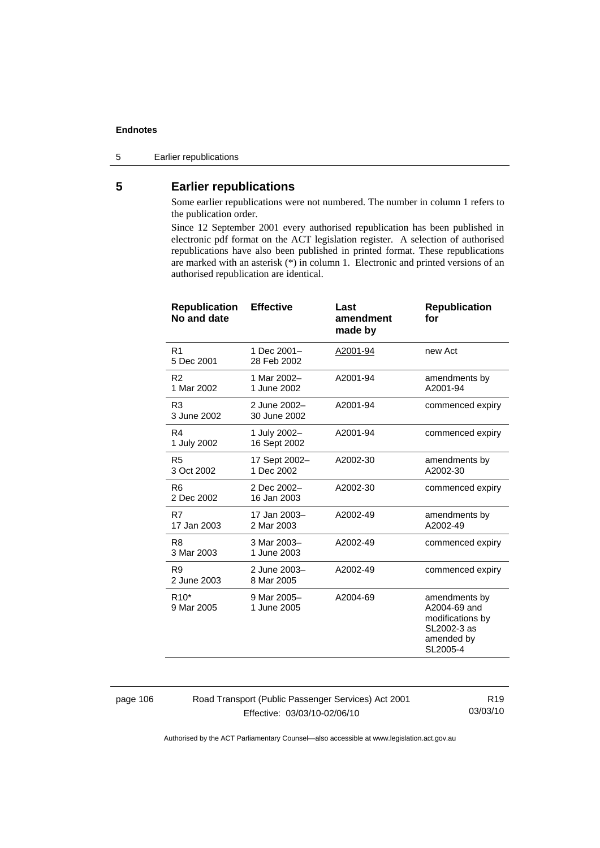5 Earlier republications

# **5 Earlier republications**

Some earlier republications were not numbered. The number in column 1 refers to the publication order.

Since 12 September 2001 every authorised republication has been published in electronic pdf format on the ACT legislation register. A selection of authorised republications have also been published in printed format. These republications are marked with an asterisk (\*) in column 1. Electronic and printed versions of an authorised republication are identical.

| <b>Republication</b><br>No and date | <b>Effective</b>             | Last<br>amendment<br>made by | <b>Republication</b><br>for                                                                |
|-------------------------------------|------------------------------|------------------------------|--------------------------------------------------------------------------------------------|
| R <sub>1</sub><br>5 Dec 2001        | 1 Dec 2001-<br>28 Feb 2002   | A2001-94                     | new Act                                                                                    |
| R <sub>2</sub><br>1 Mar 2002        | 1 Mar 2002-<br>1 June 2002   | A2001-94                     | amendments by<br>A2001-94                                                                  |
| R <sub>3</sub><br>3 June 2002       | 2 June 2002-<br>30 June 2002 | A2001-94                     | commenced expiry                                                                           |
| R4<br>1 July 2002                   | 1 July 2002-<br>16 Sept 2002 | A2001-94                     | commenced expiry                                                                           |
| R <sub>5</sub><br>3 Oct 2002        | 17 Sept 2002-<br>1 Dec 2002  | A2002-30                     | amendments by<br>A2002-30                                                                  |
| R <sub>6</sub><br>2 Dec 2002        | 2 Dec 2002-<br>16 Jan 2003   | A2002-30                     | commenced expiry                                                                           |
| R7<br>17 Jan 2003                   | 17 Jan 2003-<br>2 Mar 2003   | A2002-49                     | amendments by<br>A2002-49                                                                  |
| R <sub>8</sub><br>3 Mar 2003        | 3 Mar 2003-<br>1 June 2003   | A2002-49                     | commenced expiry                                                                           |
| R <sub>9</sub><br>2 June 2003       | 2 June 2003-<br>8 Mar 2005   | A2002-49                     | commenced expiry                                                                           |
| R <sub>10</sub> *<br>9 Mar 2005     | 9 Mar 2005-<br>1 June 2005   | A2004-69                     | amendments by<br>A2004-69 and<br>modifications by<br>SL2002-3 as<br>amended by<br>SL2005-4 |

page 106 Road Transport (Public Passenger Services) Act 2001 Effective: 03/03/10-02/06/10

R19 03/03/10